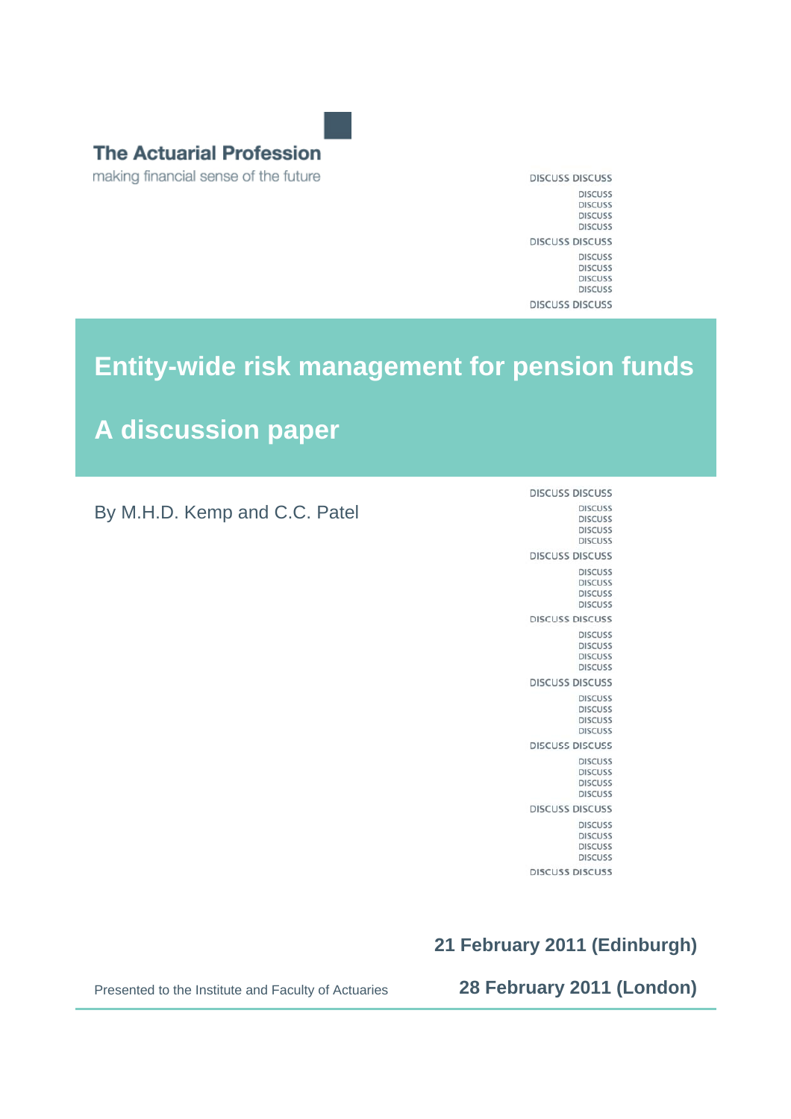# **The Actuarial Profession**

making financial sense of the future

**DISCUSS DISCUSS DISCUSS DISCUSS DISCUSS DISCUSS DISCUSS DISCUSS DISCUSS DISCUSS** DISCUSS DISCUSS **DISCUSS DISCUSS** 

# **Entity-wide risk management for pension funds**

# **A discussion paper**

By M.H.D. Kemp and C.C. Patel

**DISCUSS DISCUSS DISCUSS DISCUSS DISCUSS DISCUSS DISCUSS DISCUSS DISCUSS DISCUSS DISCUSS DISCUSS DISCUSS DISCUSS DISCUSS DISCUSS DISCUSS DISCUSS DISCUSS DISCUSS DISCUSS DISCUSS DISCUSS DISCUSS DISCUSS DISCUSS DISCUSS DISCUSS DISCUSS DISCUSS DISCUSS DISCUSS DISCUSS DISCUSS DISCUSS DISCUSS** DISCUSS DISCUSS

# **21 February 2011 (Edinburgh)**

Presented to the Institute and Faculty of Actuaries

# **28 February 2011 (London)**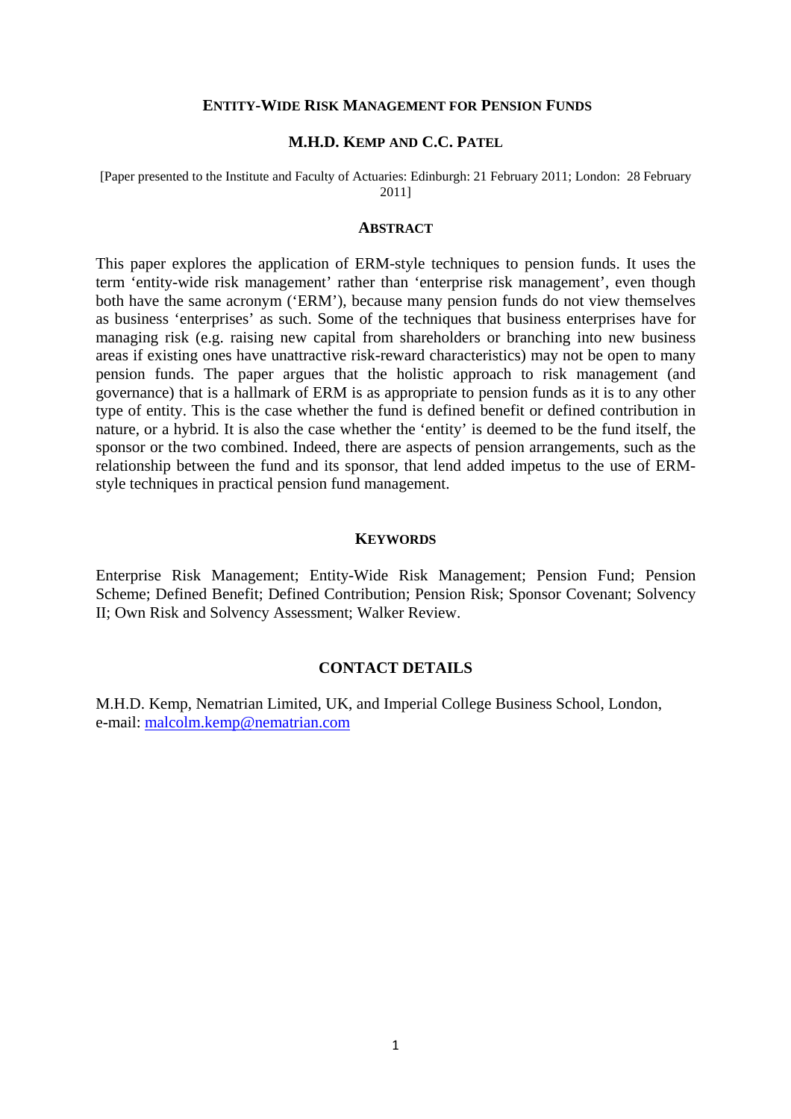#### **ENTITY-WIDE RISK MANAGEMENT FOR PENSION FUNDS**

#### **M.H.D. KEMP AND C.C. PATEL**

[Paper presented to the Institute and Faculty of Actuaries: Edinburgh: 21 February 2011; London: 28 February 2011]

#### **ABSTRACT**

This paper explores the application of ERM-style techniques to pension funds. It uses the term 'entity-wide risk management' rather than 'enterprise risk management', even though both have the same acronym ('ERM'), because many pension funds do not view themselves as business 'enterprises' as such. Some of the techniques that business enterprises have for managing risk (e.g. raising new capital from shareholders or branching into new business areas if existing ones have unattractive risk-reward characteristics) may not be open to many pension funds. The paper argues that the holistic approach to risk management (and governance) that is a hallmark of ERM is as appropriate to pension funds as it is to any other type of entity. This is the case whether the fund is defined benefit or defined contribution in nature, or a hybrid. It is also the case whether the 'entity' is deemed to be the fund itself, the sponsor or the two combined. Indeed, there are aspects of pension arrangements, such as the relationship between the fund and its sponsor, that lend added impetus to the use of ERMstyle techniques in practical pension fund management.

#### **KEYWORDS**

Enterprise Risk Management; Entity-Wide Risk Management; Pension Fund; Pension Scheme; Defined Benefit; Defined Contribution; Pension Risk; Sponsor Covenant; Solvency II; Own Risk and Solvency Assessment; Walker Review.

#### **CONTACT DETAILS**

M.H.D. Kemp, Nematrian Limited, UK, and Imperial College Business School, London, e-mail: malcolm.kemp@nematrian.com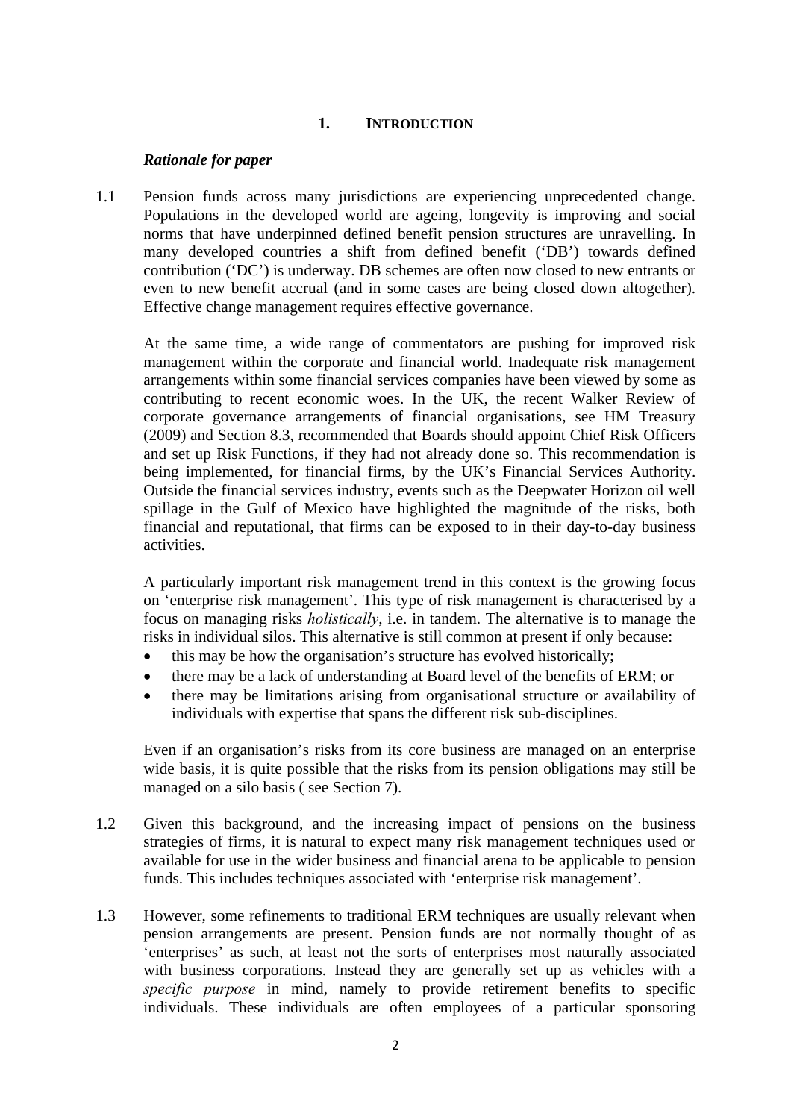#### **1. INTRODUCTION**

#### *Rationale for paper*

1.1 Pension funds across many jurisdictions are experiencing unprecedented change. Populations in the developed world are ageing, longevity is improving and social norms that have underpinned defined benefit pension structures are unravelling. In many developed countries a shift from defined benefit ('DB') towards defined contribution ('DC') is underway. DB schemes are often now closed to new entrants or even to new benefit accrual (and in some cases are being closed down altogether). Effective change management requires effective governance.

At the same time, a wide range of commentators are pushing for improved risk management within the corporate and financial world. Inadequate risk management arrangements within some financial services companies have been viewed by some as contributing to recent economic woes. In the UK, the recent Walker Review of corporate governance arrangements of financial organisations, see HM Treasury (2009) and Section 8.3, recommended that Boards should appoint Chief Risk Officers and set up Risk Functions, if they had not already done so. This recommendation is being implemented, for financial firms, by the UK's Financial Services Authority. Outside the financial services industry, events such as the Deepwater Horizon oil well spillage in the Gulf of Mexico have highlighted the magnitude of the risks, both financial and reputational, that firms can be exposed to in their day-to-day business activities.

A particularly important risk management trend in this context is the growing focus on 'enterprise risk management'. This type of risk management is characterised by a focus on managing risks *holistically*, i.e. in tandem. The alternative is to manage the risks in individual silos. This alternative is still common at present if only because:

- this may be how the organisation's structure has evolved historically;
- there may be a lack of understanding at Board level of the benefits of ERM; or
- there may be limitations arising from organisational structure or availability of individuals with expertise that spans the different risk sub-disciplines.

Even if an organisation's risks from its core business are managed on an enterprise wide basis, it is quite possible that the risks from its pension obligations may still be managed on a silo basis ( see Section 7).

- 1.2 Given this background, and the increasing impact of pensions on the business strategies of firms, it is natural to expect many risk management techniques used or available for use in the wider business and financial arena to be applicable to pension funds. This includes techniques associated with 'enterprise risk management'.
- 1.3 However, some refinements to traditional ERM techniques are usually relevant when pension arrangements are present. Pension funds are not normally thought of as 'enterprises' as such, at least not the sorts of enterprises most naturally associated with business corporations. Instead they are generally set up as vehicles with a *specific purpose* in mind, namely to provide retirement benefits to specific individuals. These individuals are often employees of a particular sponsoring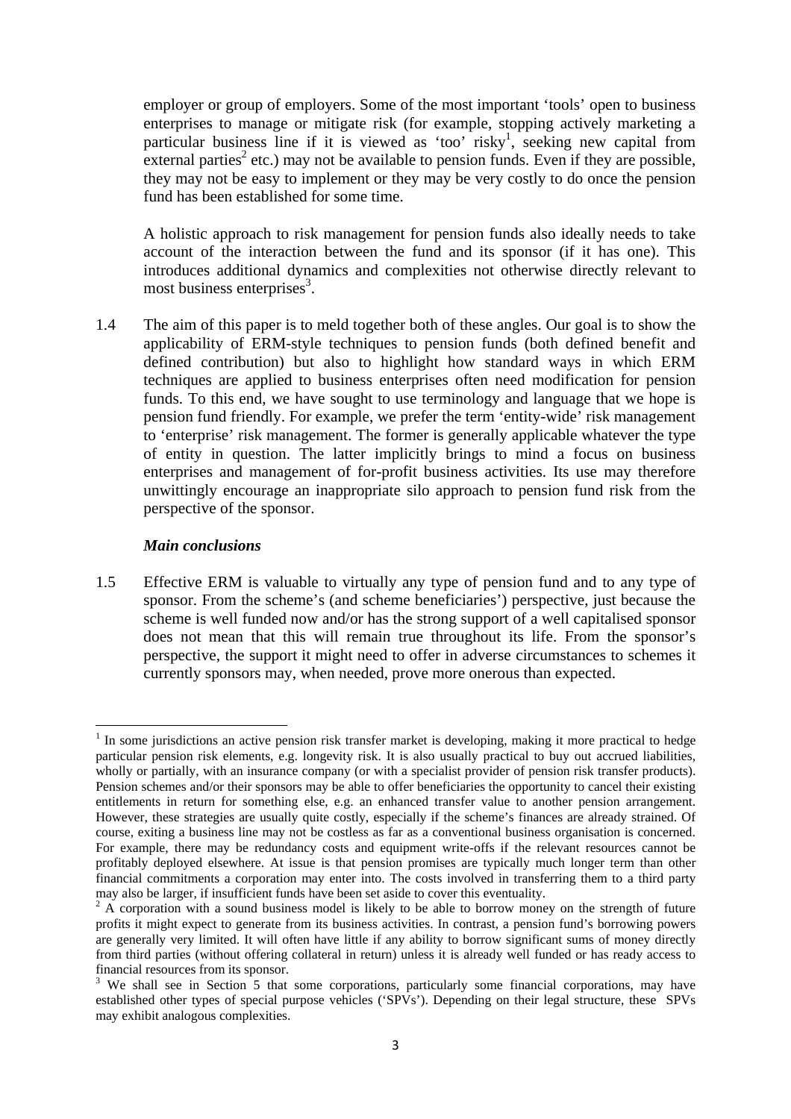employer or group of employers. Some of the most important 'tools' open to business enterprises to manage or mitigate risk (for example, stopping actively marketing a particular business line if it is viewed as 'too' risky<sup>1</sup>, seeking new capital from external parties<sup>2</sup> etc.) may not be available to pension funds. Even if they are possible, they may not be easy to implement or they may be very costly to do once the pension fund has been established for some time.

A holistic approach to risk management for pension funds also ideally needs to take account of the interaction between the fund and its sponsor (if it has one). This introduces additional dynamics and complexities not otherwise directly relevant to most business enterprises<sup>3</sup>.

1.4 The aim of this paper is to meld together both of these angles. Our goal is to show the applicability of ERM-style techniques to pension funds (both defined benefit and defined contribution) but also to highlight how standard ways in which ERM techniques are applied to business enterprises often need modification for pension funds. To this end, we have sought to use terminology and language that we hope is pension fund friendly. For example, we prefer the term 'entity-wide' risk management to 'enterprise' risk management. The former is generally applicable whatever the type of entity in question. The latter implicitly brings to mind a focus on business enterprises and management of for-profit business activities. Its use may therefore unwittingly encourage an inappropriate silo approach to pension fund risk from the perspective of the sponsor.

#### *Main conclusions*

1.5 Effective ERM is valuable to virtually any type of pension fund and to any type of sponsor. From the scheme's (and scheme beneficiaries') perspective, just because the scheme is well funded now and/or has the strong support of a well capitalised sponsor does not mean that this will remain true throughout its life. From the sponsor's perspective, the support it might need to offer in adverse circumstances to schemes it currently sponsors may, when needed, prove more onerous than expected.

<sup>1</sup> In some jurisdictions an active pension risk transfer market is developing, making it more practical to hedge particular pension risk elements, e.g. longevity risk. It is also usually practical to buy out accrued liabilities, wholly or partially, with an insurance company (or with a specialist provider of pension risk transfer products). Pension schemes and/or their sponsors may be able to offer beneficiaries the opportunity to cancel their existing entitlements in return for something else, e.g. an enhanced transfer value to another pension arrangement. However, these strategies are usually quite costly, especially if the scheme's finances are already strained. Of course, exiting a business line may not be costless as far as a conventional business organisation is concerned. For example, there may be redundancy costs and equipment write-offs if the relevant resources cannot be profitably deployed elsewhere. At issue is that pension promises are typically much longer term than other financial commitments a corporation may enter into. The costs involved in transferring them to a third party may also be larger, if insufficient funds have been set aside to cover this eventuality.

 $2 A$  corporation with a sound business model is likely to be able to borrow money on the strength of future profits it might expect to generate from its business activities. In contrast, a pension fund's borrowing powers are generally very limited. It will often have little if any ability to borrow significant sums of money directly from third parties (without offering collateral in return) unless it is already well funded or has ready access to financial resources from its sponsor.

<sup>&</sup>lt;sup>3</sup> We shall see in Section 5 that some corporations, particularly some financial corporations, may have established other types of special purpose vehicles ('SPVs'). Depending on their legal structure, these SPVs may exhibit analogous complexities.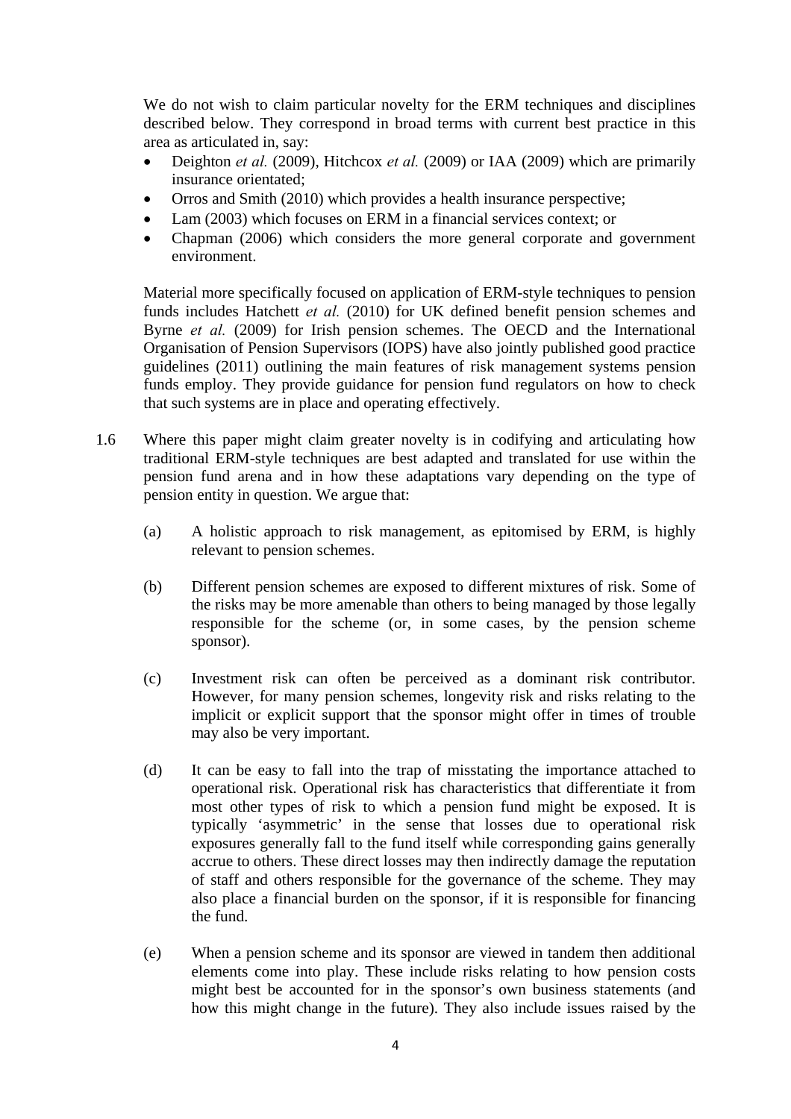We do not wish to claim particular novelty for the ERM techniques and disciplines described below. They correspond in broad terms with current best practice in this area as articulated in, say:

- Deighton *et al.* (2009), Hitchcox *et al.* (2009) or IAA (2009) which are primarily insurance orientated;
- Orros and Smith (2010) which provides a health insurance perspective;
- Lam (2003) which focuses on ERM in a financial services context; or
- Chapman (2006) which considers the more general corporate and government environment.

Material more specifically focused on application of ERM-style techniques to pension funds includes Hatchett *et al.* (2010) for UK defined benefit pension schemes and Byrne *et al.* (2009) for Irish pension schemes. The OECD and the International Organisation of Pension Supervisors (IOPS) have also jointly published good practice guidelines (2011) outlining the main features of risk management systems pension funds employ. They provide guidance for pension fund regulators on how to check that such systems are in place and operating effectively.

- 1.6 Where this paper might claim greater novelty is in codifying and articulating how traditional ERM-style techniques are best adapted and translated for use within the pension fund arena and in how these adaptations vary depending on the type of pension entity in question. We argue that:
	- (a) A holistic approach to risk management, as epitomised by ERM, is highly relevant to pension schemes.
	- (b) Different pension schemes are exposed to different mixtures of risk. Some of the risks may be more amenable than others to being managed by those legally responsible for the scheme (or, in some cases, by the pension scheme sponsor).
	- (c) Investment risk can often be perceived as a dominant risk contributor. However, for many pension schemes, longevity risk and risks relating to the implicit or explicit support that the sponsor might offer in times of trouble may also be very important.
	- (d) It can be easy to fall into the trap of misstating the importance attached to operational risk. Operational risk has characteristics that differentiate it from most other types of risk to which a pension fund might be exposed. It is typically 'asymmetric' in the sense that losses due to operational risk exposures generally fall to the fund itself while corresponding gains generally accrue to others. These direct losses may then indirectly damage the reputation of staff and others responsible for the governance of the scheme. They may also place a financial burden on the sponsor, if it is responsible for financing the fund.
	- (e) When a pension scheme and its sponsor are viewed in tandem then additional elements come into play. These include risks relating to how pension costs might best be accounted for in the sponsor's own business statements (and how this might change in the future). They also include issues raised by the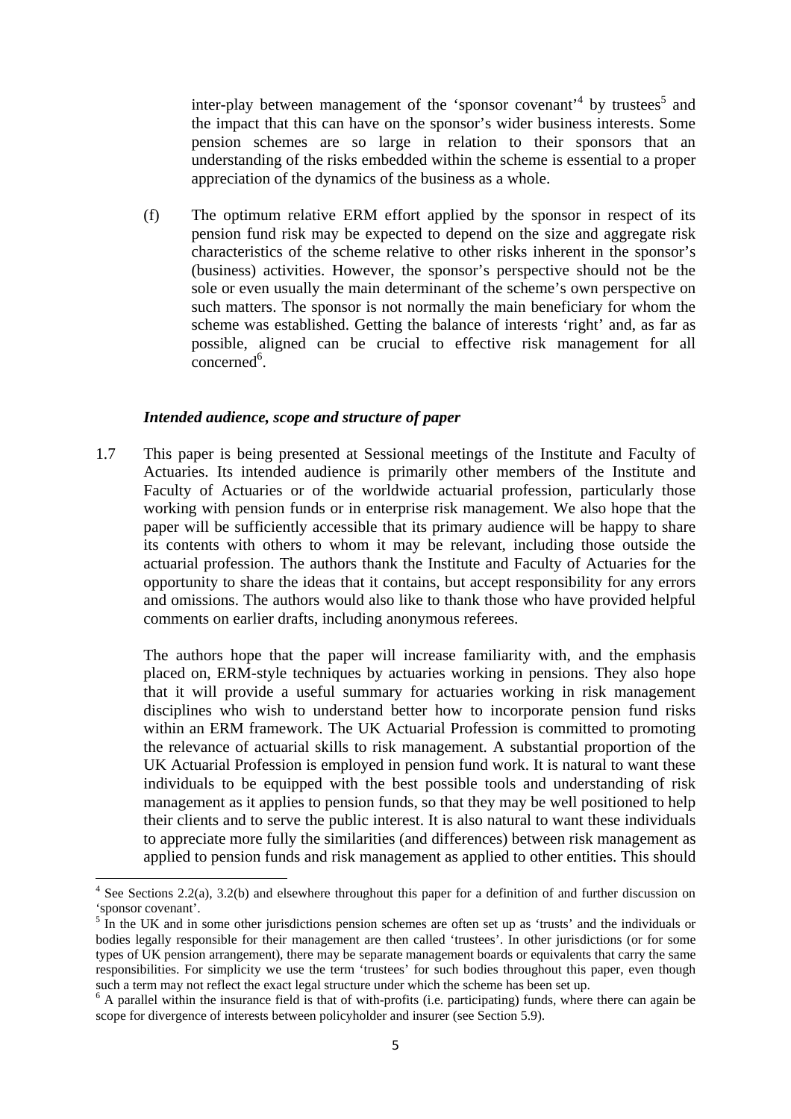inter-play between management of the 'sponsor covenant'<sup>4</sup> by trustees<sup>5</sup> and the impact that this can have on the sponsor's wider business interests. Some pension schemes are so large in relation to their sponsors that an understanding of the risks embedded within the scheme is essential to a proper appreciation of the dynamics of the business as a whole.

(f) The optimum relative ERM effort applied by the sponsor in respect of its pension fund risk may be expected to depend on the size and aggregate risk characteristics of the scheme relative to other risks inherent in the sponsor's (business) activities. However, the sponsor's perspective should not be the sole or even usually the main determinant of the scheme's own perspective on such matters. The sponsor is not normally the main beneficiary for whom the scheme was established. Getting the balance of interests 'right' and, as far as possible, aligned can be crucial to effective risk management for all  $\frac{1}{2}$  concerned<sup>6</sup>.

#### *Intended audience, scope and structure of paper*

1.7 This paper is being presented at Sessional meetings of the Institute and Faculty of Actuaries. Its intended audience is primarily other members of the Institute and Faculty of Actuaries or of the worldwide actuarial profession, particularly those working with pension funds or in enterprise risk management. We also hope that the paper will be sufficiently accessible that its primary audience will be happy to share its contents with others to whom it may be relevant, including those outside the actuarial profession. The authors thank the Institute and Faculty of Actuaries for the opportunity to share the ideas that it contains, but accept responsibility for any errors and omissions. The authors would also like to thank those who have provided helpful comments on earlier drafts, including anonymous referees.

The authors hope that the paper will increase familiarity with, and the emphasis placed on, ERM-style techniques by actuaries working in pensions. They also hope that it will provide a useful summary for actuaries working in risk management disciplines who wish to understand better how to incorporate pension fund risks within an ERM framework. The UK Actuarial Profession is committed to promoting the relevance of actuarial skills to risk management. A substantial proportion of the UK Actuarial Profession is employed in pension fund work. It is natural to want these individuals to be equipped with the best possible tools and understanding of risk management as it applies to pension funds, so that they may be well positioned to help their clients and to serve the public interest. It is also natural to want these individuals to appreciate more fully the similarities (and differences) between risk management as applied to pension funds and risk management as applied to other entities. This should

<sup>4</sup> See Sections 2.2(a), 3.2(b) and elsewhere throughout this paper for a definition of and further discussion on 'sponsor covenant'.

 $<sup>5</sup>$  In the UK and in some other jurisdictions pension schemes are often set up as 'trusts' and the individuals or</sup> bodies legally responsible for their management are then called 'trustees'. In other jurisdictions (or for some types of UK pension arrangement), there may be separate management boards or equivalents that carry the same responsibilities. For simplicity we use the term 'trustees' for such bodies throughout this paper, even though such a term may not reflect the exact legal structure under which the scheme has been set up.

 $6$  A parallel within the insurance field is that of with-profits (i.e. participating) funds, where there can again be scope for divergence of interests between policyholder and insurer (see Section 5.9).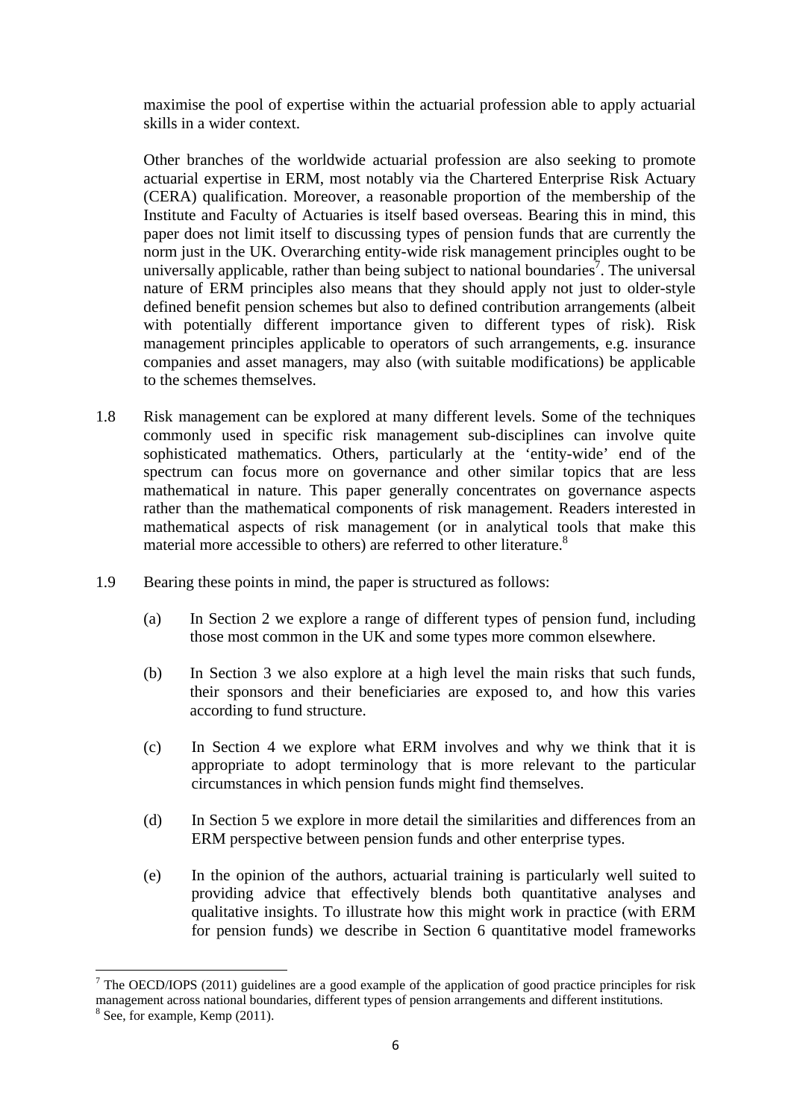maximise the pool of expertise within the actuarial profession able to apply actuarial skills in a wider context.

Other branches of the worldwide actuarial profession are also seeking to promote actuarial expertise in ERM, most notably via the Chartered Enterprise Risk Actuary (CERA) qualification. Moreover, a reasonable proportion of the membership of the Institute and Faculty of Actuaries is itself based overseas. Bearing this in mind, this paper does not limit itself to discussing types of pension funds that are currently the norm just in the UK. Overarching entity-wide risk management principles ought to be universally applicable, rather than being subject to national boundaries<sup>7</sup>. The universal nature of ERM principles also means that they should apply not just to older-style defined benefit pension schemes but also to defined contribution arrangements (albeit with potentially different importance given to different types of risk). Risk management principles applicable to operators of such arrangements, e.g. insurance companies and asset managers, may also (with suitable modifications) be applicable to the schemes themselves.

- 1.8 Risk management can be explored at many different levels. Some of the techniques commonly used in specific risk management sub-disciplines can involve quite sophisticated mathematics. Others, particularly at the 'entity-wide' end of the spectrum can focus more on governance and other similar topics that are less mathematical in nature. This paper generally concentrates on governance aspects rather than the mathematical components of risk management. Readers interested in mathematical aspects of risk management (or in analytical tools that make this material more accessible to others) are referred to other literature.<sup>8</sup>
- 1.9 Bearing these points in mind, the paper is structured as follows:
	- (a) In Section 2 we explore a range of different types of pension fund, including those most common in the UK and some types more common elsewhere.
	- (b) In Section 3 we also explore at a high level the main risks that such funds, their sponsors and their beneficiaries are exposed to, and how this varies according to fund structure.
	- (c) In Section 4 we explore what ERM involves and why we think that it is appropriate to adopt terminology that is more relevant to the particular circumstances in which pension funds might find themselves.
	- (d) In Section 5 we explore in more detail the similarities and differences from an ERM perspective between pension funds and other enterprise types.
	- (e) In the opinion of the authors, actuarial training is particularly well suited to providing advice that effectively blends both quantitative analyses and qualitative insights. To illustrate how this might work in practice (with ERM for pension funds) we describe in Section 6 quantitative model frameworks

<sup>&</sup>lt;sup>7</sup> The OECD/IOPS (2011) guidelines are a good example of the application of good practice principles for risk management across national boundaries, different types of pension arrangements and different institutions. 8

 $8$  See, for example, Kemp (2011).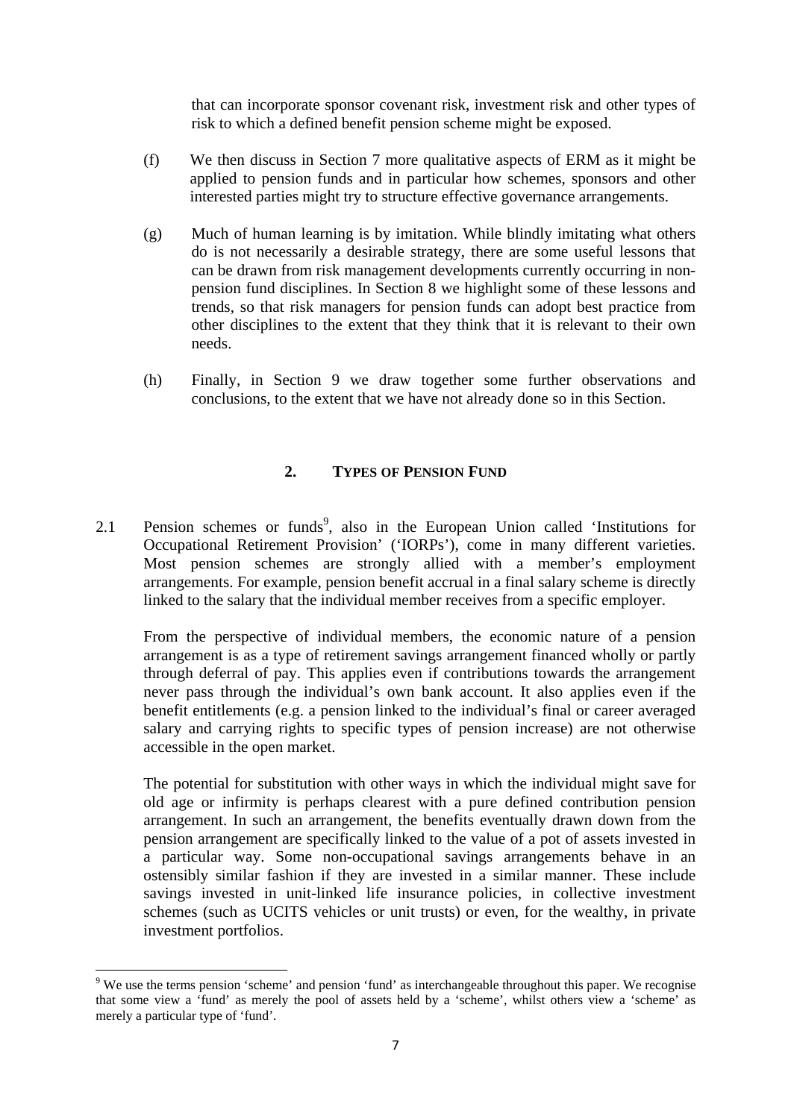that can incorporate sponsor covenant risk, investment risk and other types of risk to which a defined benefit pension scheme might be exposed.

- (f) We then discuss in Section 7 more qualitative aspects of ERM as it might be applied to pension funds and in particular how schemes, sponsors and other interested parties might try to structure effective governance arrangements.
- (g) Much of human learning is by imitation. While blindly imitating what others do is not necessarily a desirable strategy, there are some useful lessons that can be drawn from risk management developments currently occurring in nonpension fund disciplines. In Section 8 we highlight some of these lessons and trends, so that risk managers for pension funds can adopt best practice from other disciplines to the extent that they think that it is relevant to their own needs.
- (h) Finally, in Section 9 we draw together some further observations and conclusions, to the extent that we have not already done so in this Section.

# **2. TYPES OF PENSION FUND**

2.1 Pension schemes or funds<sup>9</sup>, also in the European Union called 'Institutions for Occupational Retirement Provision' ('IORPs'), come in many different varieties. Most pension schemes are strongly allied with a member's employment arrangements. For example, pension benefit accrual in a final salary scheme is directly linked to the salary that the individual member receives from a specific employer.

From the perspective of individual members, the economic nature of a pension arrangement is as a type of retirement savings arrangement financed wholly or partly through deferral of pay. This applies even if contributions towards the arrangement never pass through the individual's own bank account. It also applies even if the benefit entitlements (e.g. a pension linked to the individual's final or career averaged salary and carrying rights to specific types of pension increase) are not otherwise accessible in the open market.

The potential for substitution with other ways in which the individual might save for old age or infirmity is perhaps clearest with a pure defined contribution pension arrangement. In such an arrangement, the benefits eventually drawn down from the pension arrangement are specifically linked to the value of a pot of assets invested in a particular way. Some non-occupational savings arrangements behave in an ostensibly similar fashion if they are invested in a similar manner. These include savings invested in unit-linked life insurance policies, in collective investment schemes (such as UCITS vehicles or unit trusts) or even, for the wealthy, in private investment portfolios.

<sup>&</sup>lt;sup>9</sup> We use the terms pension 'scheme' and pension 'fund' as interchangeable throughout this paper. We recognise that some view a 'fund' as merely the pool of assets held by a 'scheme', whilst others view a 'scheme' as merely a particular type of 'fund'.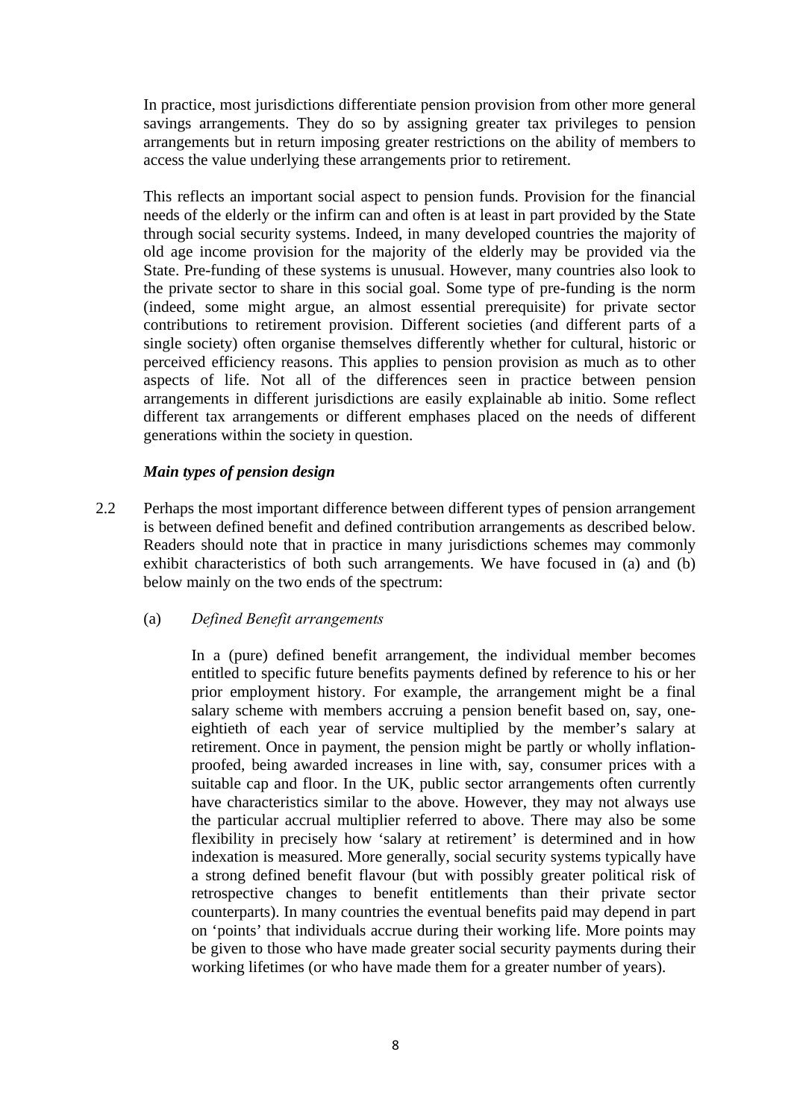In practice, most jurisdictions differentiate pension provision from other more general savings arrangements. They do so by assigning greater tax privileges to pension arrangements but in return imposing greater restrictions on the ability of members to access the value underlying these arrangements prior to retirement.

This reflects an important social aspect to pension funds. Provision for the financial needs of the elderly or the infirm can and often is at least in part provided by the State through social security systems. Indeed, in many developed countries the majority of old age income provision for the majority of the elderly may be provided via the State. Pre-funding of these systems is unusual. However, many countries also look to the private sector to share in this social goal. Some type of pre-funding is the norm (indeed, some might argue, an almost essential prerequisite) for private sector contributions to retirement provision. Different societies (and different parts of a single society) often organise themselves differently whether for cultural, historic or perceived efficiency reasons. This applies to pension provision as much as to other aspects of life. Not all of the differences seen in practice between pension arrangements in different jurisdictions are easily explainable ab initio. Some reflect different tax arrangements or different emphases placed on the needs of different generations within the society in question.

#### *Main types of pension design*

2.2 Perhaps the most important difference between different types of pension arrangement is between defined benefit and defined contribution arrangements as described below. Readers should note that in practice in many jurisdictions schemes may commonly exhibit characteristics of both such arrangements. We have focused in (a) and (b) below mainly on the two ends of the spectrum:

#### (a) *Defined Benefit arrangements*

In a (pure) defined benefit arrangement, the individual member becomes entitled to specific future benefits payments defined by reference to his or her prior employment history. For example, the arrangement might be a final salary scheme with members accruing a pension benefit based on, say, oneeightieth of each year of service multiplied by the member's salary at retirement. Once in payment, the pension might be partly or wholly inflationproofed, being awarded increases in line with, say, consumer prices with a suitable cap and floor. In the UK, public sector arrangements often currently have characteristics similar to the above. However, they may not always use the particular accrual multiplier referred to above. There may also be some flexibility in precisely how 'salary at retirement' is determined and in how indexation is measured. More generally, social security systems typically have a strong defined benefit flavour (but with possibly greater political risk of retrospective changes to benefit entitlements than their private sector counterparts). In many countries the eventual benefits paid may depend in part on 'points' that individuals accrue during their working life. More points may be given to those who have made greater social security payments during their working lifetimes (or who have made them for a greater number of years).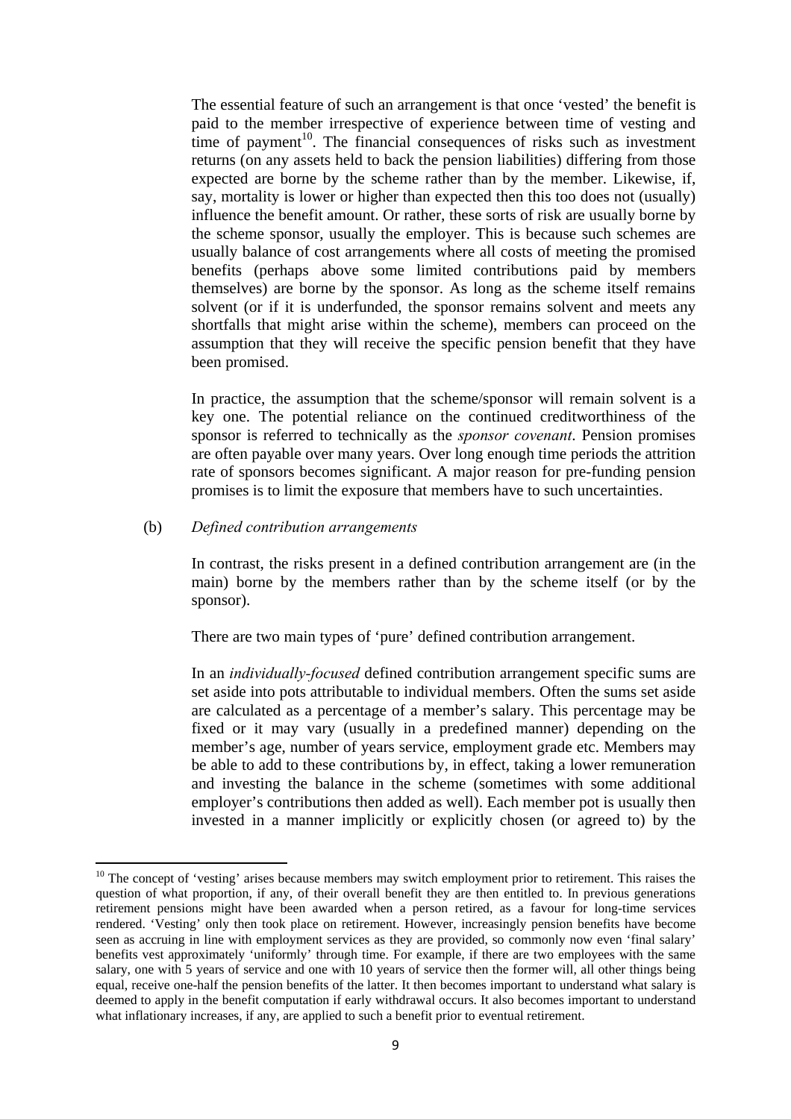The essential feature of such an arrangement is that once 'vested' the benefit is paid to the member irrespective of experience between time of vesting and time of payment<sup>10</sup>. The financial consequences of risks such as investment returns (on any assets held to back the pension liabilities) differing from those expected are borne by the scheme rather than by the member. Likewise, if, say, mortality is lower or higher than expected then this too does not (usually) influence the benefit amount. Or rather, these sorts of risk are usually borne by the scheme sponsor, usually the employer. This is because such schemes are usually balance of cost arrangements where all costs of meeting the promised benefits (perhaps above some limited contributions paid by members themselves) are borne by the sponsor. As long as the scheme itself remains solvent (or if it is underfunded, the sponsor remains solvent and meets any shortfalls that might arise within the scheme), members can proceed on the assumption that they will receive the specific pension benefit that they have been promised.

In practice, the assumption that the scheme/sponsor will remain solvent is a key one. The potential reliance on the continued creditworthiness of the sponsor is referred to technically as the *sponsor covenant*. Pension promises are often payable over many years. Over long enough time periods the attrition rate of sponsors becomes significant. A major reason for pre-funding pension promises is to limit the exposure that members have to such uncertainties.

#### (b) *Defined contribution arrangements*

In contrast, the risks present in a defined contribution arrangement are (in the main) borne by the members rather than by the scheme itself (or by the sponsor).

There are two main types of 'pure' defined contribution arrangement.

In an *individually-focused* defined contribution arrangement specific sums are set aside into pots attributable to individual members. Often the sums set aside are calculated as a percentage of a member's salary. This percentage may be fixed or it may vary (usually in a predefined manner) depending on the member's age, number of years service, employment grade etc. Members may be able to add to these contributions by, in effect, taking a lower remuneration and investing the balance in the scheme (sometimes with some additional employer's contributions then added as well). Each member pot is usually then invested in a manner implicitly or explicitly chosen (or agreed to) by the

<sup>&</sup>lt;sup>10</sup> The concept of 'vesting' arises because members may switch employment prior to retirement. This raises the question of what proportion, if any, of their overall benefit they are then entitled to. In previous generations retirement pensions might have been awarded when a person retired, as a favour for long-time services rendered. 'Vesting' only then took place on retirement. However, increasingly pension benefits have become seen as accruing in line with employment services as they are provided, so commonly now even 'final salary' benefits vest approximately 'uniformly' through time. For example, if there are two employees with the same salary, one with 5 years of service and one with 10 years of service then the former will, all other things being equal, receive one-half the pension benefits of the latter. It then becomes important to understand what salary is deemed to apply in the benefit computation if early withdrawal occurs. It also becomes important to understand what inflationary increases, if any, are applied to such a benefit prior to eventual retirement.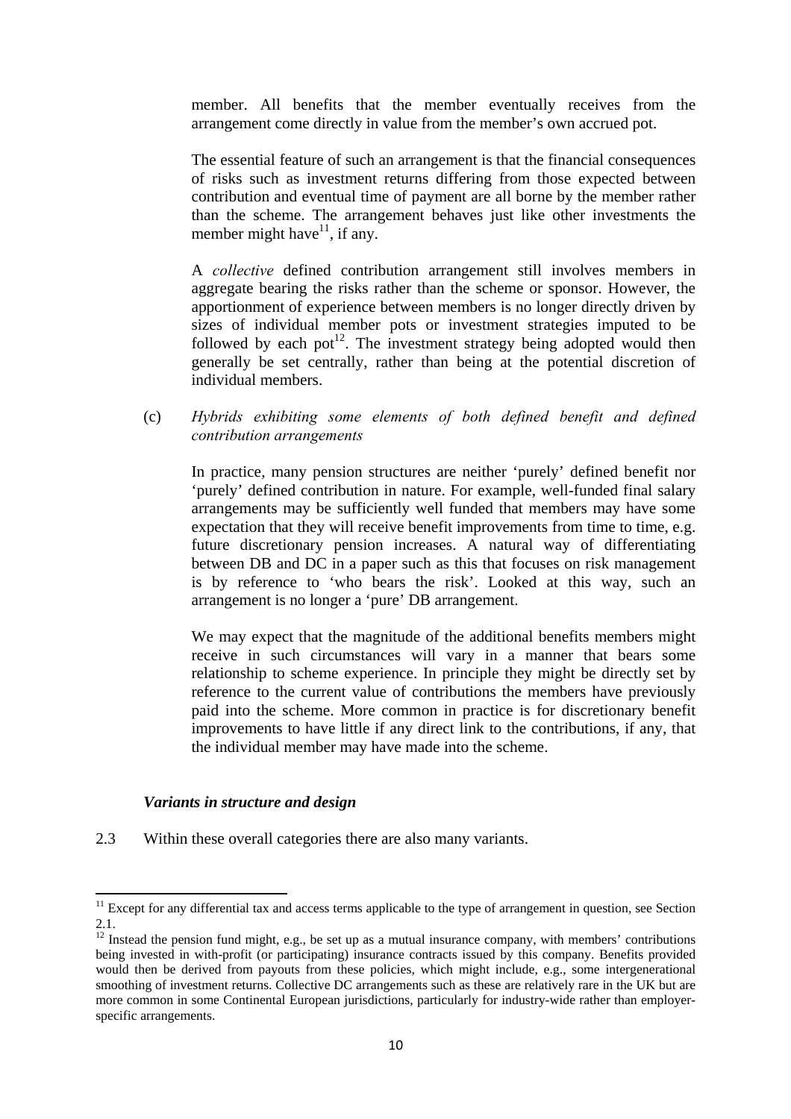member. All benefits that the member eventually receives from the arrangement come directly in value from the member's own accrued pot.

The essential feature of such an arrangement is that the financial consequences of risks such as investment returns differing from those expected between contribution and eventual time of payment are all borne by the member rather than the scheme. The arrangement behaves just like other investments the member might have  $\frac{11}{1}$ , if any.

A *collective* defined contribution arrangement still involves members in aggregate bearing the risks rather than the scheme or sponsor. However, the apportionment of experience between members is no longer directly driven by sizes of individual member pots or investment strategies imputed to be followed by each pot<sup>12</sup>. The investment strategy being adopted would then generally be set centrally, rather than being at the potential discretion of individual members.

(c) *Hybrids exhibiting some elements of both defined benefit and defined contribution arrangements*

In practice, many pension structures are neither 'purely' defined benefit nor 'purely' defined contribution in nature. For example, well-funded final salary arrangements may be sufficiently well funded that members may have some expectation that they will receive benefit improvements from time to time, e.g. future discretionary pension increases. A natural way of differentiating between DB and DC in a paper such as this that focuses on risk management is by reference to 'who bears the risk'. Looked at this way, such an arrangement is no longer a 'pure' DB arrangement.

We may expect that the magnitude of the additional benefits members might receive in such circumstances will vary in a manner that bears some relationship to scheme experience. In principle they might be directly set by reference to the current value of contributions the members have previously paid into the scheme. More common in practice is for discretionary benefit improvements to have little if any direct link to the contributions, if any, that the individual member may have made into the scheme.

#### *Variants in structure and design*

2.3 Within these overall categories there are also many variants.

 $11$  Except for any differential tax and access terms applicable to the type of arrangement in question, see Section 2.1.

<sup>&</sup>lt;sup>12</sup> Instead the pension fund might, e.g., be set up as a mutual insurance company, with members' contributions being invested in with-profit (or participating) insurance contracts issued by this company. Benefits provided would then be derived from payouts from these policies, which might include, e.g., some intergenerational smoothing of investment returns. Collective DC arrangements such as these are relatively rare in the UK but are more common in some Continental European jurisdictions, particularly for industry-wide rather than employerspecific arrangements.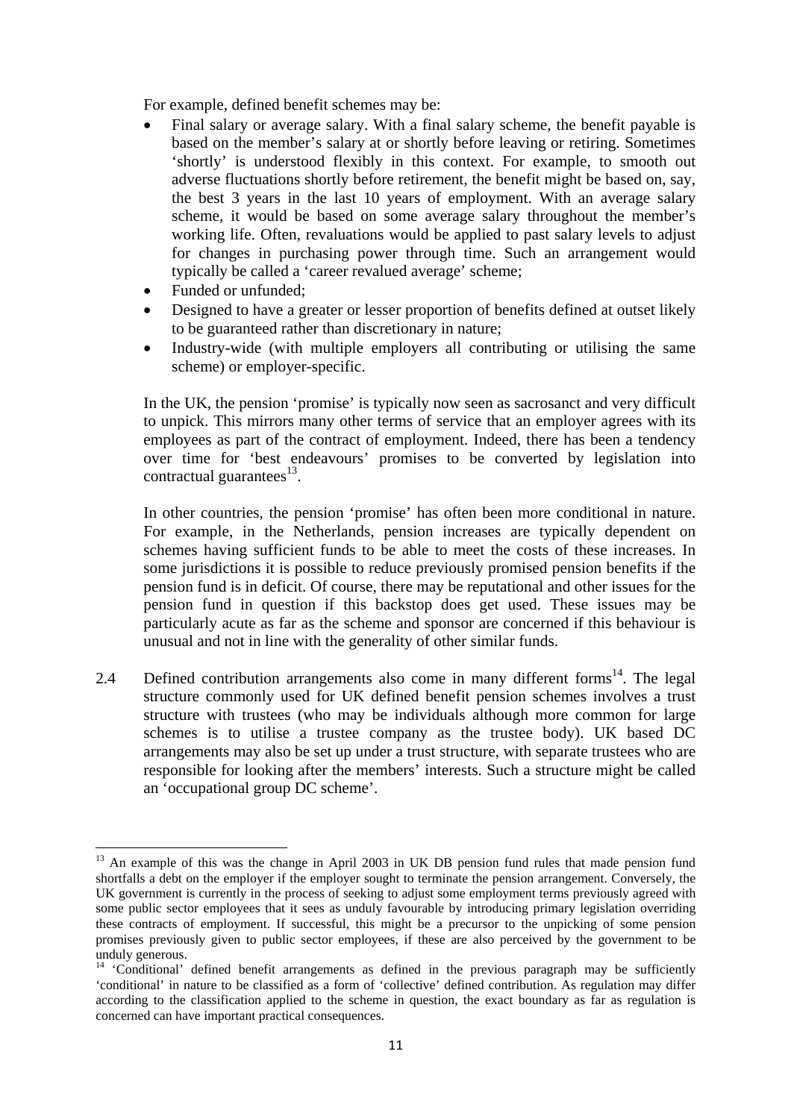For example, defined benefit schemes may be:

- Final salary or average salary. With a final salary scheme, the benefit payable is based on the member's salary at or shortly before leaving or retiring. Sometimes 'shortly' is understood flexibly in this context. For example, to smooth out adverse fluctuations shortly before retirement, the benefit might be based on, say, the best 3 years in the last 10 years of employment. With an average salary scheme, it would be based on some average salary throughout the member's working life. Often, revaluations would be applied to past salary levels to adjust for changes in purchasing power through time. Such an arrangement would typically be called a 'career revalued average' scheme;
- Funded or unfunded;

- Designed to have a greater or lesser proportion of benefits defined at outset likely to be guaranteed rather than discretionary in nature;
- Industry-wide (with multiple employers all contributing or utilising the same scheme) or employer-specific.

In the UK, the pension 'promise' is typically now seen as sacrosanct and very difficult to unpick. This mirrors many other terms of service that an employer agrees with its employees as part of the contract of employment. Indeed, there has been a tendency over time for 'best endeavours' promises to be converted by legislation into contractual guarantees $^{13}$ .

In other countries, the pension 'promise' has often been more conditional in nature. For example, in the Netherlands, pension increases are typically dependent on schemes having sufficient funds to be able to meet the costs of these increases. In some jurisdictions it is possible to reduce previously promised pension benefits if the pension fund is in deficit. Of course, there may be reputational and other issues for the pension fund in question if this backstop does get used. These issues may be particularly acute as far as the scheme and sponsor are concerned if this behaviour is unusual and not in line with the generality of other similar funds.

2.4 Defined contribution arrangements also come in many different forms<sup>14</sup>. The legal structure commonly used for UK defined benefit pension schemes involves a trust structure with trustees (who may be individuals although more common for large schemes is to utilise a trustee company as the trustee body). UK based DC arrangements may also be set up under a trust structure, with separate trustees who are responsible for looking after the members' interests. Such a structure might be called an 'occupational group DC scheme'.

<sup>&</sup>lt;sup>13</sup> An example of this was the change in April 2003 in UK DB pension fund rules that made pension fund shortfalls a debt on the employer if the employer sought to terminate the pension arrangement. Conversely, the UK government is currently in the process of seeking to adjust some employment terms previously agreed with some public sector employees that it sees as unduly favourable by introducing primary legislation overriding these contracts of employment. If successful, this might be a precursor to the unpicking of some pension promises previously given to public sector employees, if these are also perceived by the government to be unduly generous.

<sup>&</sup>lt;sup>14</sup> 'Conditional' defined benefit arrangements as defined in the previous paragraph may be sufficiently 'conditional' in nature to be classified as a form of 'collective' defined contribution. As regulation may differ according to the classification applied to the scheme in question, the exact boundary as far as regulation is concerned can have important practical consequences.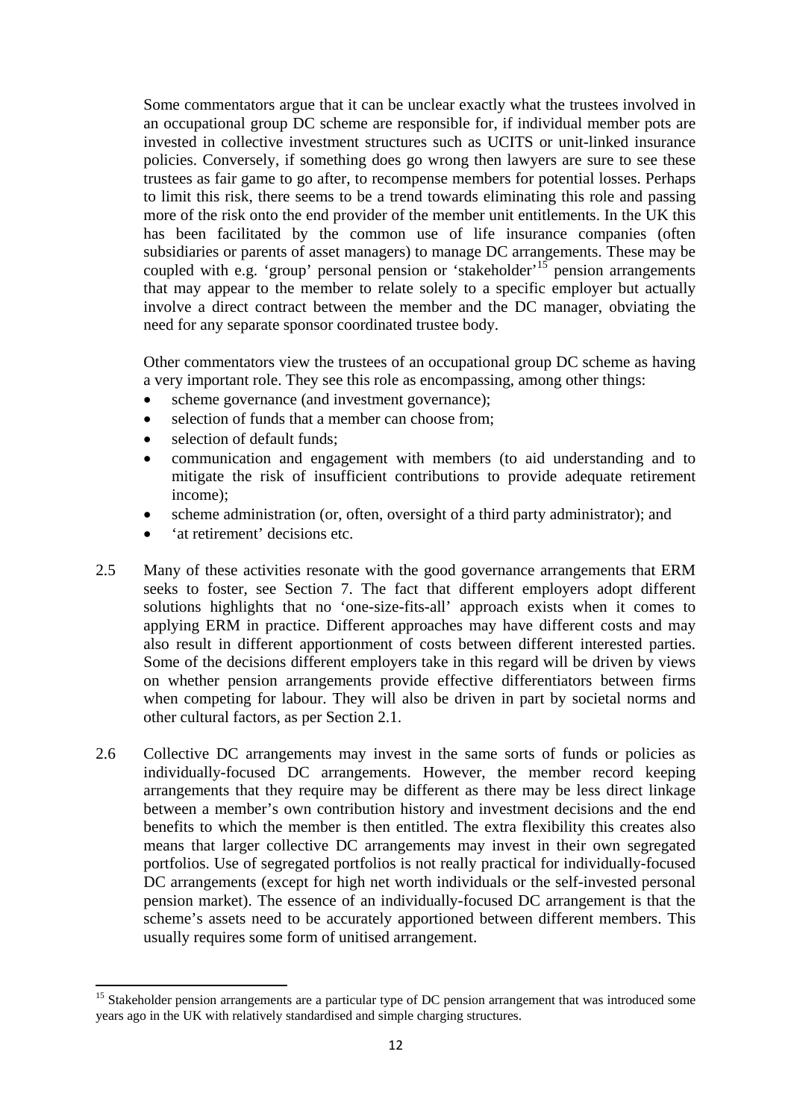Some commentators argue that it can be unclear exactly what the trustees involved in an occupational group DC scheme are responsible for, if individual member pots are invested in collective investment structures such as UCITS or unit-linked insurance policies. Conversely, if something does go wrong then lawyers are sure to see these trustees as fair game to go after, to recompense members for potential losses. Perhaps to limit this risk, there seems to be a trend towards eliminating this role and passing more of the risk onto the end provider of the member unit entitlements. In the UK this has been facilitated by the common use of life insurance companies (often subsidiaries or parents of asset managers) to manage DC arrangements. These may be coupled with e.g. 'group' personal pension or 'stakeholder'<sup>15</sup> pension arrangements that may appear to the member to relate solely to a specific employer but actually involve a direct contract between the member and the DC manager, obviating the need for any separate sponsor coordinated trustee body.

Other commentators view the trustees of an occupational group DC scheme as having a very important role. They see this role as encompassing, among other things:

- scheme governance (and investment governance);
- selection of funds that a member can choose from;
- selection of default funds;
- communication and engagement with members (to aid understanding and to mitigate the risk of insufficient contributions to provide adequate retirement income);
- scheme administration (or, often, oversight of a third party administrator); and
- 'at retirement' decisions etc.
- 2.5 Many of these activities resonate with the good governance arrangements that ERM seeks to foster, see Section 7. The fact that different employers adopt different solutions highlights that no 'one-size-fits-all' approach exists when it comes to applying ERM in practice. Different approaches may have different costs and may also result in different apportionment of costs between different interested parties. Some of the decisions different employers take in this regard will be driven by views on whether pension arrangements provide effective differentiators between firms when competing for labour. They will also be driven in part by societal norms and other cultural factors, as per Section 2.1.
- 2.6 Collective DC arrangements may invest in the same sorts of funds or policies as individually-focused DC arrangements. However, the member record keeping arrangements that they require may be different as there may be less direct linkage between a member's own contribution history and investment decisions and the end benefits to which the member is then entitled. The extra flexibility this creates also means that larger collective DC arrangements may invest in their own segregated portfolios. Use of segregated portfolios is not really practical for individually-focused DC arrangements (except for high net worth individuals or the self-invested personal pension market). The essence of an individually-focused DC arrangement is that the scheme's assets need to be accurately apportioned between different members. This usually requires some form of unitised arrangement.

 <sup>15</sup> Stakeholder pension arrangements are a particular type of DC pension arrangement that was introduced some years ago in the UK with relatively standardised and simple charging structures.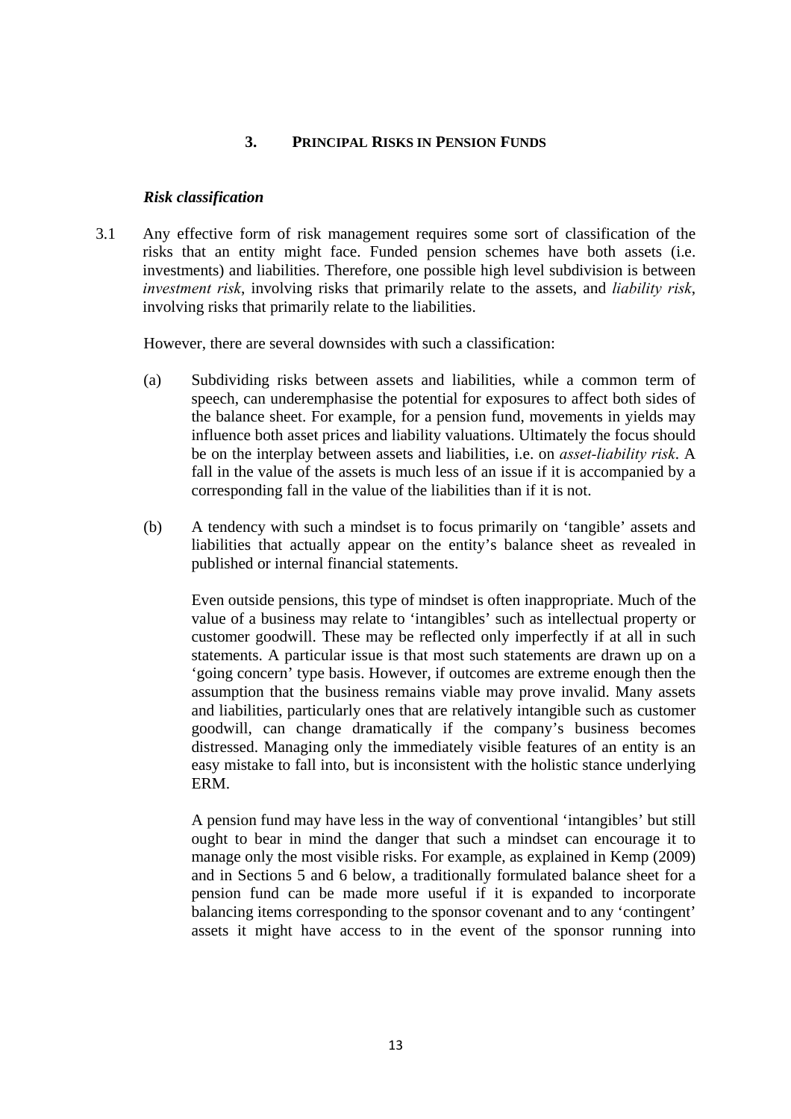#### **3. PRINCIPAL RISKS IN PENSION FUNDS**

#### *Risk classification*

3.1 Any effective form of risk management requires some sort of classification of the risks that an entity might face. Funded pension schemes have both assets (i.e. investments) and liabilities. Therefore, one possible high level subdivision is between *investment risk*, involving risks that primarily relate to the assets, and *liability risk*, involving risks that primarily relate to the liabilities.

However, there are several downsides with such a classification:

- (a) Subdividing risks between assets and liabilities, while a common term of speech, can underemphasise the potential for exposures to affect both sides of the balance sheet. For example, for a pension fund, movements in yields may influence both asset prices and liability valuations. Ultimately the focus should be on the interplay between assets and liabilities, i.e. on *asset-liability risk*. A fall in the value of the assets is much less of an issue if it is accompanied by a corresponding fall in the value of the liabilities than if it is not.
- (b) A tendency with such a mindset is to focus primarily on 'tangible' assets and liabilities that actually appear on the entity's balance sheet as revealed in published or internal financial statements.

Even outside pensions, this type of mindset is often inappropriate. Much of the value of a business may relate to 'intangibles' such as intellectual property or customer goodwill. These may be reflected only imperfectly if at all in such statements. A particular issue is that most such statements are drawn up on a 'going concern' type basis. However, if outcomes are extreme enough then the assumption that the business remains viable may prove invalid. Many assets and liabilities, particularly ones that are relatively intangible such as customer goodwill, can change dramatically if the company's business becomes distressed. Managing only the immediately visible features of an entity is an easy mistake to fall into, but is inconsistent with the holistic stance underlying ERM.

A pension fund may have less in the way of conventional 'intangibles' but still ought to bear in mind the danger that such a mindset can encourage it to manage only the most visible risks. For example, as explained in Kemp (2009) and in Sections 5 and 6 below, a traditionally formulated balance sheet for a pension fund can be made more useful if it is expanded to incorporate balancing items corresponding to the sponsor covenant and to any 'contingent' assets it might have access to in the event of the sponsor running into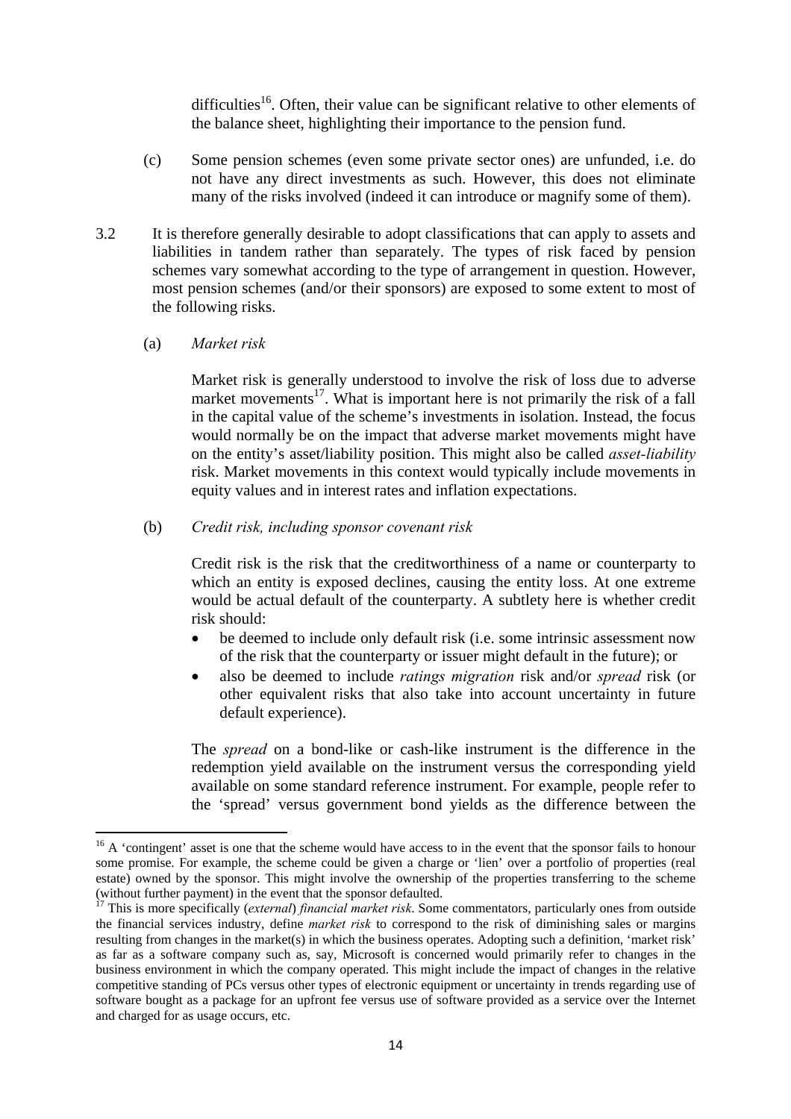difficulties<sup>16</sup>. Often, their value can be significant relative to other elements of the balance sheet, highlighting their importance to the pension fund.

- (c) Some pension schemes (even some private sector ones) are unfunded, i.e. do not have any direct investments as such. However, this does not eliminate many of the risks involved (indeed it can introduce or magnify some of them).
- 3.2 It is therefore generally desirable to adopt classifications that can apply to assets and liabilities in tandem rather than separately. The types of risk faced by pension schemes vary somewhat according to the type of arrangement in question. However, most pension schemes (and/or their sponsors) are exposed to some extent to most of the following risks.

#### (a) *Market risk*

 Market risk is generally understood to involve the risk of loss due to adverse market movements<sup>17</sup>. What is important here is not primarily the risk of a fall in the capital value of the scheme's investments in isolation. Instead, the focus would normally be on the impact that adverse market movements might have on the entity's asset/liability position. This might also be called *asset-liability* risk. Market movements in this context would typically include movements in equity values and in interest rates and inflation expectations.

#### (b) *Credit risk, including sponsor covenant risk*

Credit risk is the risk that the creditworthiness of a name or counterparty to which an entity is exposed declines, causing the entity loss. At one extreme would be actual default of the counterparty. A subtlety here is whether credit risk should:

- be deemed to include only default risk (i.e. some intrinsic assessment now of the risk that the counterparty or issuer might default in the future); or
- also be deemed to include *ratings migration* risk and/or *spread* risk (or other equivalent risks that also take into account uncertainty in future default experience).

The *spread* on a bond-like or cash-like instrument is the difference in the redemption yield available on the instrument versus the corresponding yield available on some standard reference instrument. For example, people refer to the 'spread' versus government bond yields as the difference between the

 $16$  A 'contingent' asset is one that the scheme would have access to in the event that the sponsor fails to honour some promise. For example, the scheme could be given a charge or 'lien' over a portfolio of properties (real estate) owned by the sponsor. This might involve the ownership of the properties transferring to the scheme (without further payment) in the event that the sponsor defaulted.

<sup>&</sup>lt;sup>17</sup> This is more specifically (*external*) *financial market risk*. Some commentators, particularly ones from outside the financial services industry, define *market risk* to correspond to the risk of diminishing sales or margins resulting from changes in the market(s) in which the business operates. Adopting such a definition, 'market risk' as far as a software company such as, say, Microsoft is concerned would primarily refer to changes in the business environment in which the company operated. This might include the impact of changes in the relative competitive standing of PCs versus other types of electronic equipment or uncertainty in trends regarding use of software bought as a package for an upfront fee versus use of software provided as a service over the Internet and charged for as usage occurs, etc.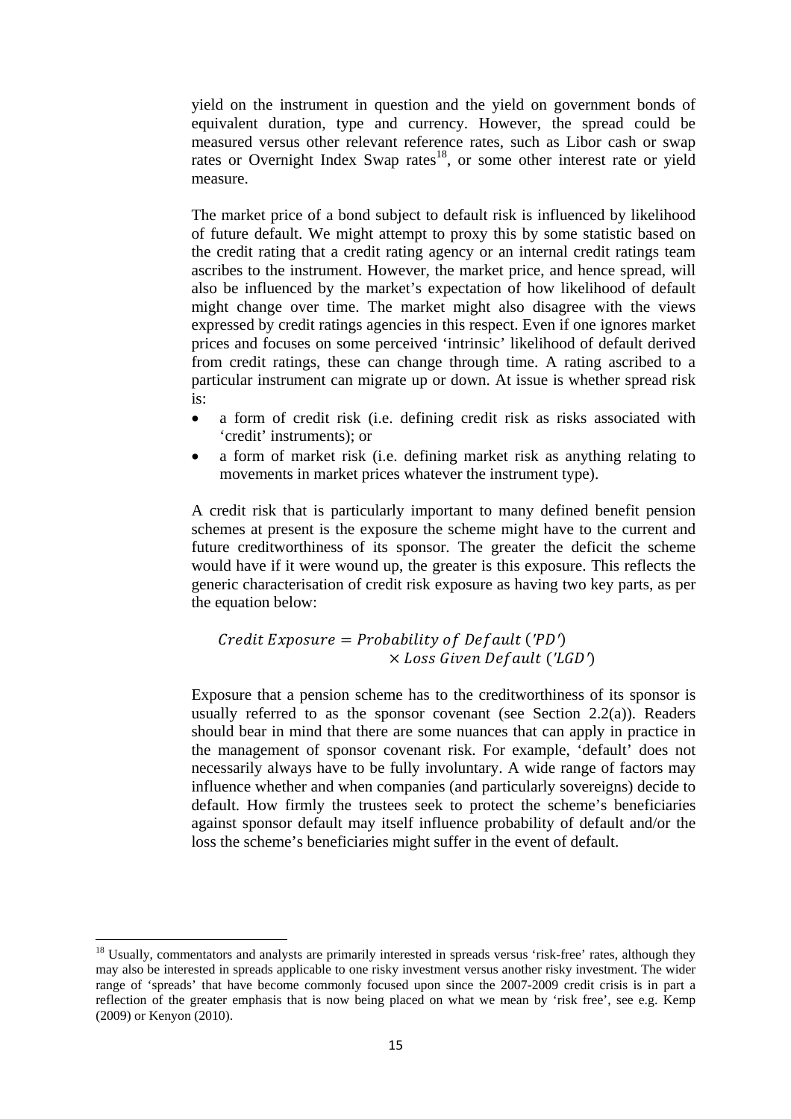yield on the instrument in question and the yield on government bonds of equivalent duration, type and currency. However, the spread could be measured versus other relevant reference rates, such as Libor cash or swap rates or Overnight Index Swap rates<sup>18</sup>, or some other interest rate or yield measure.

The market price of a bond subject to default risk is influenced by likelihood of future default. We might attempt to proxy this by some statistic based on the credit rating that a credit rating agency or an internal credit ratings team ascribes to the instrument. However, the market price, and hence spread, will also be influenced by the market's expectation of how likelihood of default might change over time. The market might also disagree with the views expressed by credit ratings agencies in this respect. Even if one ignores market prices and focuses on some perceived 'intrinsic' likelihood of default derived from credit ratings, these can change through time. A rating ascribed to a particular instrument can migrate up or down. At issue is whether spread risk is:

- a form of credit risk (i.e. defining credit risk as risks associated with 'credit' instruments); or
- a form of market risk (i.e. defining market risk as anything relating to movements in market prices whatever the instrument type).

 A credit risk that is particularly important to many defined benefit pension schemes at present is the exposure the scheme might have to the current and future creditworthiness of its sponsor. The greater the deficit the scheme would have if it were wound up, the greater is this exposure. This reflects the generic characterisation of credit risk exposure as having two key parts, as per the equation below:

# *Credit Exposure = Probability of Default ('PD')*  $\times$  Loss Given Default ('LGD')

Exposure that a pension scheme has to the creditworthiness of its sponsor is usually referred to as the sponsor covenant (see Section 2.2(a)). Readers should bear in mind that there are some nuances that can apply in practice in the management of sponsor covenant risk. For example, 'default' does not necessarily always have to be fully involuntary. A wide range of factors may influence whether and when companies (and particularly sovereigns) decide to default. How firmly the trustees seek to protect the scheme's beneficiaries against sponsor default may itself influence probability of default and/or the loss the scheme's beneficiaries might suffer in the event of default.

 $18$  Usually, commentators and analysts are primarily interested in spreads versus 'risk-free' rates, although they may also be interested in spreads applicable to one risky investment versus another risky investment. The wider range of 'spreads' that have become commonly focused upon since the 2007-2009 credit crisis is in part a reflection of the greater emphasis that is now being placed on what we mean by 'risk free', see e.g. Kemp (2009) or Kenyon (2010).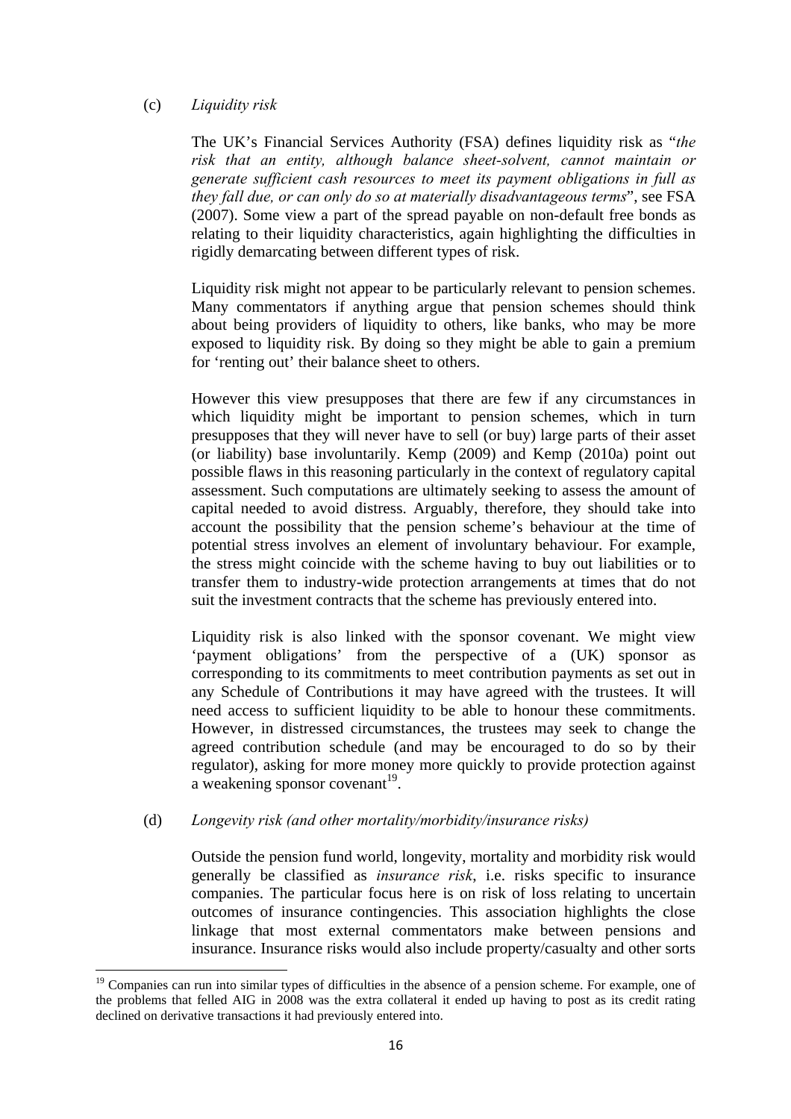#### (c) *Liquidity risk*

 The UK's Financial Services Authority (FSA) defines liquidity risk as "*the risk that an entity, although balance sheet-solvent, cannot maintain or generate sufficient cash resources to meet its payment obligations in full as they fall due, or can only do so at materially disadvantageous terms*", see FSA (2007). Some view a part of the spread payable on non-default free bonds as relating to their liquidity characteristics, again highlighting the difficulties in rigidly demarcating between different types of risk.

 Liquidity risk might not appear to be particularly relevant to pension schemes. Many commentators if anything argue that pension schemes should think about being providers of liquidity to others, like banks, who may be more exposed to liquidity risk. By doing so they might be able to gain a premium for 'renting out' their balance sheet to others.

However this view presupposes that there are few if any circumstances in which liquidity might be important to pension schemes, which in turn presupposes that they will never have to sell (or buy) large parts of their asset (or liability) base involuntarily. Kemp (2009) and Kemp (2010a) point out possible flaws in this reasoning particularly in the context of regulatory capital assessment. Such computations are ultimately seeking to assess the amount of capital needed to avoid distress. Arguably, therefore, they should take into account the possibility that the pension scheme's behaviour at the time of potential stress involves an element of involuntary behaviour. For example, the stress might coincide with the scheme having to buy out liabilities or to transfer them to industry-wide protection arrangements at times that do not suit the investment contracts that the scheme has previously entered into.

Liquidity risk is also linked with the sponsor covenant. We might view 'payment obligations' from the perspective of a (UK) sponsor as corresponding to its commitments to meet contribution payments as set out in any Schedule of Contributions it may have agreed with the trustees. It will need access to sufficient liquidity to be able to honour these commitments. However, in distressed circumstances, the trustees may seek to change the agreed contribution schedule (and may be encouraged to do so by their regulator), asking for more money more quickly to provide protection against a weakening sponsor covenant<sup>19</sup>.

#### (d) *Longevity risk (and other mortality/morbidity/insurance risks)*

 Outside the pension fund world, longevity, mortality and morbidity risk would generally be classified as *insurance risk*, i.e. risks specific to insurance companies. The particular focus here is on risk of loss relating to uncertain outcomes of insurance contingencies. This association highlights the close linkage that most external commentators make between pensions and insurance. Insurance risks would also include property/casualty and other sorts

<sup>&</sup>lt;sup>19</sup> Companies can run into similar types of difficulties in the absence of a pension scheme. For example, one of the problems that felled AIG in 2008 was the extra collateral it ended up having to post as its credit rating declined on derivative transactions it had previously entered into.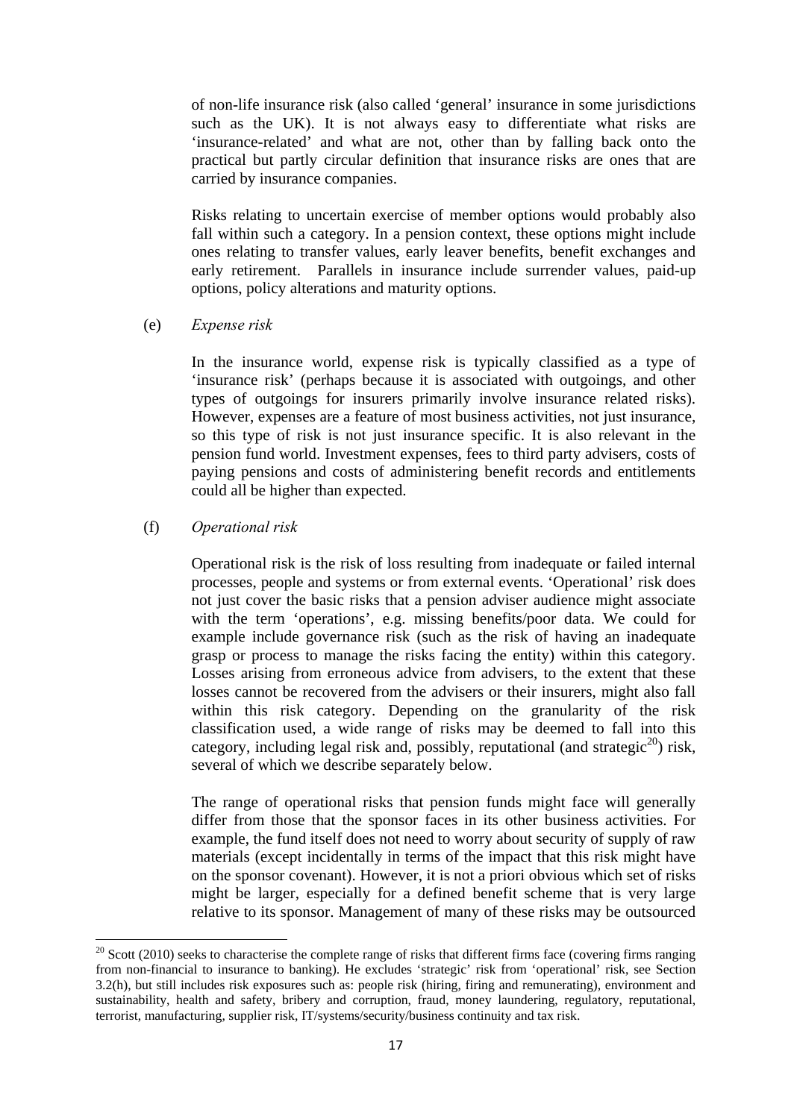of non-life insurance risk (also called 'general' insurance in some jurisdictions such as the UK). It is not always easy to differentiate what risks are 'insurance-related' and what are not, other than by falling back onto the practical but partly circular definition that insurance risks are ones that are carried by insurance companies.

 Risks relating to uncertain exercise of member options would probably also fall within such a category. In a pension context, these options might include ones relating to transfer values, early leaver benefits, benefit exchanges and early retirement. Parallels in insurance include surrender values, paid-up options, policy alterations and maturity options.

#### (e) *Expense risk*

In the insurance world, expense risk is typically classified as a type of 'insurance risk' (perhaps because it is associated with outgoings, and other types of outgoings for insurers primarily involve insurance related risks). However, expenses are a feature of most business activities, not just insurance, so this type of risk is not just insurance specific. It is also relevant in the pension fund world. Investment expenses, fees to third party advisers, costs of paying pensions and costs of administering benefit records and entitlements could all be higher than expected.

#### (f) *Operational risk*

 Operational risk is the risk of loss resulting from inadequate or failed internal processes, people and systems or from external events. 'Operational' risk does not just cover the basic risks that a pension adviser audience might associate with the term 'operations', e.g. missing benefits/poor data. We could for example include governance risk (such as the risk of having an inadequate grasp or process to manage the risks facing the entity) within this category. Losses arising from erroneous advice from advisers, to the extent that these losses cannot be recovered from the advisers or their insurers, might also fall within this risk category. Depending on the granularity of the risk classification used, a wide range of risks may be deemed to fall into this category, including legal risk and, possibly, reputational (and strategic<sup>20</sup>) risk, several of which we describe separately below.

 The range of operational risks that pension funds might face will generally differ from those that the sponsor faces in its other business activities. For example, the fund itself does not need to worry about security of supply of raw materials (except incidentally in terms of the impact that this risk might have on the sponsor covenant). However, it is not a priori obvious which set of risks might be larger, especially for a defined benefit scheme that is very large relative to its sponsor. Management of many of these risks may be outsourced

 $20$  Scott (2010) seeks to characterise the complete range of risks that different firms face (covering firms ranging from non-financial to insurance to banking). He excludes 'strategic' risk from 'operational' risk, see Section 3.2(h), but still includes risk exposures such as: people risk (hiring, firing and remunerating), environment and sustainability, health and safety, bribery and corruption, fraud, money laundering, regulatory, reputational, terrorist, manufacturing, supplier risk, IT/systems/security/business continuity and tax risk.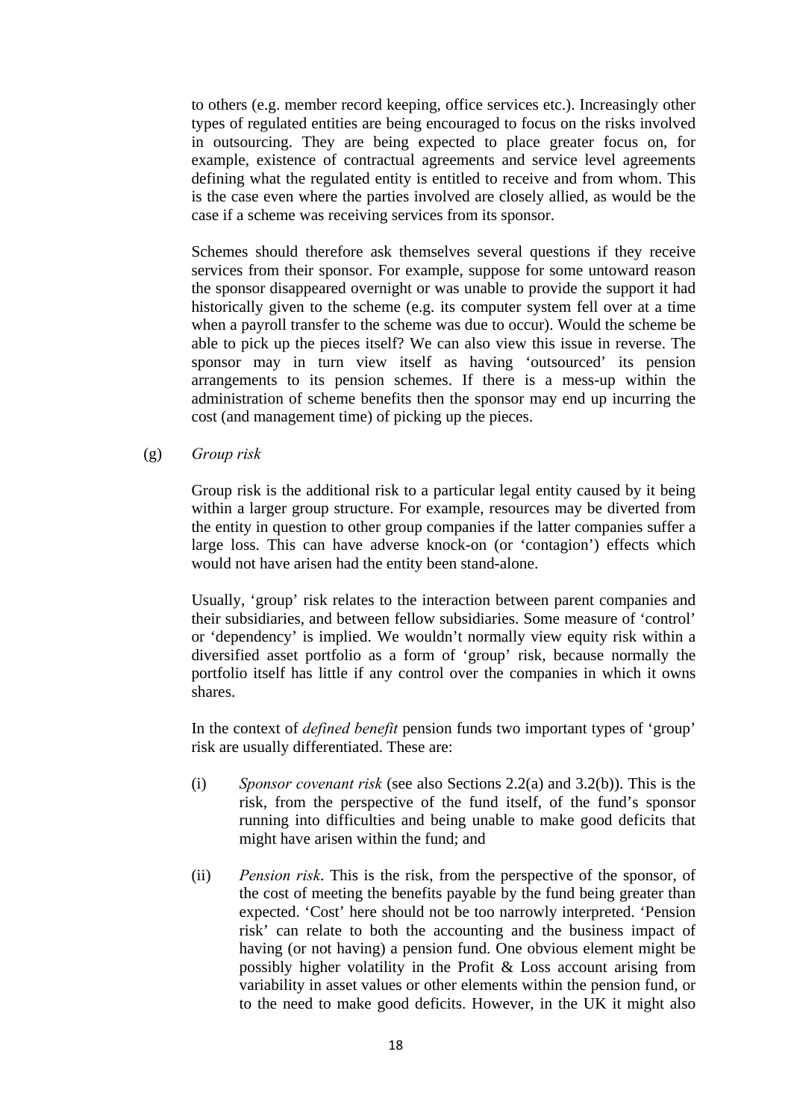to others (e.g. member record keeping, office services etc.). Increasingly other types of regulated entities are being encouraged to focus on the risks involved in outsourcing. They are being expected to place greater focus on, for example, existence of contractual agreements and service level agreements defining what the regulated entity is entitled to receive and from whom. This is the case even where the parties involved are closely allied, as would be the case if a scheme was receiving services from its sponsor.

Schemes should therefore ask themselves several questions if they receive services from their sponsor. For example, suppose for some untoward reason the sponsor disappeared overnight or was unable to provide the support it had historically given to the scheme (e.g. its computer system fell over at a time when a payroll transfer to the scheme was due to occur). Would the scheme be able to pick up the pieces itself? We can also view this issue in reverse. The sponsor may in turn view itself as having 'outsourced' its pension arrangements to its pension schemes. If there is a mess-up within the administration of scheme benefits then the sponsor may end up incurring the cost (and management time) of picking up the pieces.

(g) *Group risk*

 Group risk is the additional risk to a particular legal entity caused by it being within a larger group structure. For example, resources may be diverted from the entity in question to other group companies if the latter companies suffer a large loss. This can have adverse knock-on (or 'contagion') effects which would not have arisen had the entity been stand-alone.

 Usually, 'group' risk relates to the interaction between parent companies and their subsidiaries, and between fellow subsidiaries. Some measure of 'control' or 'dependency' is implied. We wouldn't normally view equity risk within a diversified asset portfolio as a form of 'group' risk, because normally the portfolio itself has little if any control over the companies in which it owns shares.

 In the context of *defined benefit* pension funds two important types of 'group' risk are usually differentiated. These are:

- (i) *Sponsor covenant risk* (see also Sections 2.2(a) and 3.2(b)). This is the risk, from the perspective of the fund itself, of the fund's sponsor running into difficulties and being unable to make good deficits that might have arisen within the fund; and
- (ii) *Pension risk*. This is the risk, from the perspective of the sponsor, of the cost of meeting the benefits payable by the fund being greater than expected. 'Cost' here should not be too narrowly interpreted. 'Pension risk' can relate to both the accounting and the business impact of having (or not having) a pension fund. One obvious element might be possibly higher volatility in the Profit & Loss account arising from variability in asset values or other elements within the pension fund, or to the need to make good deficits. However, in the UK it might also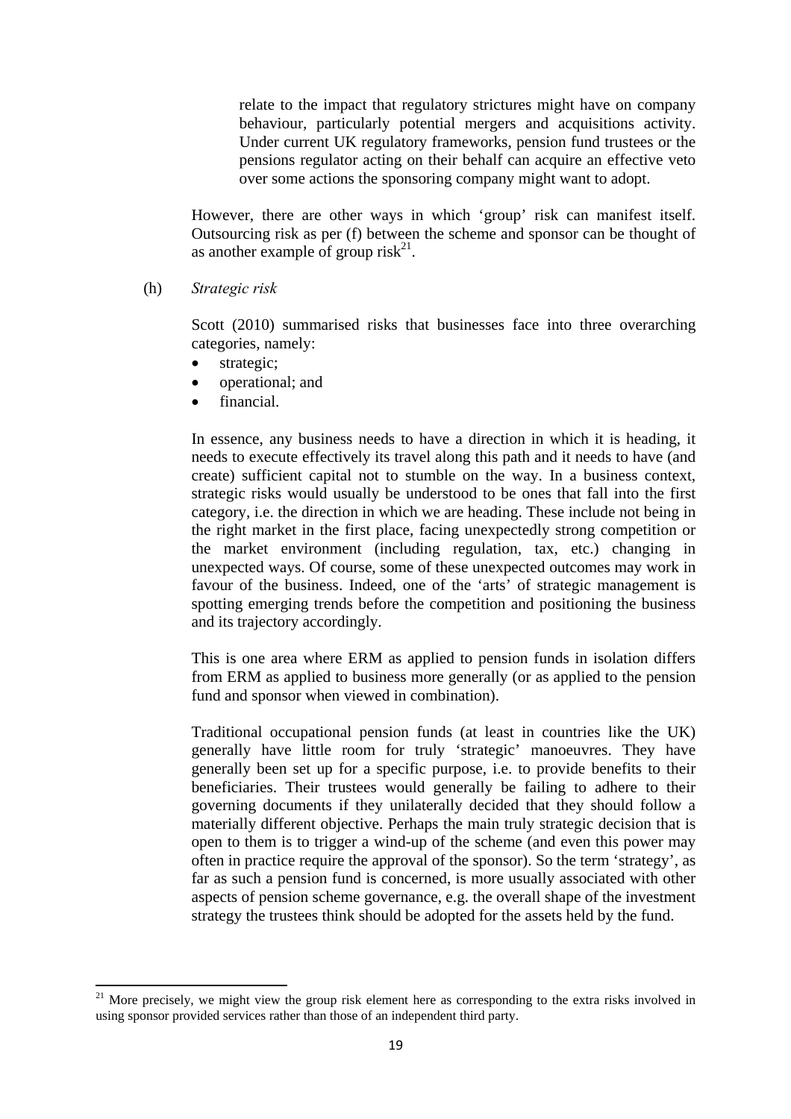relate to the impact that regulatory strictures might have on company behaviour, particularly potential mergers and acquisitions activity. Under current UK regulatory frameworks, pension fund trustees or the pensions regulator acting on their behalf can acquire an effective veto over some actions the sponsoring company might want to adopt.

 However, there are other ways in which 'group' risk can manifest itself. Outsourcing risk as per (f) between the scheme and sponsor can be thought of as another example of group risk $^{21}$ .

(h) *Strategic risk*

Scott (2010) summarised risks that businesses face into three overarching categories, namely:

- strategic;
- operational; and
- financial.

In essence, any business needs to have a direction in which it is heading, it needs to execute effectively its travel along this path and it needs to have (and create) sufficient capital not to stumble on the way. In a business context, strategic risks would usually be understood to be ones that fall into the first category, i.e. the direction in which we are heading. These include not being in the right market in the first place, facing unexpectedly strong competition or the market environment (including regulation, tax, etc.) changing in unexpected ways. Of course, some of these unexpected outcomes may work in favour of the business. Indeed, one of the 'arts' of strategic management is spotting emerging trends before the competition and positioning the business and its trajectory accordingly.

This is one area where ERM as applied to pension funds in isolation differs from ERM as applied to business more generally (or as applied to the pension fund and sponsor when viewed in combination).

Traditional occupational pension funds (at least in countries like the UK) generally have little room for truly 'strategic' manoeuvres. They have generally been set up for a specific purpose, i.e. to provide benefits to their beneficiaries. Their trustees would generally be failing to adhere to their governing documents if they unilaterally decided that they should follow a materially different objective. Perhaps the main truly strategic decision that is open to them is to trigger a wind-up of the scheme (and even this power may often in practice require the approval of the sponsor). So the term 'strategy', as far as such a pension fund is concerned, is more usually associated with other aspects of pension scheme governance, e.g. the overall shape of the investment strategy the trustees think should be adopted for the assets held by the fund.

 $21$  More precisely, we might view the group risk element here as corresponding to the extra risks involved in using sponsor provided services rather than those of an independent third party.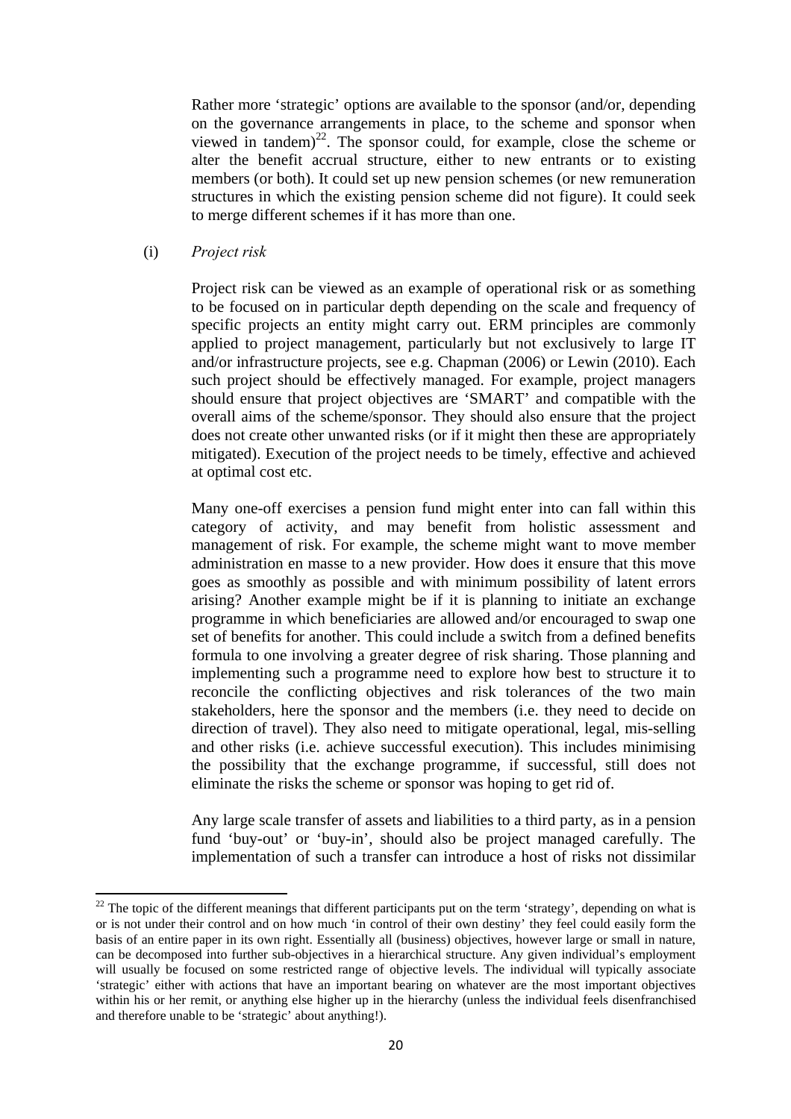Rather more 'strategic' options are available to the sponsor (and/or, depending on the governance arrangements in place, to the scheme and sponsor when viewed in tandem)<sup>22</sup>. The sponsor could, for example, close the scheme or alter the benefit accrual structure, either to new entrants or to existing members (or both). It could set up new pension schemes (or new remuneration structures in which the existing pension scheme did not figure). It could seek to merge different schemes if it has more than one.

#### (i) *Project risk*

 Project risk can be viewed as an example of operational risk or as something to be focused on in particular depth depending on the scale and frequency of specific projects an entity might carry out. ERM principles are commonly applied to project management, particularly but not exclusively to large IT and/or infrastructure projects, see e.g. Chapman (2006) or Lewin (2010). Each such project should be effectively managed. For example, project managers should ensure that project objectives are 'SMART' and compatible with the overall aims of the scheme/sponsor. They should also ensure that the project does not create other unwanted risks (or if it might then these are appropriately mitigated). Execution of the project needs to be timely, effective and achieved at optimal cost etc.

 Many one-off exercises a pension fund might enter into can fall within this category of activity, and may benefit from holistic assessment and management of risk. For example, the scheme might want to move member administration en masse to a new provider. How does it ensure that this move goes as smoothly as possible and with minimum possibility of latent errors arising? Another example might be if it is planning to initiate an exchange programme in which beneficiaries are allowed and/or encouraged to swap one set of benefits for another. This could include a switch from a defined benefits formula to one involving a greater degree of risk sharing. Those planning and implementing such a programme need to explore how best to structure it to reconcile the conflicting objectives and risk tolerances of the two main stakeholders, here the sponsor and the members (i.e. they need to decide on direction of travel). They also need to mitigate operational, legal, mis-selling and other risks (i.e. achieve successful execution). This includes minimising the possibility that the exchange programme, if successful, still does not eliminate the risks the scheme or sponsor was hoping to get rid of.

Any large scale transfer of assets and liabilities to a third party, as in a pension fund 'buy-out' or 'buy-in', should also be project managed carefully. The implementation of such a transfer can introduce a host of risks not dissimilar

 $^{22}$  The topic of the different meanings that different participants put on the term 'strategy', depending on what is or is not under their control and on how much 'in control of their own destiny' they feel could easily form the basis of an entire paper in its own right. Essentially all (business) objectives, however large or small in nature, can be decomposed into further sub-objectives in a hierarchical structure. Any given individual's employment will usually be focused on some restricted range of objective levels. The individual will typically associate 'strategic' either with actions that have an important bearing on whatever are the most important objectives within his or her remit, or anything else higher up in the hierarchy (unless the individual feels disenfranchised and therefore unable to be 'strategic' about anything!).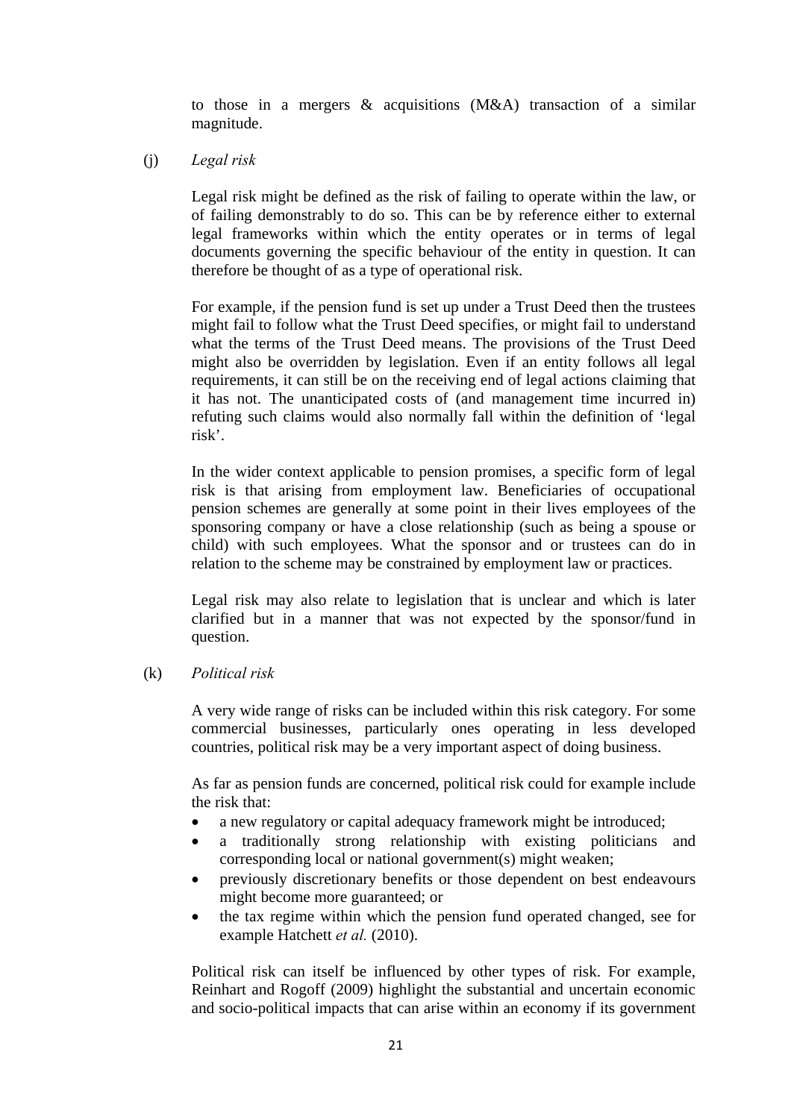to those in a mergers & acquisitions (M&A) transaction of a similar magnitude.

(j) *Legal risk*

 Legal risk might be defined as the risk of failing to operate within the law, or of failing demonstrably to do so. This can be by reference either to external legal frameworks within which the entity operates or in terms of legal documents governing the specific behaviour of the entity in question. It can therefore be thought of as a type of operational risk.

For example, if the pension fund is set up under a Trust Deed then the trustees might fail to follow what the Trust Deed specifies, or might fail to understand what the terms of the Trust Deed means. The provisions of the Trust Deed might also be overridden by legislation. Even if an entity follows all legal requirements, it can still be on the receiving end of legal actions claiming that it has not. The unanticipated costs of (and management time incurred in) refuting such claims would also normally fall within the definition of 'legal risk'.

In the wider context applicable to pension promises, a specific form of legal risk is that arising from employment law. Beneficiaries of occupational pension schemes are generally at some point in their lives employees of the sponsoring company or have a close relationship (such as being a spouse or child) with such employees. What the sponsor and or trustees can do in relation to the scheme may be constrained by employment law or practices.

Legal risk may also relate to legislation that is unclear and which is later clarified but in a manner that was not expected by the sponsor/fund in question.

(k) *Political risk*

 A very wide range of risks can be included within this risk category. For some commercial businesses, particularly ones operating in less developed countries, political risk may be a very important aspect of doing business.

As far as pension funds are concerned, political risk could for example include the risk that:

- a new regulatory or capital adequacy framework might be introduced;
- a traditionally strong relationship with existing politicians and corresponding local or national government(s) might weaken;
- previously discretionary benefits or those dependent on best endeavours might become more guaranteed; or
- the tax regime within which the pension fund operated changed, see for example Hatchett *et al.* (2010).

Political risk can itself be influenced by other types of risk. For example, Reinhart and Rogoff (2009) highlight the substantial and uncertain economic and socio-political impacts that can arise within an economy if its government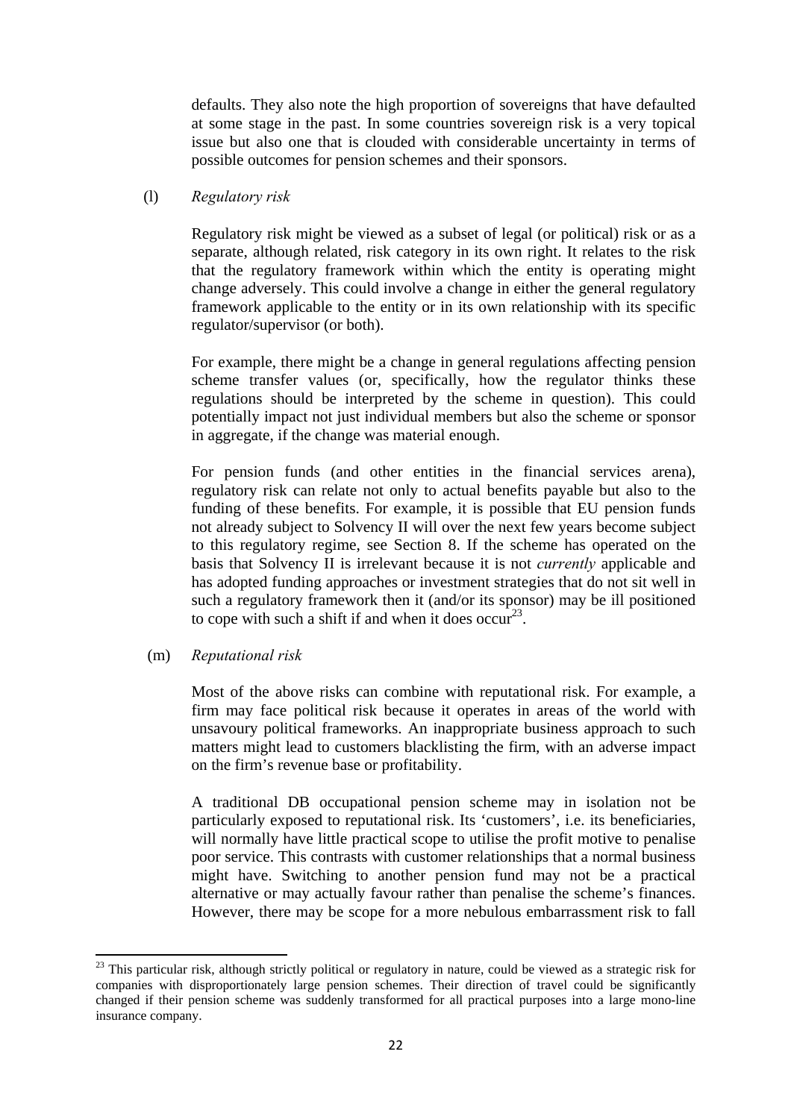defaults. They also note the high proportion of sovereigns that have defaulted at some stage in the past. In some countries sovereign risk is a very topical issue but also one that is clouded with considerable uncertainty in terms of possible outcomes for pension schemes and their sponsors.

#### (l) *Regulatory risk*

 Regulatory risk might be viewed as a subset of legal (or political) risk or as a separate, although related, risk category in its own right. It relates to the risk that the regulatory framework within which the entity is operating might change adversely. This could involve a change in either the general regulatory framework applicable to the entity or in its own relationship with its specific regulator/supervisor (or both).

For example, there might be a change in general regulations affecting pension scheme transfer values (or, specifically, how the regulator thinks these regulations should be interpreted by the scheme in question). This could potentially impact not just individual members but also the scheme or sponsor in aggregate, if the change was material enough.

For pension funds (and other entities in the financial services arena), regulatory risk can relate not only to actual benefits payable but also to the funding of these benefits. For example, it is possible that EU pension funds not already subject to Solvency II will over the next few years become subject to this regulatory regime, see Section 8. If the scheme has operated on the basis that Solvency II is irrelevant because it is not *currently* applicable and has adopted funding approaches or investment strategies that do not sit well in such a regulatory framework then it (and/or its sponsor) may be ill positioned to cope with such a shift if and when it does occur<sup>23</sup>.

#### (m) *Reputational risk*

Most of the above risks can combine with reputational risk. For example, a firm may face political risk because it operates in areas of the world with unsavoury political frameworks. An inappropriate business approach to such matters might lead to customers blacklisting the firm, with an adverse impact on the firm's revenue base or profitability.

A traditional DB occupational pension scheme may in isolation not be particularly exposed to reputational risk. Its 'customers', i.e. its beneficiaries, will normally have little practical scope to utilise the profit motive to penalise poor service. This contrasts with customer relationships that a normal business might have. Switching to another pension fund may not be a practical alternative or may actually favour rather than penalise the scheme's finances. However, there may be scope for a more nebulous embarrassment risk to fall

 $23$  This particular risk, although strictly political or regulatory in nature, could be viewed as a strategic risk for companies with disproportionately large pension schemes. Their direction of travel could be significantly changed if their pension scheme was suddenly transformed for all practical purposes into a large mono-line insurance company.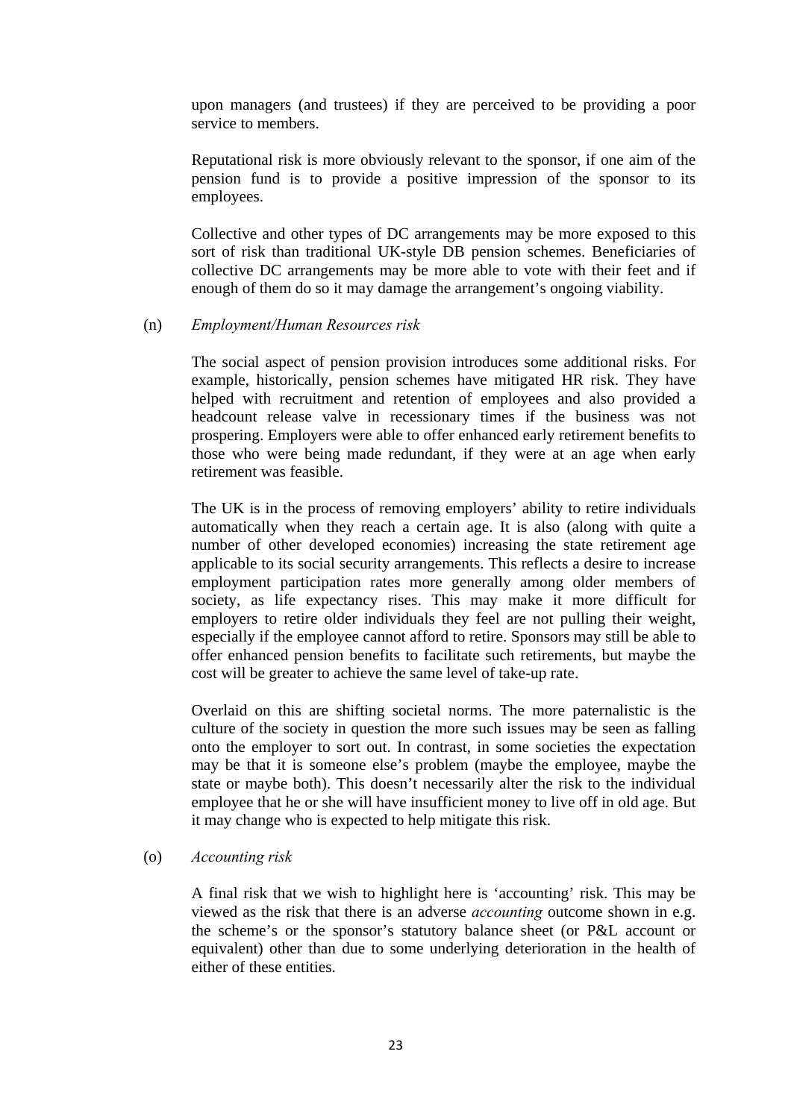upon managers (and trustees) if they are perceived to be providing a poor service to members.

Reputational risk is more obviously relevant to the sponsor, if one aim of the pension fund is to provide a positive impression of the sponsor to its employees.

Collective and other types of DC arrangements may be more exposed to this sort of risk than traditional UK-style DB pension schemes. Beneficiaries of collective DC arrangements may be more able to vote with their feet and if enough of them do so it may damage the arrangement's ongoing viability.

#### (n) *Employment/Human Resources risk*

The social aspect of pension provision introduces some additional risks. For example, historically, pension schemes have mitigated HR risk. They have helped with recruitment and retention of employees and also provided a headcount release valve in recessionary times if the business was not prospering. Employers were able to offer enhanced early retirement benefits to those who were being made redundant, if they were at an age when early retirement was feasible.

The UK is in the process of removing employers' ability to retire individuals automatically when they reach a certain age. It is also (along with quite a number of other developed economies) increasing the state retirement age applicable to its social security arrangements. This reflects a desire to increase employment participation rates more generally among older members of society, as life expectancy rises. This may make it more difficult for employers to retire older individuals they feel are not pulling their weight, especially if the employee cannot afford to retire. Sponsors may still be able to offer enhanced pension benefits to facilitate such retirements, but maybe the cost will be greater to achieve the same level of take-up rate.

Overlaid on this are shifting societal norms. The more paternalistic is the culture of the society in question the more such issues may be seen as falling onto the employer to sort out. In contrast, in some societies the expectation may be that it is someone else's problem (maybe the employee, maybe the state or maybe both). This doesn't necessarily alter the risk to the individual employee that he or she will have insufficient money to live off in old age. But it may change who is expected to help mitigate this risk.

#### (o) *Accounting risk*

A final risk that we wish to highlight here is 'accounting' risk. This may be viewed as the risk that there is an adverse *accounting* outcome shown in e.g. the scheme's or the sponsor's statutory balance sheet (or P&L account or equivalent) other than due to some underlying deterioration in the health of either of these entities.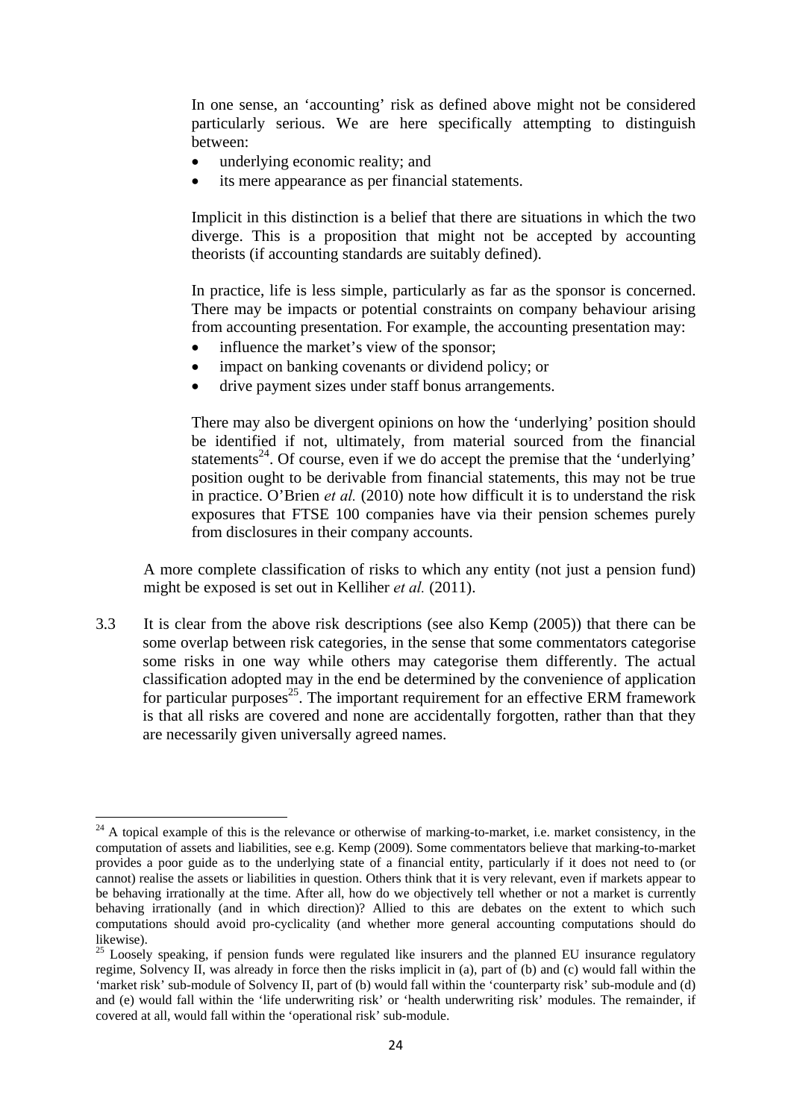In one sense, an 'accounting' risk as defined above might not be considered particularly serious. We are here specifically attempting to distinguish between:

- underlying economic reality; and
- its mere appearance as per financial statements.

Implicit in this distinction is a belief that there are situations in which the two diverge. This is a proposition that might not be accepted by accounting theorists (if accounting standards are suitably defined).

In practice, life is less simple, particularly as far as the sponsor is concerned. There may be impacts or potential constraints on company behaviour arising from accounting presentation. For example, the accounting presentation may:

- influence the market's view of the sponsor;
- impact on banking covenants or dividend policy; or
- drive payment sizes under staff bonus arrangements.

There may also be divergent opinions on how the 'underlying' position should be identified if not, ultimately, from material sourced from the financial statements<sup>24</sup>. Of course, even if we do accept the premise that the 'underlying' position ought to be derivable from financial statements, this may not be true in practice. O'Brien *et al.* (2010) note how difficult it is to understand the risk exposures that FTSE 100 companies have via their pension schemes purely from disclosures in their company accounts.

 A more complete classification of risks to which any entity (not just a pension fund) might be exposed is set out in Kelliher *et al.* (2011).

3.3 It is clear from the above risk descriptions (see also Kemp (2005)) that there can be some overlap between risk categories, in the sense that some commentators categorise some risks in one way while others may categorise them differently. The actual classification adopted may in the end be determined by the convenience of application for particular purposes<sup>25</sup>. The important requirement for an effective ERM framework is that all risks are covered and none are accidentally forgotten, rather than that they are necessarily given universally agreed names.

 $24$  A topical example of this is the relevance or otherwise of marking-to-market, i.e. market consistency, in the computation of assets and liabilities, see e.g. Kemp (2009). Some commentators believe that marking-to-market provides a poor guide as to the underlying state of a financial entity, particularly if it does not need to (or cannot) realise the assets or liabilities in question. Others think that it is very relevant, even if markets appear to be behaving irrationally at the time. After all, how do we objectively tell whether or not a market is currently behaving irrationally (and in which direction)? Allied to this are debates on the extent to which such computations should avoid pro-cyclicality (and whether more general accounting computations should do likewise).

<sup>&</sup>lt;sup>25</sup> Loosely speaking, if pension funds were regulated like insurers and the planned EU insurance regulatory regime, Solvency II, was already in force then the risks implicit in (a), part of (b) and (c) would fall within the 'market risk' sub-module of Solvency II, part of (b) would fall within the 'counterparty risk' sub-module and (d) and (e) would fall within the 'life underwriting risk' or 'health underwriting risk' modules. The remainder, if covered at all, would fall within the 'operational risk' sub-module.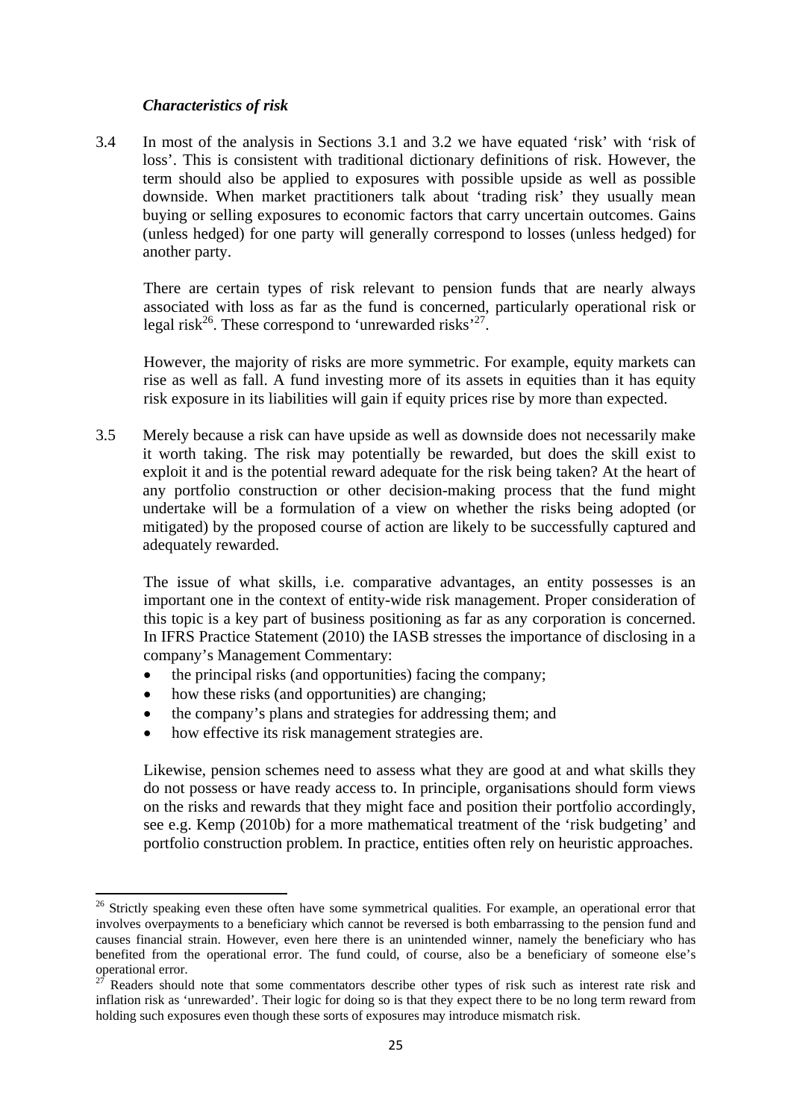### *Characteristics of risk*

3.4 In most of the analysis in Sections 3.1 and 3.2 we have equated 'risk' with 'risk of loss'. This is consistent with traditional dictionary definitions of risk. However, the term should also be applied to exposures with possible upside as well as possible downside. When market practitioners talk about 'trading risk' they usually mean buying or selling exposures to economic factors that carry uncertain outcomes. Gains (unless hedged) for one party will generally correspond to losses (unless hedged) for another party.

There are certain types of risk relevant to pension funds that are nearly always associated with loss as far as the fund is concerned, particularly operational risk or legal risk<sup>26</sup>. These correspond to 'unrewarded risks'<sup>27</sup>.

However, the majority of risks are more symmetric. For example, equity markets can rise as well as fall. A fund investing more of its assets in equities than it has equity risk exposure in its liabilities will gain if equity prices rise by more than expected.

3.5 Merely because a risk can have upside as well as downside does not necessarily make it worth taking. The risk may potentially be rewarded, but does the skill exist to exploit it and is the potential reward adequate for the risk being taken? At the heart of any portfolio construction or other decision-making process that the fund might undertake will be a formulation of a view on whether the risks being adopted (or mitigated) by the proposed course of action are likely to be successfully captured and adequately rewarded.

The issue of what skills, i.e. comparative advantages, an entity possesses is an important one in the context of entity-wide risk management. Proper consideration of this topic is a key part of business positioning as far as any corporation is concerned. In IFRS Practice Statement (2010) the IASB stresses the importance of disclosing in a company's Management Commentary:

- the principal risks (and opportunities) facing the company;
- how these risks (and opportunities) are changing;
- the company's plans and strategies for addressing them; and
- how effective its risk management strategies are.

Likewise, pension schemes need to assess what they are good at and what skills they do not possess or have ready access to. In principle, organisations should form views on the risks and rewards that they might face and position their portfolio accordingly, see e.g. Kemp (2010b) for a more mathematical treatment of the 'risk budgeting' and portfolio construction problem. In practice, entities often rely on heuristic approaches.

<sup>&</sup>lt;sup>26</sup> Strictly speaking even these often have some symmetrical qualities. For example, an operational error that involves overpayments to a beneficiary which cannot be reversed is both embarrassing to the pension fund and causes financial strain. However, even here there is an unintended winner, namely the beneficiary who has benefited from the operational error. The fund could, of course, also be a beneficiary of someone else's operational error.

Readers should note that some commentators describe other types of risk such as interest rate risk and inflation risk as 'unrewarded'. Their logic for doing so is that they expect there to be no long term reward from holding such exposures even though these sorts of exposures may introduce mismatch risk.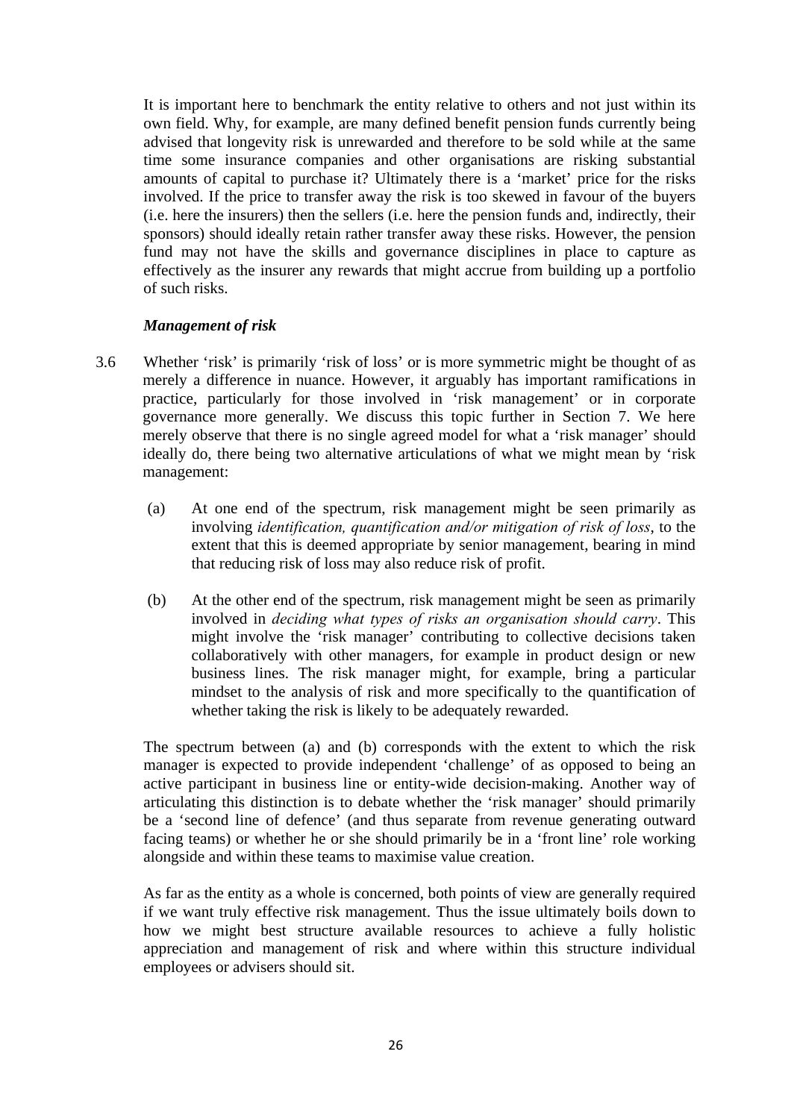It is important here to benchmark the entity relative to others and not just within its own field. Why, for example, are many defined benefit pension funds currently being advised that longevity risk is unrewarded and therefore to be sold while at the same time some insurance companies and other organisations are risking substantial amounts of capital to purchase it? Ultimately there is a 'market' price for the risks involved. If the price to transfer away the risk is too skewed in favour of the buyers (i.e. here the insurers) then the sellers (i.e. here the pension funds and, indirectly, their sponsors) should ideally retain rather transfer away these risks. However, the pension fund may not have the skills and governance disciplines in place to capture as effectively as the insurer any rewards that might accrue from building up a portfolio of such risks.

#### *Management of risk*

- 3.6 Whether 'risk' is primarily 'risk of loss' or is more symmetric might be thought of as merely a difference in nuance. However, it arguably has important ramifications in practice, particularly for those involved in 'risk management' or in corporate governance more generally. We discuss this topic further in Section 7. We here merely observe that there is no single agreed model for what a 'risk manager' should ideally do, there being two alternative articulations of what we might mean by 'risk management:
	- (a) At one end of the spectrum, risk management might be seen primarily as involving *identification, quantification and/or mitigation of risk of loss*, to the extent that this is deemed appropriate by senior management, bearing in mind that reducing risk of loss may also reduce risk of profit.
	- (b) At the other end of the spectrum, risk management might be seen as primarily involved in *deciding what types of risks an organisation should carry*. This might involve the 'risk manager' contributing to collective decisions taken collaboratively with other managers, for example in product design or new business lines. The risk manager might, for example, bring a particular mindset to the analysis of risk and more specifically to the quantification of whether taking the risk is likely to be adequately rewarded.

The spectrum between (a) and (b) corresponds with the extent to which the risk manager is expected to provide independent 'challenge' of as opposed to being an active participant in business line or entity-wide decision-making. Another way of articulating this distinction is to debate whether the 'risk manager' should primarily be a 'second line of defence' (and thus separate from revenue generating outward facing teams) or whether he or she should primarily be in a 'front line' role working alongside and within these teams to maximise value creation.

As far as the entity as a whole is concerned, both points of view are generally required if we want truly effective risk management. Thus the issue ultimately boils down to how we might best structure available resources to achieve a fully holistic appreciation and management of risk and where within this structure individual employees or advisers should sit.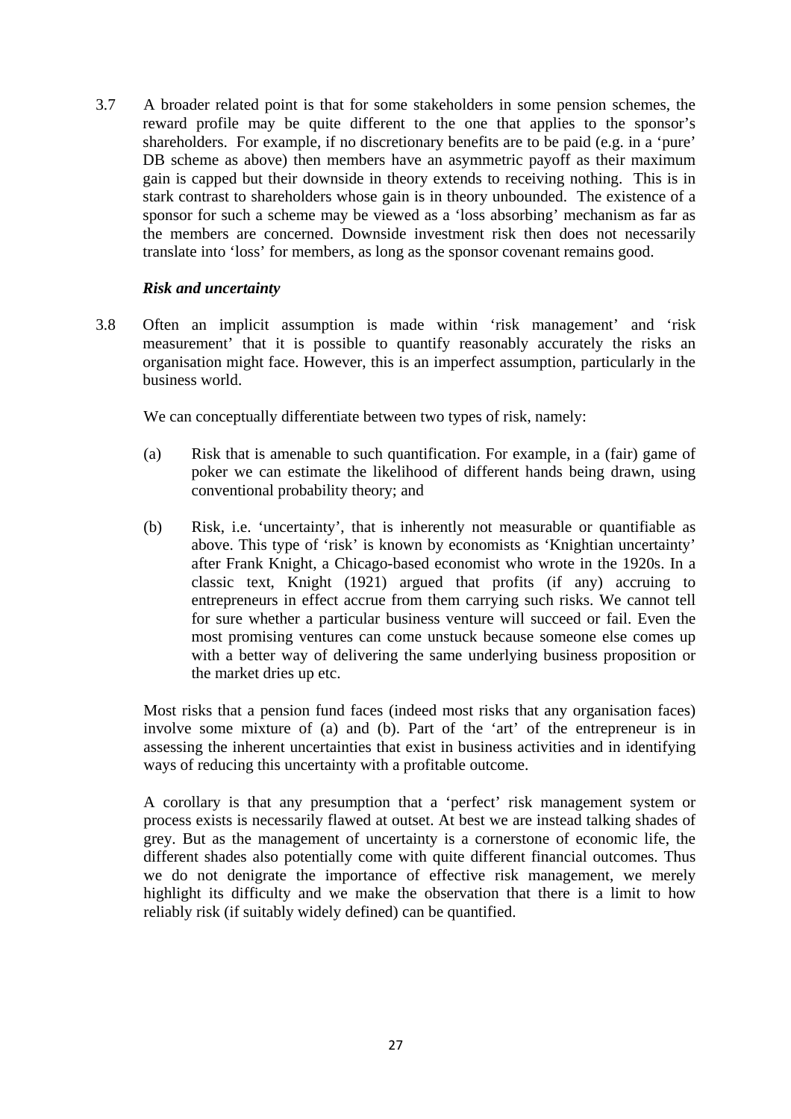3.7 A broader related point is that for some stakeholders in some pension schemes, the reward profile may be quite different to the one that applies to the sponsor's shareholders. For example, if no discretionary benefits are to be paid (e.g. in a 'pure' DB scheme as above) then members have an asymmetric payoff as their maximum gain is capped but their downside in theory extends to receiving nothing. This is in stark contrast to shareholders whose gain is in theory unbounded. The existence of a sponsor for such a scheme may be viewed as a 'loss absorbing' mechanism as far as the members are concerned. Downside investment risk then does not necessarily translate into 'loss' for members, as long as the sponsor covenant remains good.

# *Risk and uncertainty*

3.8 Often an implicit assumption is made within 'risk management' and 'risk measurement' that it is possible to quantify reasonably accurately the risks an organisation might face. However, this is an imperfect assumption, particularly in the business world.

We can conceptually differentiate between two types of risk, namely:

- (a) Risk that is amenable to such quantification. For example, in a (fair) game of poker we can estimate the likelihood of different hands being drawn, using conventional probability theory; and
- (b) Risk, i.e. 'uncertainty', that is inherently not measurable or quantifiable as above. This type of 'risk' is known by economists as 'Knightian uncertainty' after Frank Knight, a Chicago-based economist who wrote in the 1920s. In a classic text, Knight (1921) argued that profits (if any) accruing to entrepreneurs in effect accrue from them carrying such risks. We cannot tell for sure whether a particular business venture will succeed or fail. Even the most promising ventures can come unstuck because someone else comes up with a better way of delivering the same underlying business proposition or the market dries up etc.

Most risks that a pension fund faces (indeed most risks that any organisation faces) involve some mixture of (a) and (b). Part of the 'art' of the entrepreneur is in assessing the inherent uncertainties that exist in business activities and in identifying ways of reducing this uncertainty with a profitable outcome.

A corollary is that any presumption that a 'perfect' risk management system or process exists is necessarily flawed at outset. At best we are instead talking shades of grey. But as the management of uncertainty is a cornerstone of economic life, the different shades also potentially come with quite different financial outcomes. Thus we do not denigrate the importance of effective risk management, we merely highlight its difficulty and we make the observation that there is a limit to how reliably risk (if suitably widely defined) can be quantified.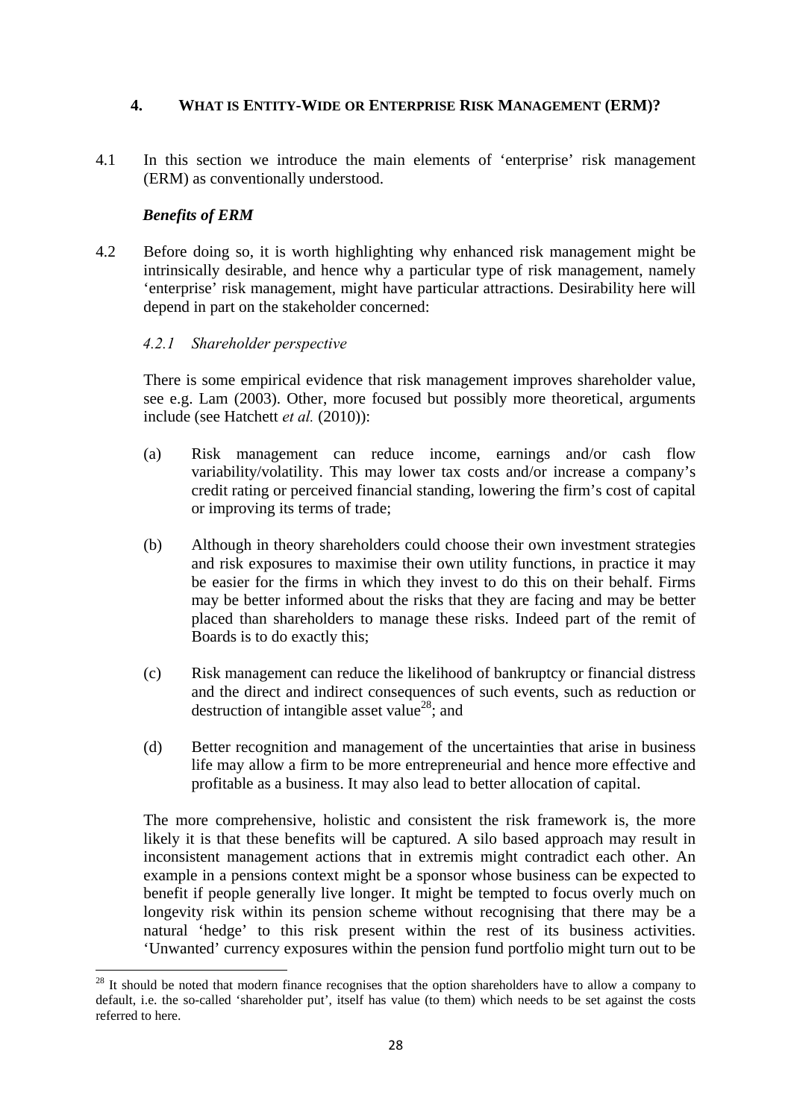# **4. WHAT IS ENTITY-WIDE OR ENTERPRISE RISK MANAGEMENT (ERM)?**

4.1 In this section we introduce the main elements of 'enterprise' risk management (ERM) as conventionally understood.

# *Benefits of ERM*

4.2 Before doing so, it is worth highlighting why enhanced risk management might be intrinsically desirable, and hence why a particular type of risk management, namely 'enterprise' risk management, might have particular attractions. Desirability here will depend in part on the stakeholder concerned:

# *4.2.1 Shareholder perspective*

There is some empirical evidence that risk management improves shareholder value, see e.g. Lam (2003). Other, more focused but possibly more theoretical, arguments include (see Hatchett *et al.* (2010)):

- (a) Risk management can reduce income, earnings and/or cash flow variability/volatility. This may lower tax costs and/or increase a company's credit rating or perceived financial standing, lowering the firm's cost of capital or improving its terms of trade;
- (b) Although in theory shareholders could choose their own investment strategies and risk exposures to maximise their own utility functions, in practice it may be easier for the firms in which they invest to do this on their behalf. Firms may be better informed about the risks that they are facing and may be better placed than shareholders to manage these risks. Indeed part of the remit of Boards is to do exactly this;
- (c) Risk management can reduce the likelihood of bankruptcy or financial distress and the direct and indirect consequences of such events, such as reduction or destruction of intangible asset value<sup>28</sup>; and
- (d) Better recognition and management of the uncertainties that arise in business life may allow a firm to be more entrepreneurial and hence more effective and profitable as a business. It may also lead to better allocation of capital.

The more comprehensive, holistic and consistent the risk framework is, the more likely it is that these benefits will be captured. A silo based approach may result in inconsistent management actions that in extremis might contradict each other. An example in a pensions context might be a sponsor whose business can be expected to benefit if people generally live longer. It might be tempted to focus overly much on longevity risk within its pension scheme without recognising that there may be a natural 'hedge' to this risk present within the rest of its business activities. 'Unwanted' currency exposures within the pension fund portfolio might turn out to be

 $2<sup>28</sup>$  It should be noted that modern finance recognises that the option shareholders have to allow a company to default, i.e. the so-called 'shareholder put', itself has value (to them) which needs to be set against the costs referred to here.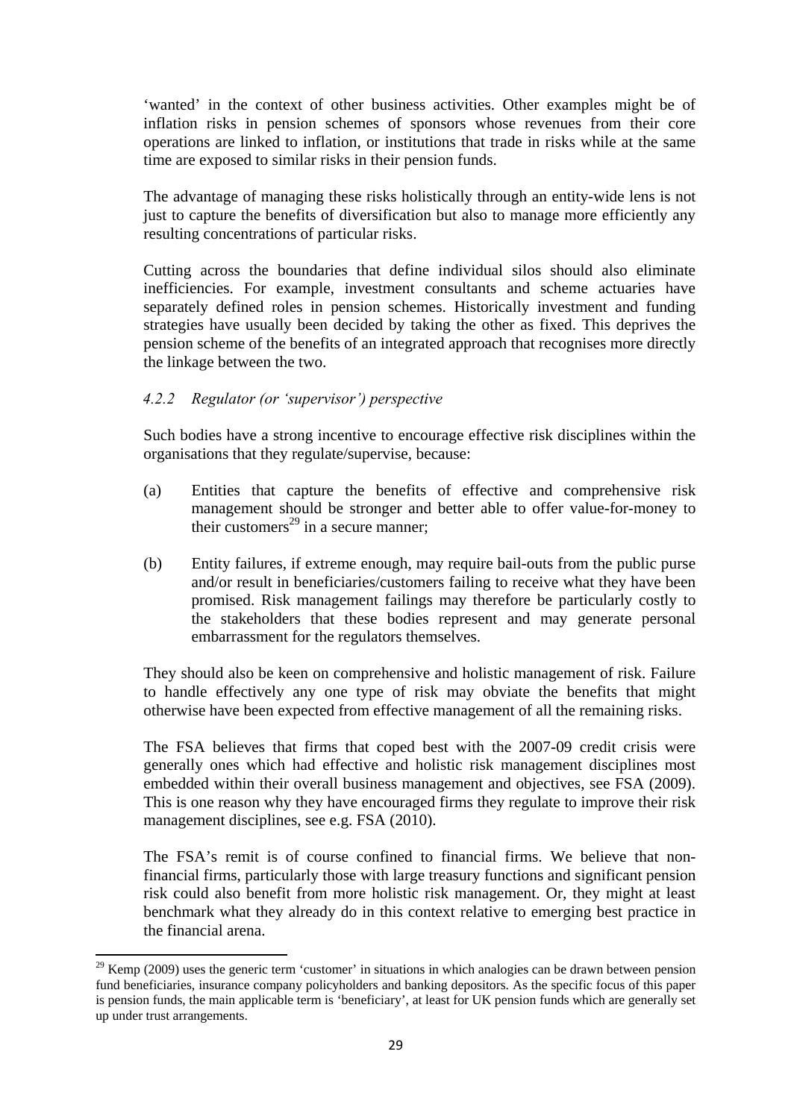'wanted' in the context of other business activities. Other examples might be of inflation risks in pension schemes of sponsors whose revenues from their core operations are linked to inflation, or institutions that trade in risks while at the same time are exposed to similar risks in their pension funds.

The advantage of managing these risks holistically through an entity-wide lens is not just to capture the benefits of diversification but also to manage more efficiently any resulting concentrations of particular risks.

Cutting across the boundaries that define individual silos should also eliminate inefficiencies. For example, investment consultants and scheme actuaries have separately defined roles in pension schemes. Historically investment and funding strategies have usually been decided by taking the other as fixed. This deprives the pension scheme of the benefits of an integrated approach that recognises more directly the linkage between the two.

# *4.2.2 Regulator (or 'supervisor') perspective*

Such bodies have a strong incentive to encourage effective risk disciplines within the organisations that they regulate/supervise, because:

- (a) Entities that capture the benefits of effective and comprehensive risk management should be stronger and better able to offer value-for-money to their customers<sup>29</sup> in a secure manner;
- (b) Entity failures, if extreme enough, may require bail-outs from the public purse and/or result in beneficiaries/customers failing to receive what they have been promised. Risk management failings may therefore be particularly costly to the stakeholders that these bodies represent and may generate personal embarrassment for the regulators themselves.

They should also be keen on comprehensive and holistic management of risk. Failure to handle effectively any one type of risk may obviate the benefits that might otherwise have been expected from effective management of all the remaining risks.

The FSA believes that firms that coped best with the 2007-09 credit crisis were generally ones which had effective and holistic risk management disciplines most embedded within their overall business management and objectives, see FSA (2009). This is one reason why they have encouraged firms they regulate to improve their risk management disciplines, see e.g. FSA (2010).

The FSA's remit is of course confined to financial firms. We believe that nonfinancial firms, particularly those with large treasury functions and significant pension risk could also benefit from more holistic risk management. Or, they might at least benchmark what they already do in this context relative to emerging best practice in the financial arena.

<sup>&</sup>lt;sup>29</sup> Kemp (2009) uses the generic term 'customer' in situations in which analogies can be drawn between pension fund beneficiaries, insurance company policyholders and banking depositors. As the specific focus of this paper is pension funds, the main applicable term is 'beneficiary', at least for UK pension funds which are generally set up under trust arrangements.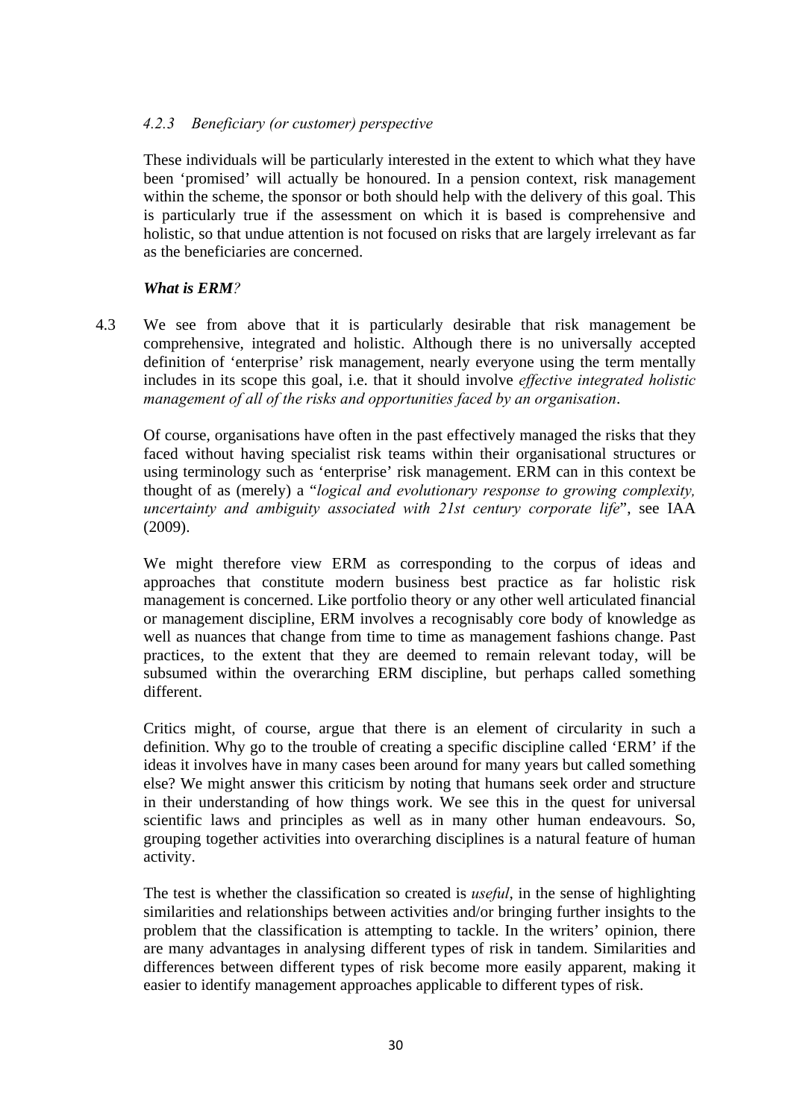# *4.2.3 Beneficiary (or customer) perspective*

These individuals will be particularly interested in the extent to which what they have been 'promised' will actually be honoured. In a pension context, risk management within the scheme, the sponsor or both should help with the delivery of this goal. This is particularly true if the assessment on which it is based is comprehensive and holistic, so that undue attention is not focused on risks that are largely irrelevant as far as the beneficiaries are concerned.

#### *What is ERM?*

4.3 We see from above that it is particularly desirable that risk management be comprehensive, integrated and holistic. Although there is no universally accepted definition of 'enterprise' risk management, nearly everyone using the term mentally includes in its scope this goal, i.e. that it should involve *effective integrated holistic management of all of the risks and opportunities faced by an organisation*.

Of course, organisations have often in the past effectively managed the risks that they faced without having specialist risk teams within their organisational structures or using terminology such as 'enterprise' risk management. ERM can in this context be thought of as (merely) a "*logical and evolutionary response to growing complexity, uncertainty and ambiguity associated with 21st century corporate life*", see IAA (2009).

We might therefore view ERM as corresponding to the corpus of ideas and approaches that constitute modern business best practice as far holistic risk management is concerned. Like portfolio theory or any other well articulated financial or management discipline, ERM involves a recognisably core body of knowledge as well as nuances that change from time to time as management fashions change. Past practices, to the extent that they are deemed to remain relevant today, will be subsumed within the overarching ERM discipline, but perhaps called something different.

Critics might, of course, argue that there is an element of circularity in such a definition. Why go to the trouble of creating a specific discipline called 'ERM' if the ideas it involves have in many cases been around for many years but called something else? We might answer this criticism by noting that humans seek order and structure in their understanding of how things work. We see this in the quest for universal scientific laws and principles as well as in many other human endeavours. So, grouping together activities into overarching disciplines is a natural feature of human activity.

The test is whether the classification so created is *useful*, in the sense of highlighting similarities and relationships between activities and/or bringing further insights to the problem that the classification is attempting to tackle. In the writers' opinion, there are many advantages in analysing different types of risk in tandem. Similarities and differences between different types of risk become more easily apparent, making it easier to identify management approaches applicable to different types of risk.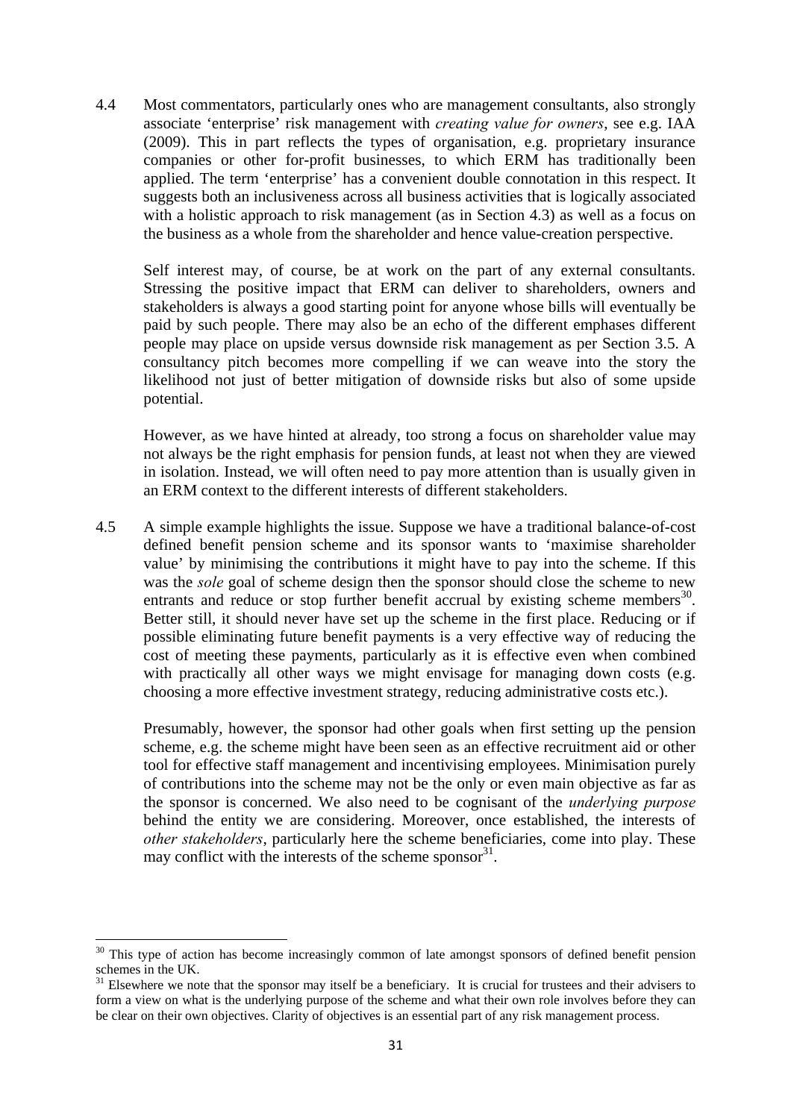4.4 Most commentators, particularly ones who are management consultants, also strongly associate 'enterprise' risk management with *creating value for owners*, see e.g. IAA (2009). This in part reflects the types of organisation, e.g. proprietary insurance companies or other for-profit businesses, to which ERM has traditionally been applied. The term 'enterprise' has a convenient double connotation in this respect. It suggests both an inclusiveness across all business activities that is logically associated with a holistic approach to risk management (as in Section 4.3) as well as a focus on the business as a whole from the shareholder and hence value-creation perspective.

Self interest may, of course, be at work on the part of any external consultants. Stressing the positive impact that ERM can deliver to shareholders, owners and stakeholders is always a good starting point for anyone whose bills will eventually be paid by such people. There may also be an echo of the different emphases different people may place on upside versus downside risk management as per Section 3.5. A consultancy pitch becomes more compelling if we can weave into the story the likelihood not just of better mitigation of downside risks but also of some upside potential.

 However, as we have hinted at already, too strong a focus on shareholder value may not always be the right emphasis for pension funds, at least not when they are viewed in isolation. Instead, we will often need to pay more attention than is usually given in an ERM context to the different interests of different stakeholders.

4.5 A simple example highlights the issue. Suppose we have a traditional balance-of-cost defined benefit pension scheme and its sponsor wants to 'maximise shareholder value' by minimising the contributions it might have to pay into the scheme. If this was the *sole* goal of scheme design then the sponsor should close the scheme to new entrants and reduce or stop further benefit accrual by existing scheme members $^{30}$ . Better still, it should never have set up the scheme in the first place. Reducing or if possible eliminating future benefit payments is a very effective way of reducing the cost of meeting these payments, particularly as it is effective even when combined with practically all other ways we might envisage for managing down costs (e.g. choosing a more effective investment strategy, reducing administrative costs etc.).

Presumably, however, the sponsor had other goals when first setting up the pension scheme, e.g. the scheme might have been seen as an effective recruitment aid or other tool for effective staff management and incentivising employees. Minimisation purely of contributions into the scheme may not be the only or even main objective as far as the sponsor is concerned. We also need to be cognisant of the *underlying purpose* behind the entity we are considering. Moreover, once established, the interests of *other stakeholders*, particularly here the scheme beneficiaries, come into play. These may conflict with the interests of the scheme sponsor  $3^3$ .

 $30$  This type of action has become increasingly common of late amongst sponsors of defined benefit pension schemes in the UK.

 $31$  Elsewhere we note that the sponsor may itself be a beneficiary. It is crucial for trustees and their advisers to form a view on what is the underlying purpose of the scheme and what their own role involves before they can be clear on their own objectives. Clarity of objectives is an essential part of any risk management process.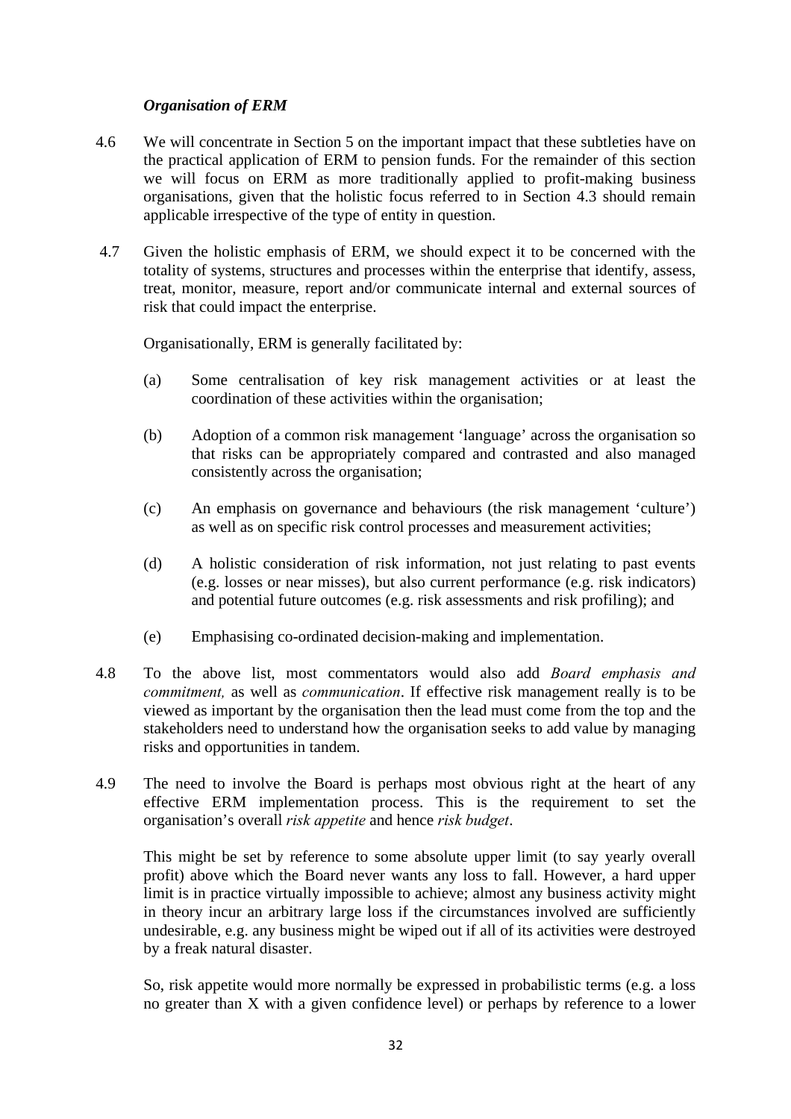# *Organisation of ERM*

- 4.6 We will concentrate in Section 5 on the important impact that these subtleties have on the practical application of ERM to pension funds. For the remainder of this section we will focus on ERM as more traditionally applied to profit-making business organisations, given that the holistic focus referred to in Section 4.3 should remain applicable irrespective of the type of entity in question.
- 4.7 Given the holistic emphasis of ERM, we should expect it to be concerned with the totality of systems, structures and processes within the enterprise that identify, assess, treat, monitor, measure, report and/or communicate internal and external sources of risk that could impact the enterprise.

Organisationally, ERM is generally facilitated by:

- (a) Some centralisation of key risk management activities or at least the coordination of these activities within the organisation;
- (b) Adoption of a common risk management 'language' across the organisation so that risks can be appropriately compared and contrasted and also managed consistently across the organisation;
- (c) An emphasis on governance and behaviours (the risk management 'culture') as well as on specific risk control processes and measurement activities;
- (d) A holistic consideration of risk information, not just relating to past events (e.g. losses or near misses), but also current performance (e.g. risk indicators) and potential future outcomes (e.g. risk assessments and risk profiling); and
- (e) Emphasising co-ordinated decision-making and implementation.
- 4.8 To the above list, most commentators would also add *Board emphasis and commitment,* as well as *communication*. If effective risk management really is to be viewed as important by the organisation then the lead must come from the top and the stakeholders need to understand how the organisation seeks to add value by managing risks and opportunities in tandem.
- 4.9 The need to involve the Board is perhaps most obvious right at the heart of any effective ERM implementation process. This is the requirement to set the organisation's overall *risk appetite* and hence *risk budget*.

 This might be set by reference to some absolute upper limit (to say yearly overall profit) above which the Board never wants any loss to fall. However, a hard upper limit is in practice virtually impossible to achieve; almost any business activity might in theory incur an arbitrary large loss if the circumstances involved are sufficiently undesirable, e.g. any business might be wiped out if all of its activities were destroyed by a freak natural disaster.

 So, risk appetite would more normally be expressed in probabilistic terms (e.g. a loss no greater than X with a given confidence level) or perhaps by reference to a lower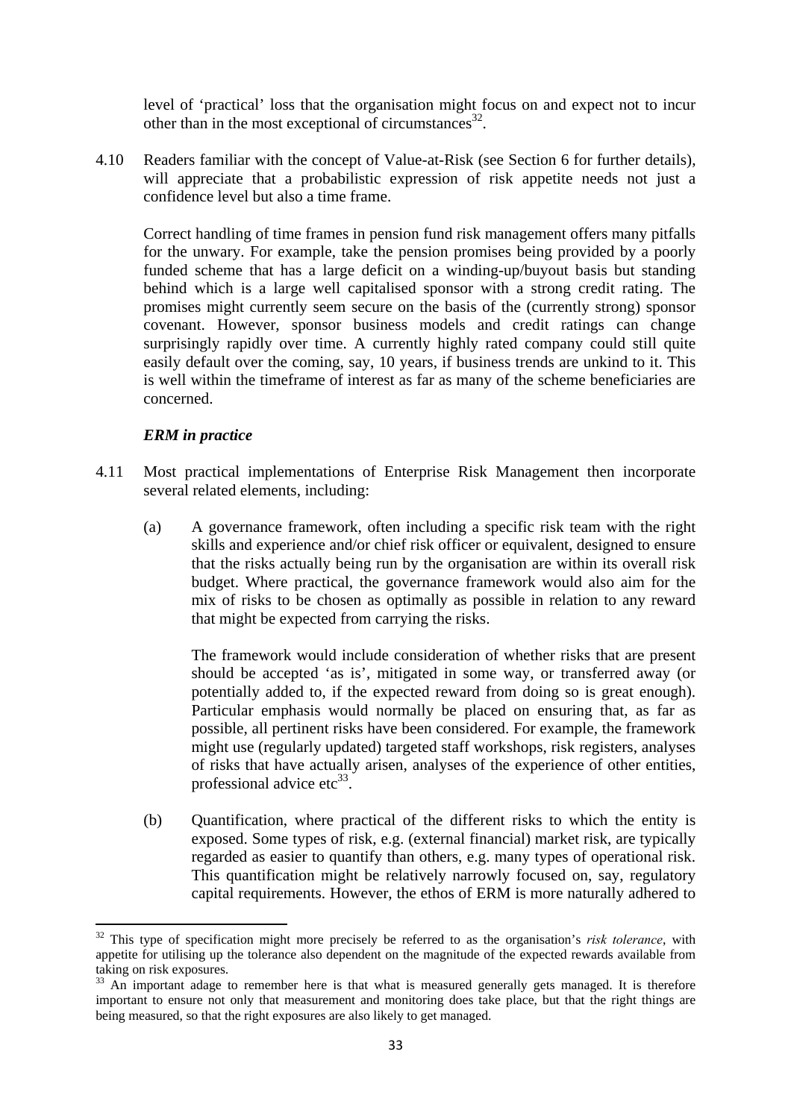level of 'practical' loss that the organisation might focus on and expect not to incur other than in the most exceptional of circumstances $^{32}$ .

4.10 Readers familiar with the concept of Value-at-Risk (see Section 6 for further details), will appreciate that a probabilistic expression of risk appetite needs not just a confidence level but also a time frame.

Correct handling of time frames in pension fund risk management offers many pitfalls for the unwary. For example, take the pension promises being provided by a poorly funded scheme that has a large deficit on a winding-up/buyout basis but standing behind which is a large well capitalised sponsor with a strong credit rating. The promises might currently seem secure on the basis of the (currently strong) sponsor covenant. However, sponsor business models and credit ratings can change surprisingly rapidly over time. A currently highly rated company could still quite easily default over the coming, say, 10 years, if business trends are unkind to it. This is well within the timeframe of interest as far as many of the scheme beneficiaries are concerned.

#### *ERM in practice*

- 4.11 Most practical implementations of Enterprise Risk Management then incorporate several related elements, including:
	- (a) A governance framework, often including a specific risk team with the right skills and experience and/or chief risk officer or equivalent, designed to ensure that the risks actually being run by the organisation are within its overall risk budget. Where practical, the governance framework would also aim for the mix of risks to be chosen as optimally as possible in relation to any reward that might be expected from carrying the risks.

The framework would include consideration of whether risks that are present should be accepted 'as is', mitigated in some way, or transferred away (or potentially added to, if the expected reward from doing so is great enough). Particular emphasis would normally be placed on ensuring that, as far as possible, all pertinent risks have been considered. For example, the framework might use (regularly updated) targeted staff workshops, risk registers, analyses of risks that have actually arisen, analyses of the experience of other entities, professional advice  $etc^{33}$ .

(b) Quantification, where practical of the different risks to which the entity is exposed. Some types of risk, e.g. (external financial) market risk, are typically regarded as easier to quantify than others, e.g. many types of operational risk. This quantification might be relatively narrowly focused on, say, regulatory capital requirements. However, the ethos of ERM is more naturally adhered to

<sup>32</sup> This type of specification might more precisely be referred to as the organisation's *risk tolerance*, with appetite for utilising up the tolerance also dependent on the magnitude of the expected rewards available from taking on risk exposures.

<sup>&</sup>lt;sup>33</sup> An important adage to remember here is that what is measured generally gets managed. It is therefore important to ensure not only that measurement and monitoring does take place, but that the right things are being measured, so that the right exposures are also likely to get managed.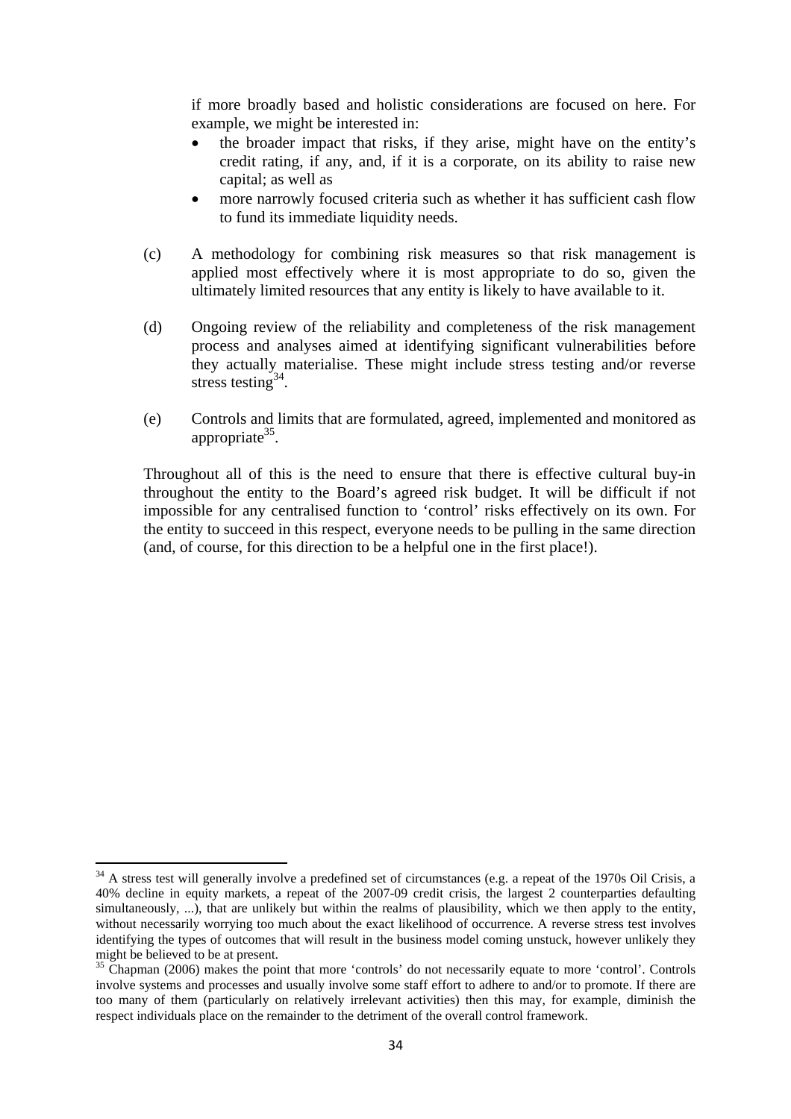if more broadly based and holistic considerations are focused on here. For example, we might be interested in:

- the broader impact that risks, if they arise, might have on the entity's credit rating, if any, and, if it is a corporate, on its ability to raise new capital; as well as
- more narrowly focused criteria such as whether it has sufficient cash flow to fund its immediate liquidity needs.
- (c) A methodology for combining risk measures so that risk management is applied most effectively where it is most appropriate to do so, given the ultimately limited resources that any entity is likely to have available to it.
- (d) Ongoing review of the reliability and completeness of the risk management process and analyses aimed at identifying significant vulnerabilities before they actually materialise. These might include stress testing and/or reverse stress testing<sup>34</sup>.
- (e) Controls and limits that are formulated, agreed, implemented and monitored as appropriate  $35$ .

Throughout all of this is the need to ensure that there is effective cultural buy-in throughout the entity to the Board's agreed risk budget. It will be difficult if not impossible for any centralised function to 'control' risks effectively on its own. For the entity to succeed in this respect, everyone needs to be pulling in the same direction (and, of course, for this direction to be a helpful one in the first place!).

<sup>&</sup>lt;sup>34</sup> A stress test will generally involve a predefined set of circumstances (e.g. a repeat of the 1970s Oil Crisis, a 40% decline in equity markets, a repeat of the 2007-09 credit crisis, the largest 2 counterparties defaulting simultaneously, ...), that are unlikely but within the realms of plausibility, which we then apply to the entity, without necessarily worrying too much about the exact likelihood of occurrence. A reverse stress test involves identifying the types of outcomes that will result in the business model coming unstuck, however unlikely they might be believed to be at present.

<sup>&</sup>lt;sup>35</sup> Chapman (2006) makes the point that more 'controls' do not necessarily equate to more 'control'. Controls involve systems and processes and usually involve some staff effort to adhere to and/or to promote. If there are too many of them (particularly on relatively irrelevant activities) then this may, for example, diminish the respect individuals place on the remainder to the detriment of the overall control framework.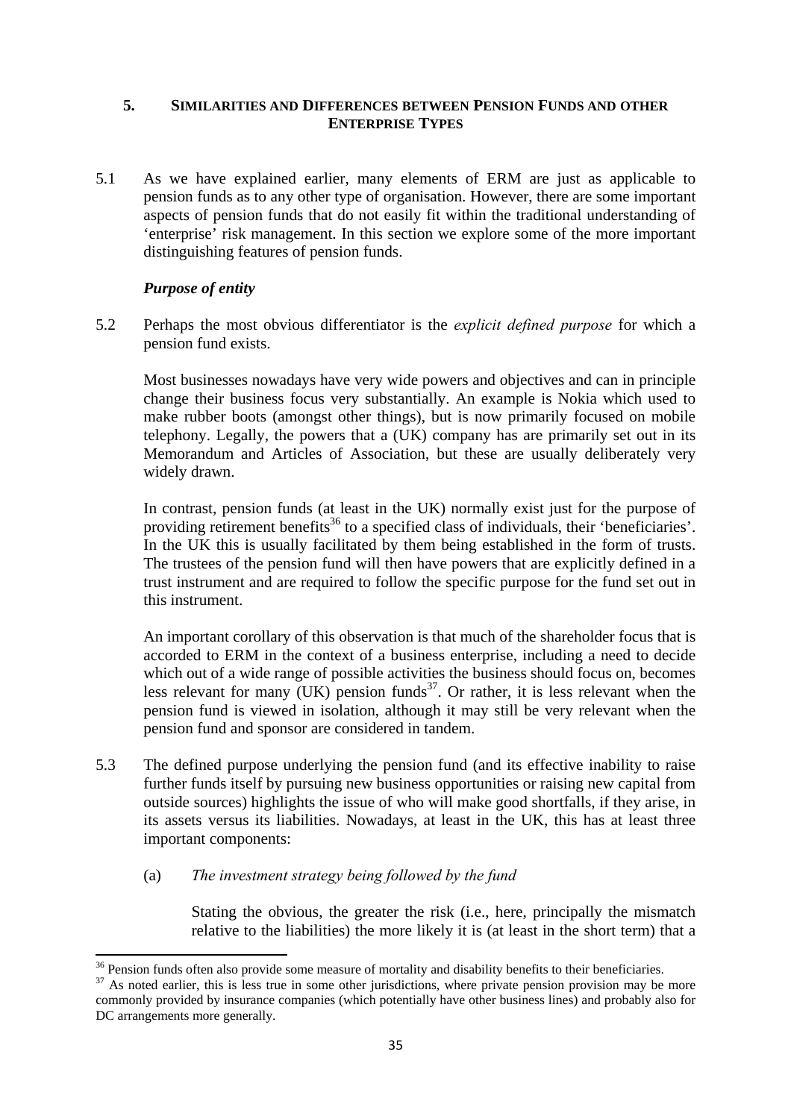### **5. SIMILARITIES AND DIFFERENCES BETWEEN PENSION FUNDS AND OTHER ENTERPRISE TYPES**

5.1 As we have explained earlier, many elements of ERM are just as applicable to pension funds as to any other type of organisation. However, there are some important aspects of pension funds that do not easily fit within the traditional understanding of 'enterprise' risk management. In this section we explore some of the more important distinguishing features of pension funds.

## *Purpose of entity*

5.2 Perhaps the most obvious differentiator is the *explicit defined purpose* for which a pension fund exists.

Most businesses nowadays have very wide powers and objectives and can in principle change their business focus very substantially. An example is Nokia which used to make rubber boots (amongst other things), but is now primarily focused on mobile telephony. Legally, the powers that a (UK) company has are primarily set out in its Memorandum and Articles of Association, but these are usually deliberately very widely drawn.

In contrast, pension funds (at least in the UK) normally exist just for the purpose of providing retirement benefits<sup>36</sup> to a specified class of individuals, their 'beneficiaries'. In the UK this is usually facilitated by them being established in the form of trusts. The trustees of the pension fund will then have powers that are explicitly defined in a trust instrument and are required to follow the specific purpose for the fund set out in this instrument.

An important corollary of this observation is that much of the shareholder focus that is accorded to ERM in the context of a business enterprise, including a need to decide which out of a wide range of possible activities the business should focus on, becomes less relevant for many  $(UK)$  pension funds<sup>37</sup>. Or rather, it is less relevant when the pension fund is viewed in isolation, although it may still be very relevant when the pension fund and sponsor are considered in tandem.

- 5.3 The defined purpose underlying the pension fund (and its effective inability to raise further funds itself by pursuing new business opportunities or raising new capital from outside sources) highlights the issue of who will make good shortfalls, if they arise, in its assets versus its liabilities. Nowadays, at least in the UK, this has at least three important components:
	- (a) *The investment strategy being followed by the fund*

Stating the obvious, the greater the risk (i.e., here, principally the mismatch relative to the liabilities) the more likely it is (at least in the short term) that a

  $36$  Pension funds often also provide some measure of mortality and disability benefits to their beneficiaries.  $37$  As noted earlier, this is less true in some other jurisdictions, where private pension provision may be

commonly provided by insurance companies (which potentially have other business lines) and probably also for DC arrangements more generally.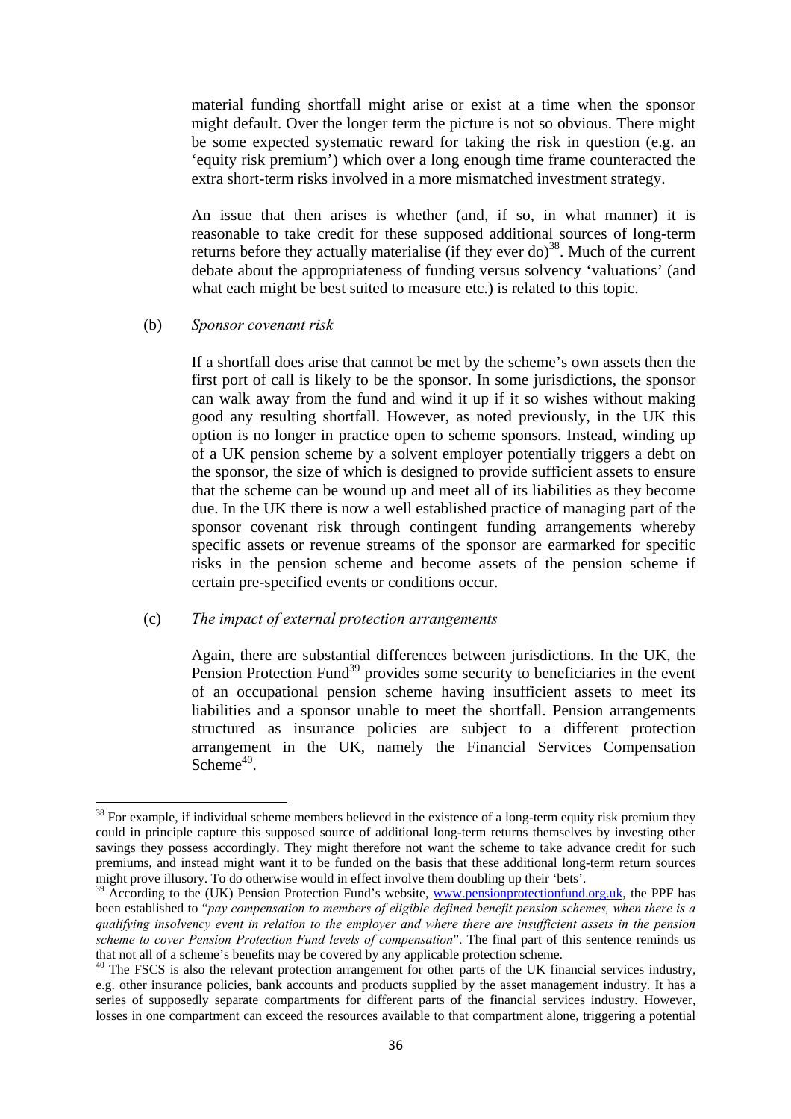material funding shortfall might arise or exist at a time when the sponsor might default. Over the longer term the picture is not so obvious. There might be some expected systematic reward for taking the risk in question (e.g. an 'equity risk premium') which over a long enough time frame counteracted the extra short-term risks involved in a more mismatched investment strategy.

An issue that then arises is whether (and, if so, in what manner) it is reasonable to take credit for these supposed additional sources of long-term returns before they actually materialise (if they ever do)<sup>38</sup>. Much of the current debate about the appropriateness of funding versus solvency 'valuations' (and what each might be best suited to measure etc.) is related to this topic.

#### (b) *Sponsor covenant risk*

 If a shortfall does arise that cannot be met by the scheme's own assets then the first port of call is likely to be the sponsor. In some jurisdictions, the sponsor can walk away from the fund and wind it up if it so wishes without making good any resulting shortfall. However, as noted previously, in the UK this option is no longer in practice open to scheme sponsors. Instead, winding up of a UK pension scheme by a solvent employer potentially triggers a debt on the sponsor, the size of which is designed to provide sufficient assets to ensure that the scheme can be wound up and meet all of its liabilities as they become due. In the UK there is now a well established practice of managing part of the sponsor covenant risk through contingent funding arrangements whereby specific assets or revenue streams of the sponsor are earmarked for specific risks in the pension scheme and become assets of the pension scheme if certain pre-specified events or conditions occur.

#### (c) *The impact of external protection arrangements*

Again, there are substantial differences between jurisdictions. In the UK, the Pension Protection Fund<sup>39</sup> provides some security to beneficiaries in the event of an occupational pension scheme having insufficient assets to meet its liabilities and a sponsor unable to meet the shortfall. Pension arrangements structured as insurance policies are subject to a different protection arrangement in the UK, namely the Financial Services Compensation  $Scheme<sup>40</sup>$ 

 $38$  For example, if individual scheme members believed in the existence of a long-term equity risk premium they could in principle capture this supposed source of additional long-term returns themselves by investing other savings they possess accordingly. They might therefore not want the scheme to take advance credit for such premiums, and instead might want it to be funded on the basis that these additional long-term return sources might prove illusory. To do otherwise would in effect involve them doubling up their 'bets'.

<sup>&</sup>lt;sup>39</sup> According to the (UK) Pension Protection Fund's website, www.pensionprotectionfund.org.uk, the PPF has been established to "*pay compensation to members of eligible defined benefit pension schemes, when there is a qualifying insolvency event in relation to the employer and where there are insufficient assets in the pension scheme to cover Pension Protection Fund levels of compensation*". The final part of this sentence reminds us that not all of a scheme's benefits may be covered by any applicable protection scheme.

<sup>&</sup>lt;sup>40</sup> The FSCS is also the relevant protection arrangement for other parts of the UK financial services industry, e.g. other insurance policies, bank accounts and products supplied by the asset management industry. It has a series of supposedly separate compartments for different parts of the financial services industry. However, losses in one compartment can exceed the resources available to that compartment alone, triggering a potential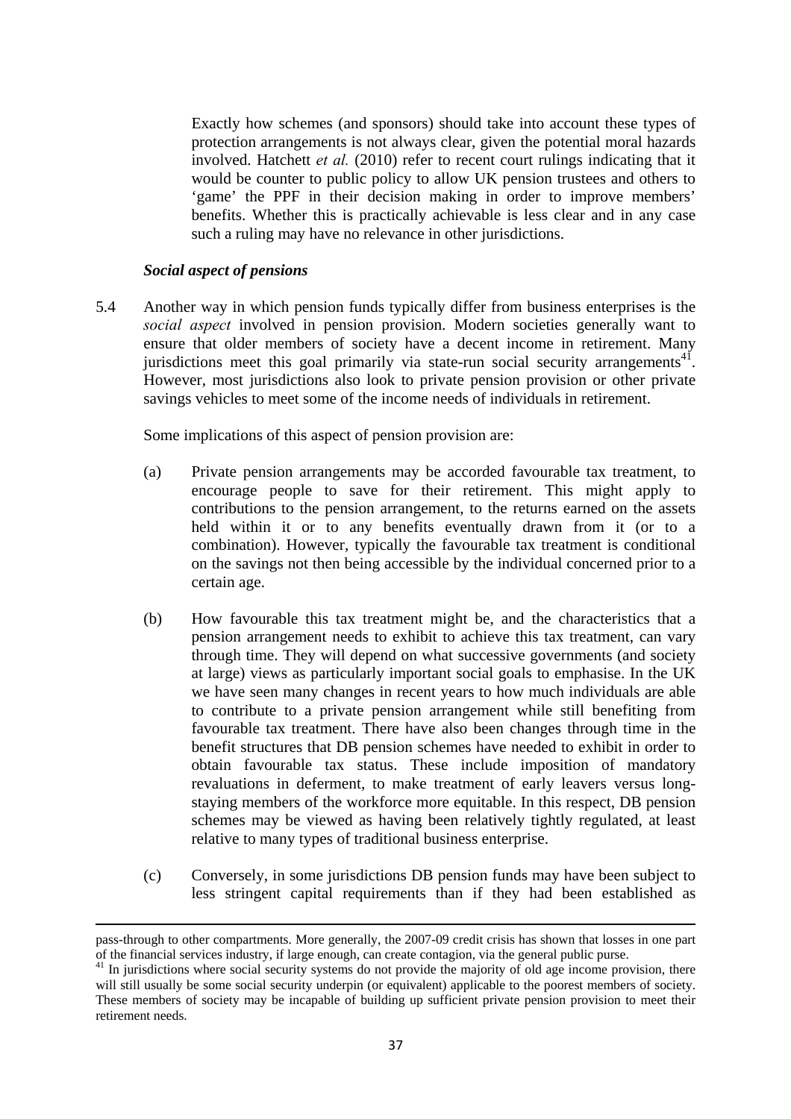Exactly how schemes (and sponsors) should take into account these types of protection arrangements is not always clear, given the potential moral hazards involved. Hatchett *et al.* (2010) refer to recent court rulings indicating that it would be counter to public policy to allow UK pension trustees and others to 'game' the PPF in their decision making in order to improve members' benefits. Whether this is practically achievable is less clear and in any case such a ruling may have no relevance in other jurisdictions.

### *Social aspect of pensions*

5.4 Another way in which pension funds typically differ from business enterprises is the *social aspect* involved in pension provision. Modern societies generally want to ensure that older members of society have a decent income in retirement. Many jurisdictions meet this goal primarily via state-run social security arrangements<sup>41</sup>. However, most jurisdictions also look to private pension provision or other private savings vehicles to meet some of the income needs of individuals in retirement.

Some implications of this aspect of pension provision are:

- (a) Private pension arrangements may be accorded favourable tax treatment, to encourage people to save for their retirement. This might apply to contributions to the pension arrangement, to the returns earned on the assets held within it or to any benefits eventually drawn from it (or to a combination). However, typically the favourable tax treatment is conditional on the savings not then being accessible by the individual concerned prior to a certain age.
- (b) How favourable this tax treatment might be, and the characteristics that a pension arrangement needs to exhibit to achieve this tax treatment, can vary through time. They will depend on what successive governments (and society at large) views as particularly important social goals to emphasise. In the UK we have seen many changes in recent years to how much individuals are able to contribute to a private pension arrangement while still benefiting from favourable tax treatment. There have also been changes through time in the benefit structures that DB pension schemes have needed to exhibit in order to obtain favourable tax status. These include imposition of mandatory revaluations in deferment, to make treatment of early leavers versus longstaying members of the workforce more equitable. In this respect, DB pension schemes may be viewed as having been relatively tightly regulated, at least relative to many types of traditional business enterprise.
- (c) Conversely, in some jurisdictions DB pension funds may have been subject to less stringent capital requirements than if they had been established as

<sup>&</sup>lt;u> 1989 - Johann Stoff, amerikansk politiker (d. 1989)</u> pass-through to other compartments. More generally, the 2007-09 credit crisis has shown that losses in one part of the financial services industry, if large enough, can create contagion, via the general public purse. 41 In jurisdictions where social security systems do not provide the majority of old age income provision, there

will still usually be some social security underpin (or equivalent) applicable to the poorest members of society. These members of society may be incapable of building up sufficient private pension provision to meet their retirement needs.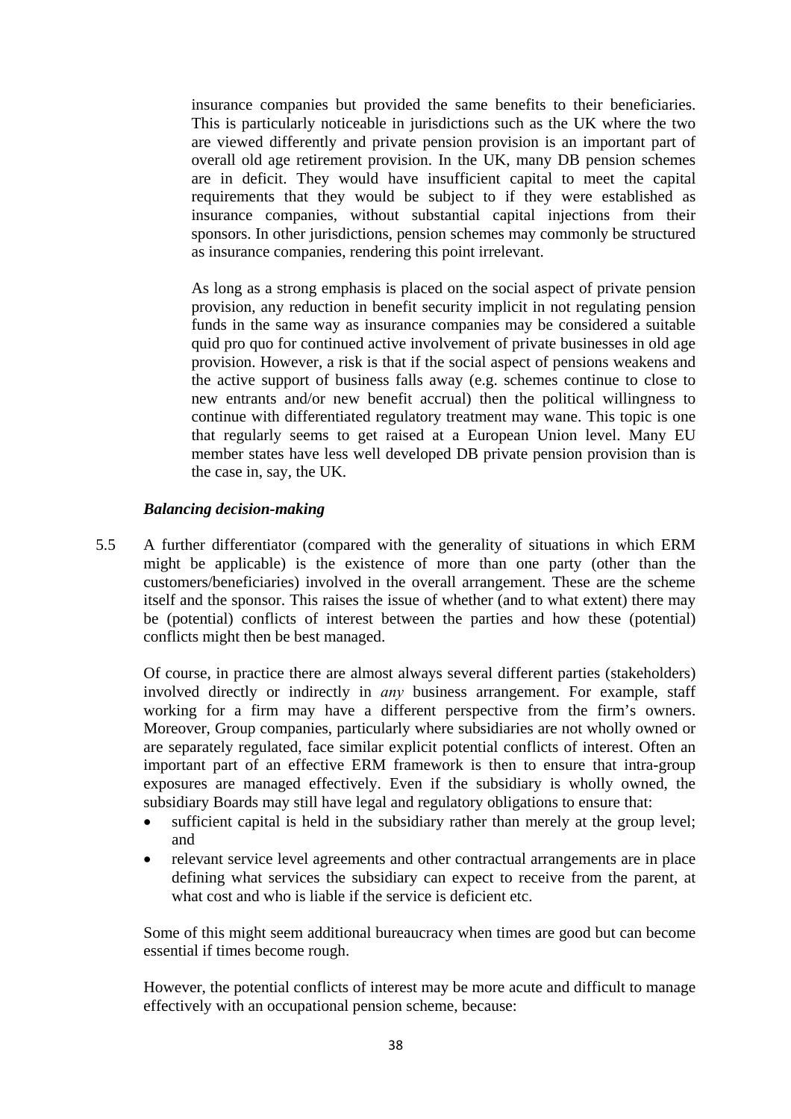insurance companies but provided the same benefits to their beneficiaries. This is particularly noticeable in jurisdictions such as the UK where the two are viewed differently and private pension provision is an important part of overall old age retirement provision. In the UK, many DB pension schemes are in deficit. They would have insufficient capital to meet the capital requirements that they would be subject to if they were established as insurance companies, without substantial capital injections from their sponsors. In other jurisdictions, pension schemes may commonly be structured as insurance companies, rendering this point irrelevant.

As long as a strong emphasis is placed on the social aspect of private pension provision, any reduction in benefit security implicit in not regulating pension funds in the same way as insurance companies may be considered a suitable quid pro quo for continued active involvement of private businesses in old age provision. However, a risk is that if the social aspect of pensions weakens and the active support of business falls away (e.g. schemes continue to close to new entrants and/or new benefit accrual) then the political willingness to continue with differentiated regulatory treatment may wane. This topic is one that regularly seems to get raised at a European Union level. Many EU member states have less well developed DB private pension provision than is the case in, say, the UK.

## *Balancing decision-making*

5.5 A further differentiator (compared with the generality of situations in which ERM might be applicable) is the existence of more than one party (other than the customers/beneficiaries) involved in the overall arrangement. These are the scheme itself and the sponsor. This raises the issue of whether (and to what extent) there may be (potential) conflicts of interest between the parties and how these (potential) conflicts might then be best managed.

Of course, in practice there are almost always several different parties (stakeholders) involved directly or indirectly in *any* business arrangement. For example, staff working for a firm may have a different perspective from the firm's owners. Moreover, Group companies, particularly where subsidiaries are not wholly owned or are separately regulated, face similar explicit potential conflicts of interest. Often an important part of an effective ERM framework is then to ensure that intra-group exposures are managed effectively. Even if the subsidiary is wholly owned, the subsidiary Boards may still have legal and regulatory obligations to ensure that:

- sufficient capital is held in the subsidiary rather than merely at the group level; and
- relevant service level agreements and other contractual arrangements are in place defining what services the subsidiary can expect to receive from the parent, at what cost and who is liable if the service is deficient etc.

Some of this might seem additional bureaucracy when times are good but can become essential if times become rough.

However, the potential conflicts of interest may be more acute and difficult to manage effectively with an occupational pension scheme, because: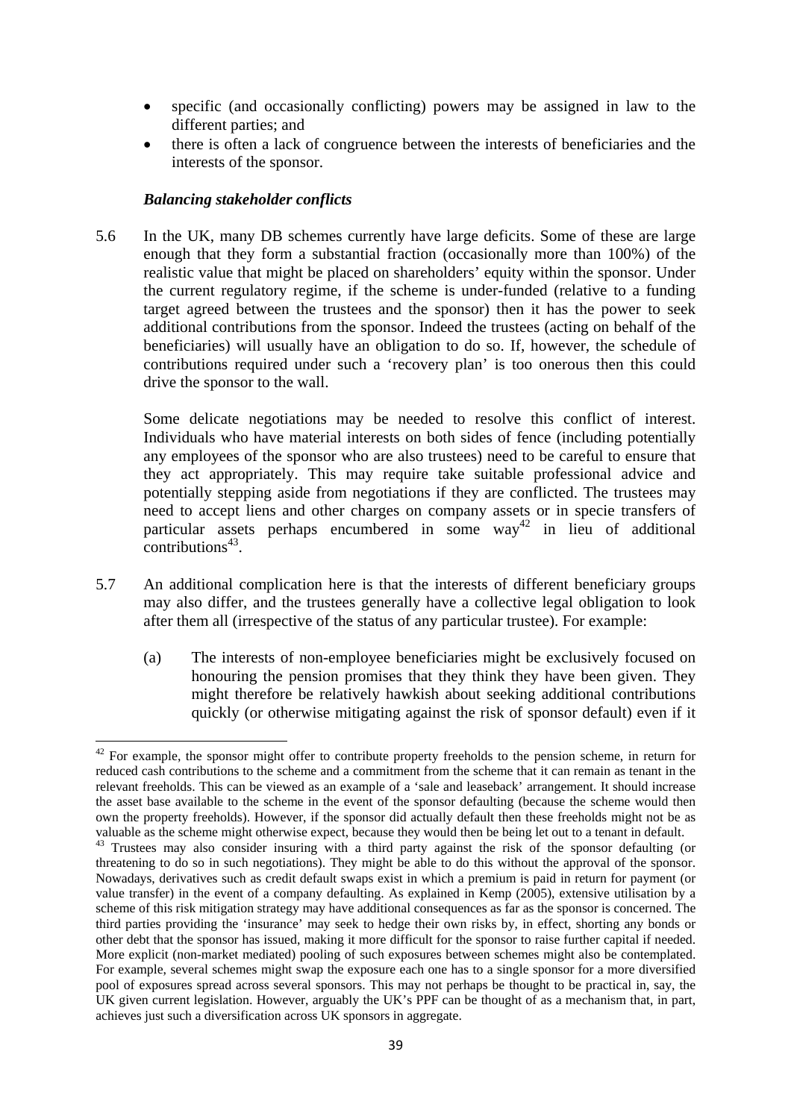- specific (and occasionally conflicting) powers may be assigned in law to the different parties; and
- there is often a lack of congruence between the interests of beneficiaries and the interests of the sponsor.

### *Balancing stakeholder conflicts*

5.6 In the UK, many DB schemes currently have large deficits. Some of these are large enough that they form a substantial fraction (occasionally more than 100%) of the realistic value that might be placed on shareholders' equity within the sponsor. Under the current regulatory regime, if the scheme is under-funded (relative to a funding target agreed between the trustees and the sponsor) then it has the power to seek additional contributions from the sponsor. Indeed the trustees (acting on behalf of the beneficiaries) will usually have an obligation to do so. If, however, the schedule of contributions required under such a 'recovery plan' is too onerous then this could drive the sponsor to the wall.

Some delicate negotiations may be needed to resolve this conflict of interest. Individuals who have material interests on both sides of fence (including potentially any employees of the sponsor who are also trustees) need to be careful to ensure that they act appropriately. This may require take suitable professional advice and potentially stepping aside from negotiations if they are conflicted. The trustees may need to accept liens and other charges on company assets or in specie transfers of particular assets perhaps encumbered in some way<sup>42</sup> in lieu of additional  $contributions<sup>43</sup>$ .

- 5.7 An additional complication here is that the interests of different beneficiary groups may also differ, and the trustees generally have a collective legal obligation to look after them all (irrespective of the status of any particular trustee). For example:
	- (a) The interests of non-employee beneficiaries might be exclusively focused on honouring the pension promises that they think they have been given. They might therefore be relatively hawkish about seeking additional contributions quickly (or otherwise mitigating against the risk of sponsor default) even if it

 $42$  For example, the sponsor might offer to contribute property freeholds to the pension scheme, in return for reduced cash contributions to the scheme and a commitment from the scheme that it can remain as tenant in the relevant freeholds. This can be viewed as an example of a 'sale and leaseback' arrangement. It should increase the asset base available to the scheme in the event of the sponsor defaulting (because the scheme would then own the property freeholds). However, if the sponsor did actually default then these freeholds might not be as valuable as the scheme might otherwise expect, because they would then be being let out to a tenant in default.

<sup>&</sup>lt;sup>43</sup> Trustees may also consider insuring with a third party against the risk of the sponsor defaulting (or threatening to do so in such negotiations). They might be able to do this without the approval of the sponsor. Nowadays, derivatives such as credit default swaps exist in which a premium is paid in return for payment (or value transfer) in the event of a company defaulting. As explained in Kemp (2005), extensive utilisation by a scheme of this risk mitigation strategy may have additional consequences as far as the sponsor is concerned. The third parties providing the 'insurance' may seek to hedge their own risks by, in effect, shorting any bonds or other debt that the sponsor has issued, making it more difficult for the sponsor to raise further capital if needed. More explicit (non-market mediated) pooling of such exposures between schemes might also be contemplated. For example, several schemes might swap the exposure each one has to a single sponsor for a more diversified pool of exposures spread across several sponsors. This may not perhaps be thought to be practical in, say, the UK given current legislation. However, arguably the UK's PPF can be thought of as a mechanism that, in part, achieves just such a diversification across UK sponsors in aggregate.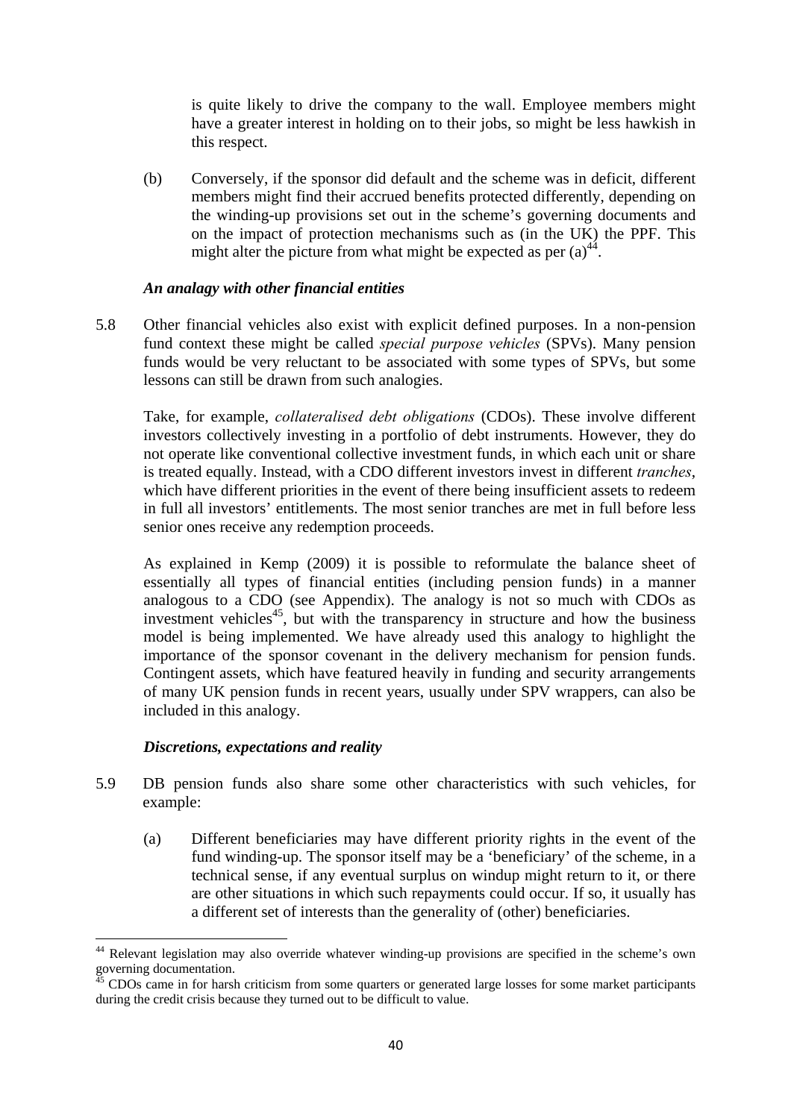is quite likely to drive the company to the wall. Employee members might have a greater interest in holding on to their jobs, so might be less hawkish in this respect.

(b) Conversely, if the sponsor did default and the scheme was in deficit, different members might find their accrued benefits protected differently, depending on the winding-up provisions set out in the scheme's governing documents and on the impact of protection mechanisms such as (in the UK) the PPF. This might alter the picture from what might be expected as per  $(a)^{44}$ .

### *An analagy with other financial entities*

5.8 Other financial vehicles also exist with explicit defined purposes. In a non-pension fund context these might be called *special purpose vehicles* (SPVs). Many pension funds would be very reluctant to be associated with some types of SPVs, but some lessons can still be drawn from such analogies.

Take, for example, *collateralised debt obligations* (CDOs). These involve different investors collectively investing in a portfolio of debt instruments. However, they do not operate like conventional collective investment funds, in which each unit or share is treated equally. Instead, with a CDO different investors invest in different *tranches*, which have different priorities in the event of there being insufficient assets to redeem in full all investors' entitlements. The most senior tranches are met in full before less senior ones receive any redemption proceeds.

As explained in Kemp (2009) it is possible to reformulate the balance sheet of essentially all types of financial entities (including pension funds) in a manner analogous to a CDO (see Appendix). The analogy is not so much with CDOs as investment vehicles<sup>45</sup>, but with the transparency in structure and how the business model is being implemented. We have already used this analogy to highlight the importance of the sponsor covenant in the delivery mechanism for pension funds. Contingent assets, which have featured heavily in funding and security arrangements of many UK pension funds in recent years, usually under SPV wrappers, can also be included in this analogy.

### *Discretions, expectations and reality*

- 5.9 DB pension funds also share some other characteristics with such vehicles, for example:
	- (a) Different beneficiaries may have different priority rights in the event of the fund winding-up. The sponsor itself may be a 'beneficiary' of the scheme, in a technical sense, if any eventual surplus on windup might return to it, or there are other situations in which such repayments could occur. If so, it usually has a different set of interests than the generality of (other) beneficiaries.

 Relevant legislation may also override whatever winding-up provisions are specified in the scheme's own governing documentation.

<sup>45</sup> CDOs came in for harsh criticism from some quarters or generated large losses for some market participants during the credit crisis because they turned out to be difficult to value.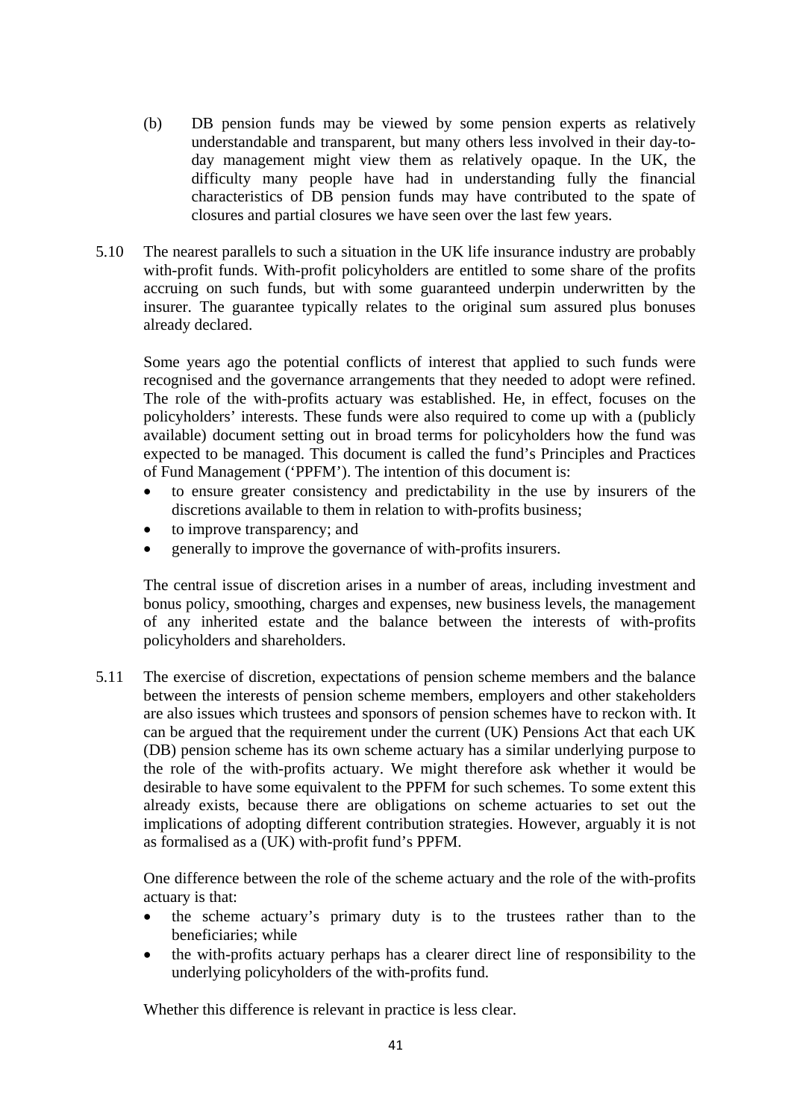- (b) DB pension funds may be viewed by some pension experts as relatively understandable and transparent, but many others less involved in their day-today management might view them as relatively opaque. In the UK, the difficulty many people have had in understanding fully the financial characteristics of DB pension funds may have contributed to the spate of closures and partial closures we have seen over the last few years.
- 5.10 The nearest parallels to such a situation in the UK life insurance industry are probably with-profit funds. With-profit policyholders are entitled to some share of the profits accruing on such funds, but with some guaranteed underpin underwritten by the insurer. The guarantee typically relates to the original sum assured plus bonuses already declared.

Some years ago the potential conflicts of interest that applied to such funds were recognised and the governance arrangements that they needed to adopt were refined. The role of the with-profits actuary was established. He, in effect, focuses on the policyholders' interests. These funds were also required to come up with a (publicly available) document setting out in broad terms for policyholders how the fund was expected to be managed. This document is called the fund's Principles and Practices of Fund Management ('PPFM'). The intention of this document is:

- to ensure greater consistency and predictability in the use by insurers of the discretions available to them in relation to with-profits business;
- to improve transparency; and
- generally to improve the governance of with-profits insurers.

The central issue of discretion arises in a number of areas, including investment and bonus policy, smoothing, charges and expenses, new business levels, the management of any inherited estate and the balance between the interests of with-profits policyholders and shareholders.

5.11 The exercise of discretion, expectations of pension scheme members and the balance between the interests of pension scheme members, employers and other stakeholders are also issues which trustees and sponsors of pension schemes have to reckon with. It can be argued that the requirement under the current (UK) Pensions Act that each UK (DB) pension scheme has its own scheme actuary has a similar underlying purpose to the role of the with-profits actuary. We might therefore ask whether it would be desirable to have some equivalent to the PPFM for such schemes. To some extent this already exists, because there are obligations on scheme actuaries to set out the implications of adopting different contribution strategies. However, arguably it is not as formalised as a (UK) with-profit fund's PPFM.

One difference between the role of the scheme actuary and the role of the with-profits actuary is that:

- the scheme actuary's primary duty is to the trustees rather than to the beneficiaries; while
- the with-profits actuary perhaps has a clearer direct line of responsibility to the underlying policyholders of the with-profits fund.

Whether this difference is relevant in practice is less clear.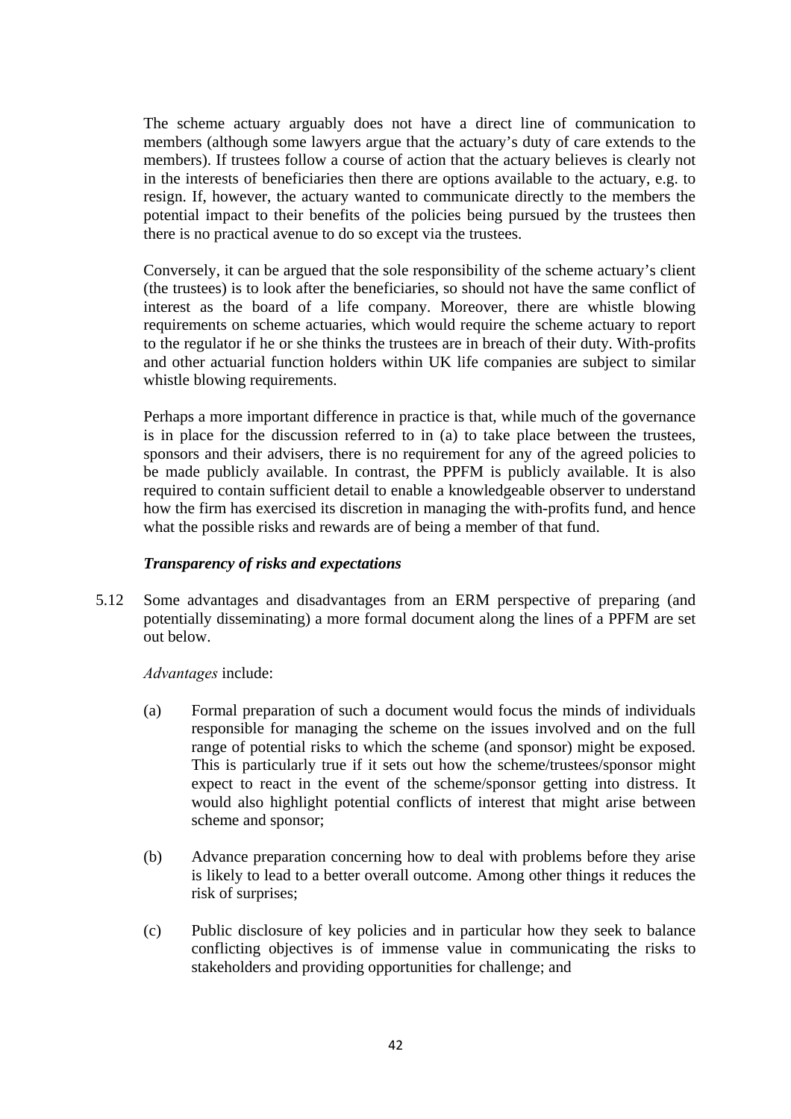The scheme actuary arguably does not have a direct line of communication to members (although some lawyers argue that the actuary's duty of care extends to the members). If trustees follow a course of action that the actuary believes is clearly not in the interests of beneficiaries then there are options available to the actuary, e.g. to resign. If, however, the actuary wanted to communicate directly to the members the potential impact to their benefits of the policies being pursued by the trustees then there is no practical avenue to do so except via the trustees.

Conversely, it can be argued that the sole responsibility of the scheme actuary's client (the trustees) is to look after the beneficiaries, so should not have the same conflict of interest as the board of a life company. Moreover, there are whistle blowing requirements on scheme actuaries, which would require the scheme actuary to report to the regulator if he or she thinks the trustees are in breach of their duty. With-profits and other actuarial function holders within UK life companies are subject to similar whistle blowing requirements.

Perhaps a more important difference in practice is that, while much of the governance is in place for the discussion referred to in (a) to take place between the trustees, sponsors and their advisers, there is no requirement for any of the agreed policies to be made publicly available. In contrast, the PPFM is publicly available. It is also required to contain sufficient detail to enable a knowledgeable observer to understand how the firm has exercised its discretion in managing the with-profits fund, and hence what the possible risks and rewards are of being a member of that fund.

### *Transparency of risks and expectations*

5.12 Some advantages and disadvantages from an ERM perspective of preparing (and potentially disseminating) a more formal document along the lines of a PPFM are set out below.

*Advantages* include:

- (a) Formal preparation of such a document would focus the minds of individuals responsible for managing the scheme on the issues involved and on the full range of potential risks to which the scheme (and sponsor) might be exposed. This is particularly true if it sets out how the scheme/trustees/sponsor might expect to react in the event of the scheme/sponsor getting into distress. It would also highlight potential conflicts of interest that might arise between scheme and sponsor;
- (b) Advance preparation concerning how to deal with problems before they arise is likely to lead to a better overall outcome. Among other things it reduces the risk of surprises;
- (c) Public disclosure of key policies and in particular how they seek to balance conflicting objectives is of immense value in communicating the risks to stakeholders and providing opportunities for challenge; and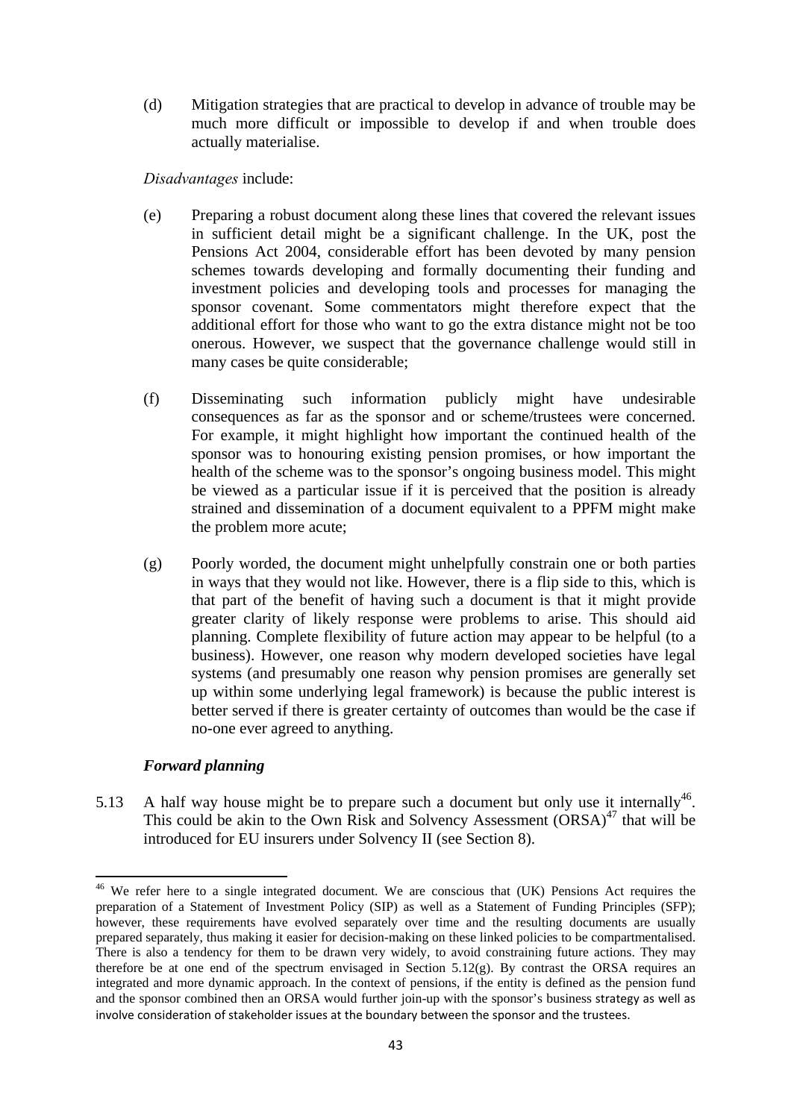(d) Mitigation strategies that are practical to develop in advance of trouble may be much more difficult or impossible to develop if and when trouble does actually materialise.

*Disadvantages* include:

- (e) Preparing a robust document along these lines that covered the relevant issues in sufficient detail might be a significant challenge. In the UK, post the Pensions Act 2004, considerable effort has been devoted by many pension schemes towards developing and formally documenting their funding and investment policies and developing tools and processes for managing the sponsor covenant. Some commentators might therefore expect that the additional effort for those who want to go the extra distance might not be too onerous. However, we suspect that the governance challenge would still in many cases be quite considerable;
- (f) Disseminating such information publicly might have undesirable consequences as far as the sponsor and or scheme/trustees were concerned. For example, it might highlight how important the continued health of the sponsor was to honouring existing pension promises, or how important the health of the scheme was to the sponsor's ongoing business model. This might be viewed as a particular issue if it is perceived that the position is already strained and dissemination of a document equivalent to a PPFM might make the problem more acute;
- (g) Poorly worded, the document might unhelpfully constrain one or both parties in ways that they would not like. However, there is a flip side to this, which is that part of the benefit of having such a document is that it might provide greater clarity of likely response were problems to arise. This should aid planning. Complete flexibility of future action may appear to be helpful (to a business). However, one reason why modern developed societies have legal systems (and presumably one reason why pension promises are generally set up within some underlying legal framework) is because the public interest is better served if there is greater certainty of outcomes than would be the case if no-one ever agreed to anything.

# *Forward planning*

5.13 A half way house might be to prepare such a document but only use it internally<sup>46</sup>. This could be akin to the Own Risk and Solvency Assessment  $(ORSA)^{47}$  that will be introduced for EU insurers under Solvency II (see Section 8).

<sup>&</sup>lt;sup>46</sup> We refer here to a single integrated document. We are conscious that (UK) Pensions Act requires the preparation of a Statement of Investment Policy (SIP) as well as a Statement of Funding Principles (SFP); however, these requirements have evolved separately over time and the resulting documents are usually prepared separately, thus making it easier for decision-making on these linked policies to be compartmentalised. There is also a tendency for them to be drawn very widely, to avoid constraining future actions. They may therefore be at one end of the spectrum envisaged in Section 5.12(g). By contrast the ORSA requires an integrated and more dynamic approach. In the context of pensions, if the entity is defined as the pension fund and the sponsor combined then an ORSA would further join-up with the sponsor's business strategy as well as involve consideration of stakeholder issues at the boundary between the sponsor and the trustees.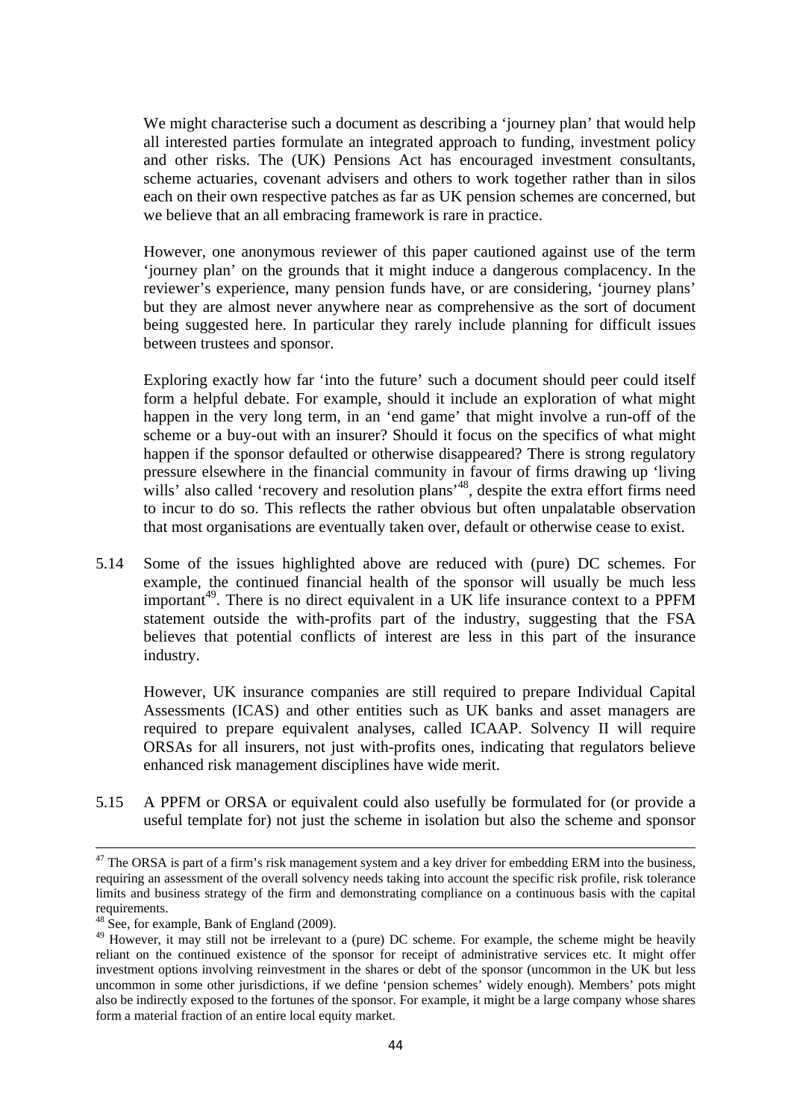We might characterise such a document as describing a 'journey plan' that would help all interested parties formulate an integrated approach to funding, investment policy and other risks. The (UK) Pensions Act has encouraged investment consultants, scheme actuaries, covenant advisers and others to work together rather than in silos each on their own respective patches as far as UK pension schemes are concerned, but we believe that an all embracing framework is rare in practice.

However, one anonymous reviewer of this paper cautioned against use of the term 'journey plan' on the grounds that it might induce a dangerous complacency. In the reviewer's experience, many pension funds have, or are considering, 'journey plans' but they are almost never anywhere near as comprehensive as the sort of document being suggested here. In particular they rarely include planning for difficult issues between trustees and sponsor.

Exploring exactly how far 'into the future' such a document should peer could itself form a helpful debate. For example, should it include an exploration of what might happen in the very long term, in an 'end game' that might involve a run-off of the scheme or a buy-out with an insurer? Should it focus on the specifics of what might happen if the sponsor defaulted or otherwise disappeared? There is strong regulatory pressure elsewhere in the financial community in favour of firms drawing up 'living wills' also called 'recovery and resolution plans'<sup>48</sup>, despite the extra effort firms need to incur to do so. This reflects the rather obvious but often unpalatable observation that most organisations are eventually taken over, default or otherwise cease to exist.

5.14 Some of the issues highlighted above are reduced with (pure) DC schemes. For example, the continued financial health of the sponsor will usually be much less important<sup>49</sup>. There is no direct equivalent in a UK life insurance context to a PPFM statement outside the with-profits part of the industry, suggesting that the FSA believes that potential conflicts of interest are less in this part of the insurance industry.

However, UK insurance companies are still required to prepare Individual Capital Assessments (ICAS) and other entities such as UK banks and asset managers are required to prepare equivalent analyses, called ICAAP. Solvency II will require ORSAs for all insurers, not just with-profits ones, indicating that regulators believe enhanced risk management disciplines have wide merit.

5.15 A PPFM or ORSA or equivalent could also usefully be formulated for (or provide a useful template for) not just the scheme in isolation but also the scheme and sponsor

<sup>&</sup>lt;sup>47</sup> The ORSA is part of a firm's risk management system and a key driver for embedding ERM into the business, requiring an assessment of the overall solvency needs taking into account the specific risk profile, risk tolerance limits and business strategy of the firm and demonstrating compliance on a continuous basis with the capital requirements.

<sup>&</sup>lt;sup>48</sup> See, for example, Bank of England (2009).

<sup>&</sup>lt;sup>49</sup> However, it may still not be irrelevant to a (pure) DC scheme. For example, the scheme might be heavily reliant on the continued existence of the sponsor for receipt of administrative services etc. It might offer investment options involving reinvestment in the shares or debt of the sponsor (uncommon in the UK but less uncommon in some other jurisdictions, if we define 'pension schemes' widely enough). Members' pots might also be indirectly exposed to the fortunes of the sponsor. For example, it might be a large company whose shares form a material fraction of an entire local equity market.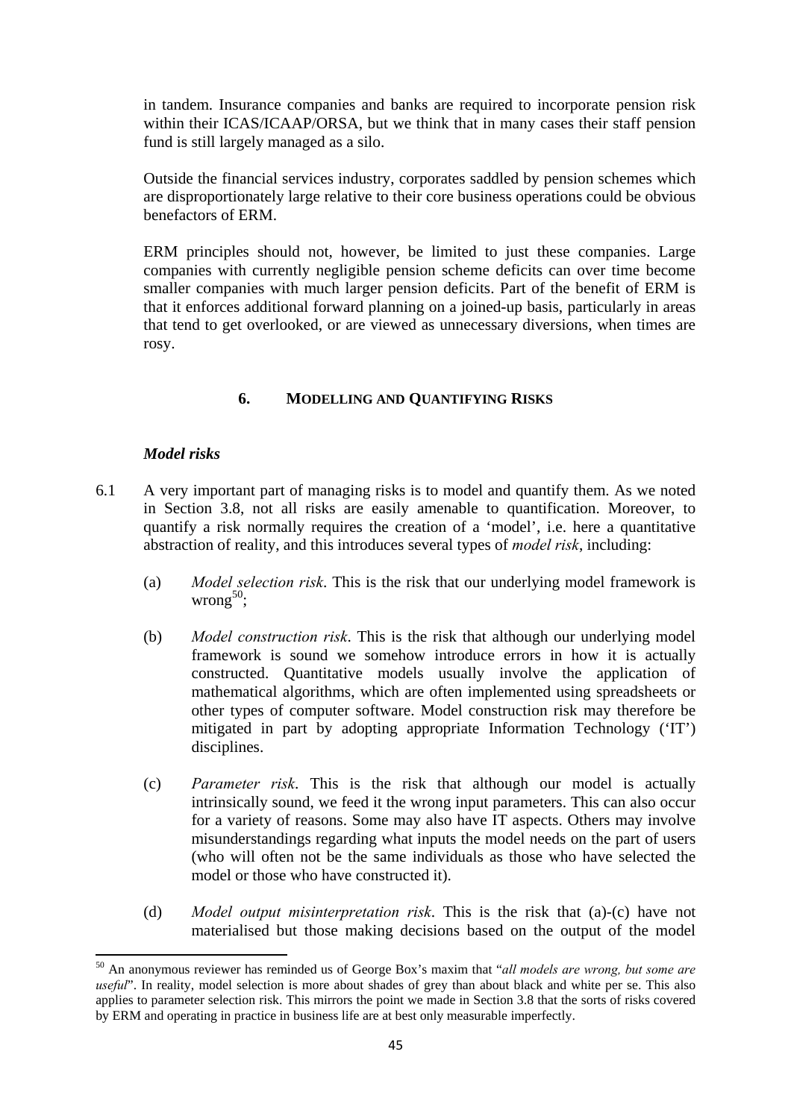in tandem. Insurance companies and banks are required to incorporate pension risk within their ICAS/ICAAP/ORSA, but we think that in many cases their staff pension fund is still largely managed as a silo.

Outside the financial services industry, corporates saddled by pension schemes which are disproportionately large relative to their core business operations could be obvious benefactors of ERM.

ERM principles should not, however, be limited to just these companies. Large companies with currently negligible pension scheme deficits can over time become smaller companies with much larger pension deficits. Part of the benefit of ERM is that it enforces additional forward planning on a joined-up basis, particularly in areas that tend to get overlooked, or are viewed as unnecessary diversions, when times are rosy.

## **6. MODELLING AND QUANTIFYING RISKS**

### *Model risks*

- 6.1 A very important part of managing risks is to model and quantify them. As we noted in Section 3.8, not all risks are easily amenable to quantification. Moreover, to quantify a risk normally requires the creation of a 'model', i.e. here a quantitative abstraction of reality, and this introduces several types of *model risk*, including:
	- (a) *Model selection risk*. This is the risk that our underlying model framework is wrong<sup>50</sup>;
	- (b) *Model construction risk*. This is the risk that although our underlying model framework is sound we somehow introduce errors in how it is actually constructed. Quantitative models usually involve the application of mathematical algorithms, which are often implemented using spreadsheets or other types of computer software. Model construction risk may therefore be mitigated in part by adopting appropriate Information Technology ('IT') disciplines.
	- (c) *Parameter risk*. This is the risk that although our model is actually intrinsically sound, we feed it the wrong input parameters. This can also occur for a variety of reasons. Some may also have IT aspects. Others may involve misunderstandings regarding what inputs the model needs on the part of users (who will often not be the same individuals as those who have selected the model or those who have constructed it).
	- (d) *Model output misinterpretation risk*. This is the risk that (a)-(c) have not materialised but those making decisions based on the output of the model

<sup>50</sup> An anonymous reviewer has reminded us of George Box's maxim that "*all models are wrong, but some are useful*". In reality, model selection is more about shades of grey than about black and white per se. This also applies to parameter selection risk. This mirrors the point we made in Section 3.8 that the sorts of risks covered by ERM and operating in practice in business life are at best only measurable imperfectly.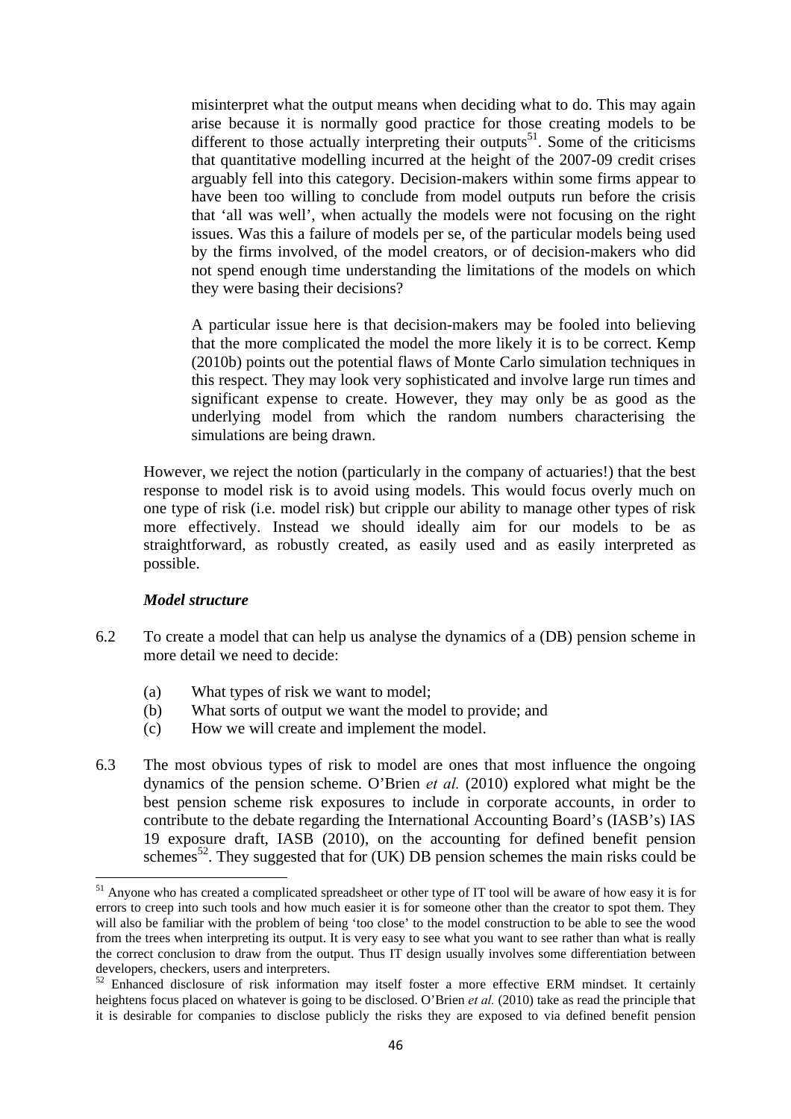misinterpret what the output means when deciding what to do. This may again arise because it is normally good practice for those creating models to be different to those actually interpreting their outputs<sup>51</sup>. Some of the criticisms that quantitative modelling incurred at the height of the 2007-09 credit crises arguably fell into this category. Decision-makers within some firms appear to have been too willing to conclude from model outputs run before the crisis that 'all was well', when actually the models were not focusing on the right issues. Was this a failure of models per se, of the particular models being used by the firms involved, of the model creators, or of decision-makers who did not spend enough time understanding the limitations of the models on which they were basing their decisions?

 A particular issue here is that decision-makers may be fooled into believing that the more complicated the model the more likely it is to be correct. Kemp (2010b) points out the potential flaws of Monte Carlo simulation techniques in this respect. They may look very sophisticated and involve large run times and significant expense to create. However, they may only be as good as the underlying model from which the random numbers characterising the simulations are being drawn.

 However, we reject the notion (particularly in the company of actuaries!) that the best response to model risk is to avoid using models. This would focus overly much on one type of risk (i.e. model risk) but cripple our ability to manage other types of risk more effectively. Instead we should ideally aim for our models to be as straightforward, as robustly created, as easily used and as easily interpreted as possible.

#### *Model structure*

- 6.2 To create a model that can help us analyse the dynamics of a (DB) pension scheme in more detail we need to decide:
	- (a) What types of risk we want to model;
	- (b) What sorts of output we want the model to provide; and
	- (c) How we will create and implement the model.
- 6.3 The most obvious types of risk to model are ones that most influence the ongoing dynamics of the pension scheme. O'Brien *et al.* (2010) explored what might be the best pension scheme risk exposures to include in corporate accounts, in order to contribute to the debate regarding the International Accounting Board's (IASB's) IAS 19 exposure draft, IASB (2010), on the accounting for defined benefit pension schemes<sup>52</sup>. They suggested that for (UK) DB pension schemes the main risks could be

<sup>&</sup>lt;sup>51</sup> Anyone who has created a complicated spreadsheet or other type of IT tool will be aware of how easy it is for errors to creep into such tools and how much easier it is for someone other than the creator to spot them. They will also be familiar with the problem of being 'too close' to the model construction to be able to see the wood from the trees when interpreting its output. It is very easy to see what you want to see rather than what is really the correct conclusion to draw from the output. Thus IT design usually involves some differentiation between developers, checkers, users and interpreters.

<sup>&</sup>lt;sup>52</sup> Enhanced disclosure of risk information may itself foster a more effective ERM mindset. It certainly heightens focus placed on whatever is going to be disclosed. O'Brien *et al.* (2010) take as read the principle that it is desirable for companies to disclose publicly the risks they are exposed to via defined benefit pension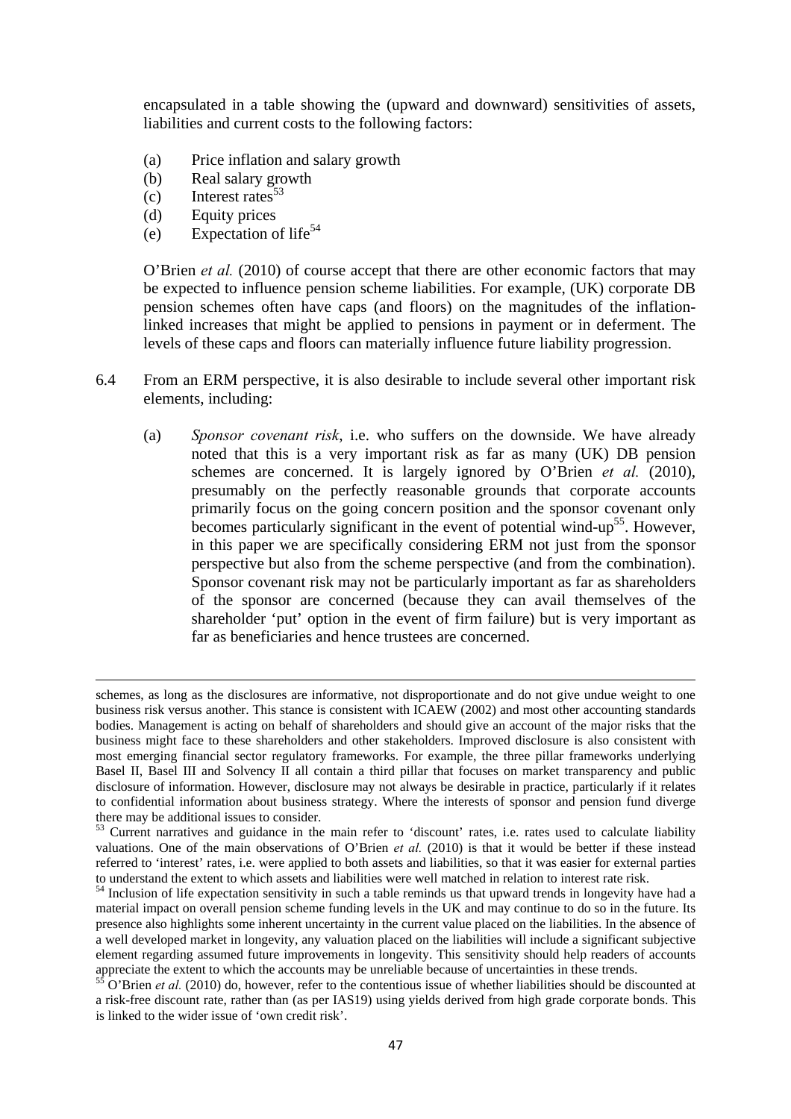encapsulated in a table showing the (upward and downward) sensitivities of assets, liabilities and current costs to the following factors:

- (a) Price inflation and salary growth
- (b) Real salary growth
- (c) Interest rates<sup>53</sup>
- (d) Equity prices
- (e) Expectation of life<sup>54</sup>

O'Brien *et al.* (2010) of course accept that there are other economic factors that may be expected to influence pension scheme liabilities. For example, (UK) corporate DB pension schemes often have caps (and floors) on the magnitudes of the inflationlinked increases that might be applied to pensions in payment or in deferment. The levels of these caps and floors can materially influence future liability progression.

- 6.4 From an ERM perspective, it is also desirable to include several other important risk elements, including:
	- (a) *Sponsor covenant risk*, i.e. who suffers on the downside. We have already noted that this is a very important risk as far as many (UK) DB pension schemes are concerned. It is largely ignored by O'Brien *et al.* (2010), presumably on the perfectly reasonable grounds that corporate accounts primarily focus on the going concern position and the sponsor covenant only becomes particularly significant in the event of potential wind-up<sup>55</sup>. However, in this paper we are specifically considering ERM not just from the sponsor perspective but also from the scheme perspective (and from the combination). Sponsor covenant risk may not be particularly important as far as shareholders of the sponsor are concerned (because they can avail themselves of the shareholder 'put' option in the event of firm failure) but is very important as far as beneficiaries and hence trustees are concerned.

<u> 1989 - Jan Sarajević, politički predsjednik i politički predsjednik i politički politički politički političk</u>

schemes, as long as the disclosures are informative, not disproportionate and do not give undue weight to one business risk versus another. This stance is consistent with ICAEW (2002) and most other accounting standards bodies. Management is acting on behalf of shareholders and should give an account of the major risks that the business might face to these shareholders and other stakeholders. Improved disclosure is also consistent with most emerging financial sector regulatory frameworks. For example, the three pillar frameworks underlying Basel II, Basel III and Solvency II all contain a third pillar that focuses on market transparency and public disclosure of information. However, disclosure may not always be desirable in practice, particularly if it relates to confidential information about business strategy. Where the interests of sponsor and pension fund diverge there may be additional issues to consider.

<sup>&</sup>lt;sup>53</sup> Current narratives and guidance in the main refer to 'discount' rates, i.e. rates used to calculate liability valuations. One of the main observations of O'Brien *et al.* (2010) is that it would be better if these instead referred to 'interest' rates, i.e. were applied to both assets and liabilities, so that it was easier for external parties to understand the extent to which assets and liabilities were well matched in relation to interest rate risk.

 $54$  Inclusion of life expectation sensitivity in such a table reminds us that upward trends in longevity have had a material impact on overall pension scheme funding levels in the UK and may continue to do so in the future. Its presence also highlights some inherent uncertainty in the current value placed on the liabilities. In the absence of a well developed market in longevity, any valuation placed on the liabilities will include a significant subjective element regarding assumed future improvements in longevity. This sensitivity should help readers of accounts appreciate the extent to which the accounts may be unreliable because of uncertainties in these trends.<br><sup>55</sup> O'Brien *et al.* (2010) do, however, refer to the contentious issue of whether liabilities should be discounted a

a risk-free discount rate, rather than (as per IAS19) using yields derived from high grade corporate bonds. This is linked to the wider issue of 'own credit risk'.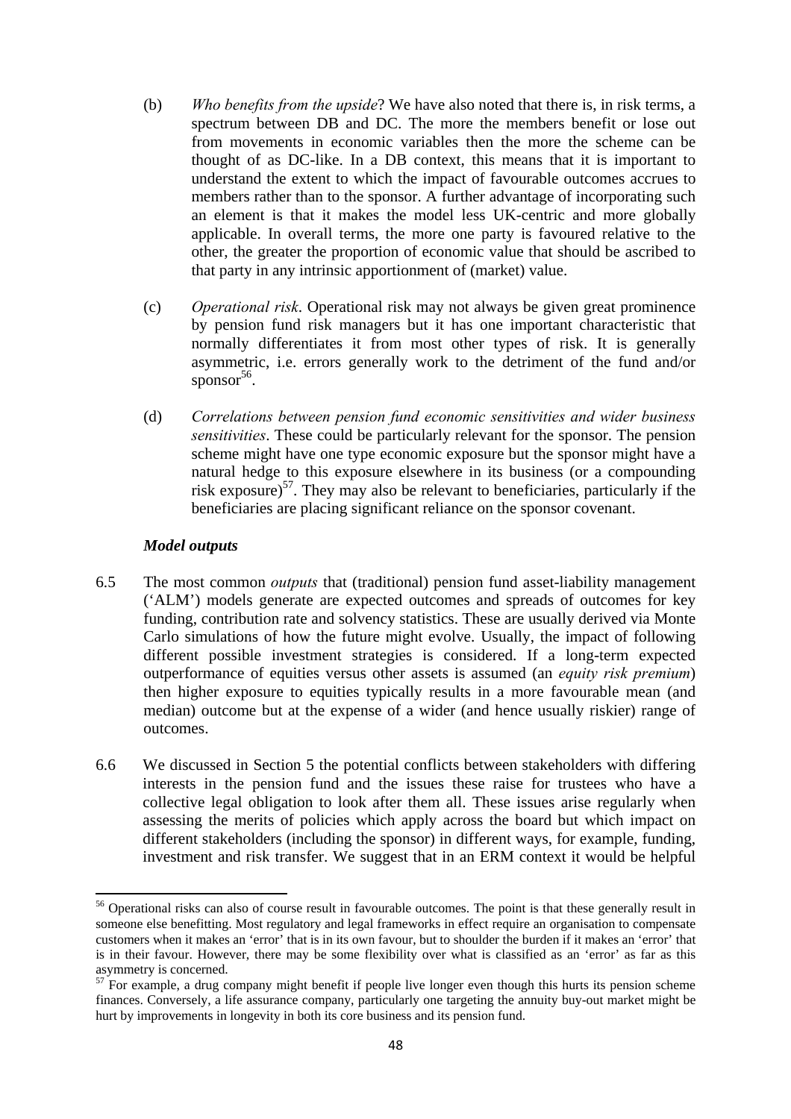- (b) *Who benefits from the upside*? We have also noted that there is, in risk terms, a spectrum between DB and DC. The more the members benefit or lose out from movements in economic variables then the more the scheme can be thought of as DC-like. In a DB context, this means that it is important to understand the extent to which the impact of favourable outcomes accrues to members rather than to the sponsor. A further advantage of incorporating such an element is that it makes the model less UK-centric and more globally applicable. In overall terms, the more one party is favoured relative to the other, the greater the proportion of economic value that should be ascribed to that party in any intrinsic apportionment of (market) value.
- (c) *Operational risk*. Operational risk may not always be given great prominence by pension fund risk managers but it has one important characteristic that normally differentiates it from most other types of risk. It is generally asymmetric, i.e. errors generally work to the detriment of the fund and/or sponsor $56$ .
- (d) *Correlations between pension fund economic sensitivities and wider business sensitivities*. These could be particularly relevant for the sponsor. The pension scheme might have one type economic exposure but the sponsor might have a natural hedge to this exposure elsewhere in its business (or a compounding risk exposure) $57$ . They may also be relevant to beneficiaries, particularly if the beneficiaries are placing significant reliance on the sponsor covenant.

### *Model outputs*

- 6.5 The most common *outputs* that (traditional) pension fund asset-liability management ('ALM') models generate are expected outcomes and spreads of outcomes for key funding, contribution rate and solvency statistics. These are usually derived via Monte Carlo simulations of how the future might evolve. Usually, the impact of following different possible investment strategies is considered. If a long-term expected outperformance of equities versus other assets is assumed (an *equity risk premium*) then higher exposure to equities typically results in a more favourable mean (and median) outcome but at the expense of a wider (and hence usually riskier) range of outcomes.
- 6.6 We discussed in Section 5 the potential conflicts between stakeholders with differing interests in the pension fund and the issues these raise for trustees who have a collective legal obligation to look after them all. These issues arise regularly when assessing the merits of policies which apply across the board but which impact on different stakeholders (including the sponsor) in different ways, for example, funding, investment and risk transfer. We suggest that in an ERM context it would be helpful

<sup>&</sup>lt;sup>56</sup> Operational risks can also of course result in favourable outcomes. The point is that these generally result in someone else benefitting. Most regulatory and legal frameworks in effect require an organisation to compensate customers when it makes an 'error' that is in its own favour, but to shoulder the burden if it makes an 'error' that is in their favour. However, there may be some flexibility over what is classified as an 'error' as far as this asymmetry is concerned.

 $\frac{57}{57}$  For example, a drug company might benefit if people live longer even though this hurts its pension scheme finances. Conversely, a life assurance company, particularly one targeting the annuity buy-out market might be hurt by improvements in longevity in both its core business and its pension fund.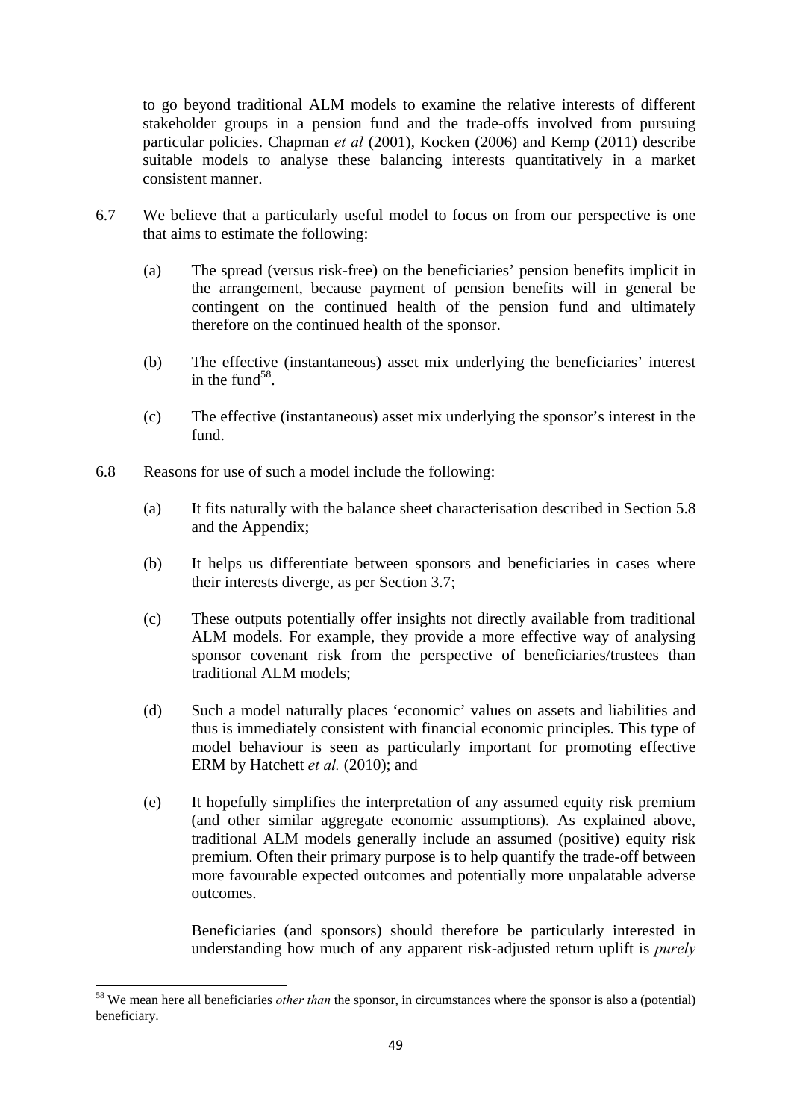to go beyond traditional ALM models to examine the relative interests of different stakeholder groups in a pension fund and the trade-offs involved from pursuing particular policies. Chapman *et al* (2001), Kocken (2006) and Kemp (2011) describe suitable models to analyse these balancing interests quantitatively in a market consistent manner.

- 6.7 We believe that a particularly useful model to focus on from our perspective is one that aims to estimate the following:
	- (a) The spread (versus risk-free) on the beneficiaries' pension benefits implicit in the arrangement, because payment of pension benefits will in general be contingent on the continued health of the pension fund and ultimately therefore on the continued health of the sponsor.
	- (b) The effective (instantaneous) asset mix underlying the beneficiaries' interest in the fund<sup>58</sup>.
	- (c) The effective (instantaneous) asset mix underlying the sponsor's interest in the fund.
- 6.8 Reasons for use of such a model include the following:
	- (a) It fits naturally with the balance sheet characterisation described in Section 5.8 and the Appendix;
	- (b) It helps us differentiate between sponsors and beneficiaries in cases where their interests diverge, as per Section 3.7;
	- (c) These outputs potentially offer insights not directly available from traditional ALM models. For example, they provide a more effective way of analysing sponsor covenant risk from the perspective of beneficiaries/trustees than traditional ALM models;
	- (d) Such a model naturally places 'economic' values on assets and liabilities and thus is immediately consistent with financial economic principles. This type of model behaviour is seen as particularly important for promoting effective ERM by Hatchett *et al.* (2010); and
	- (e) It hopefully simplifies the interpretation of any assumed equity risk premium (and other similar aggregate economic assumptions). As explained above, traditional ALM models generally include an assumed (positive) equity risk premium. Often their primary purpose is to help quantify the trade-off between more favourable expected outcomes and potentially more unpalatable adverse outcomes.

Beneficiaries (and sponsors) should therefore be particularly interested in understanding how much of any apparent risk-adjusted return uplift is *purely*

 58 We mean here all beneficiaries *other than* the sponsor, in circumstances where the sponsor is also a (potential) beneficiary.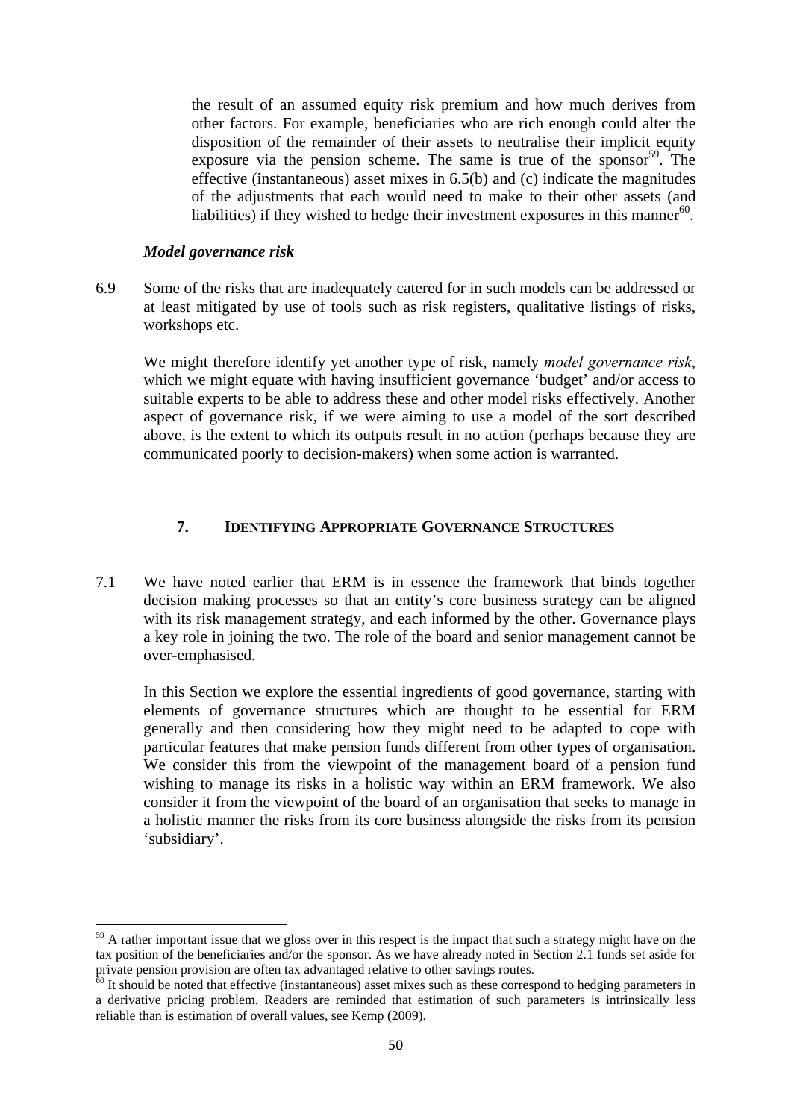the result of an assumed equity risk premium and how much derives from other factors. For example, beneficiaries who are rich enough could alter the disposition of the remainder of their assets to neutralise their implicit equity exposure via the pension scheme. The same is true of the sponsor<sup>59</sup>. The effective (instantaneous) asset mixes in 6.5(b) and (c) indicate the magnitudes of the adjustments that each would need to make to their other assets (and liabilities) if they wished to hedge their investment exposures in this manner $60$ .

#### *Model governance risk*

6.9 Some of the risks that are inadequately catered for in such models can be addressed or at least mitigated by use of tools such as risk registers, qualitative listings of risks, workshops etc.

We might therefore identify yet another type of risk, namely *model governance risk*, which we might equate with having insufficient governance 'budget' and/or access to suitable experts to be able to address these and other model risks effectively. Another aspect of governance risk, if we were aiming to use a model of the sort described above, is the extent to which its outputs result in no action (perhaps because they are communicated poorly to decision-makers) when some action is warranted.

## **7. IDENTIFYING APPROPRIATE GOVERNANCE STRUCTURES**

7.1 We have noted earlier that ERM is in essence the framework that binds together decision making processes so that an entity's core business strategy can be aligned with its risk management strategy, and each informed by the other. Governance plays a key role in joining the two. The role of the board and senior management cannot be over-emphasised.

In this Section we explore the essential ingredients of good governance, starting with elements of governance structures which are thought to be essential for ERM generally and then considering how they might need to be adapted to cope with particular features that make pension funds different from other types of organisation. We consider this from the viewpoint of the management board of a pension fund wishing to manage its risks in a holistic way within an ERM framework. We also consider it from the viewpoint of the board of an organisation that seeks to manage in a holistic manner the risks from its core business alongside the risks from its pension 'subsidiary'.

  $59$  A rather important issue that we gloss over in this respect is the impact that such a strategy might have on the tax position of the beneficiaries and/or the sponsor. As we have already noted in Section 2.1 funds set aside for private pension provision are often tax advantaged relative to other savings routes.

 $\frac{60}{60}$  It should be noted that effective (instantaneous) asset mixes such as these correspond to hedging parameters in a derivative pricing problem. Readers are reminded that estimation of such parameters is intrinsically less reliable than is estimation of overall values, see Kemp (2009).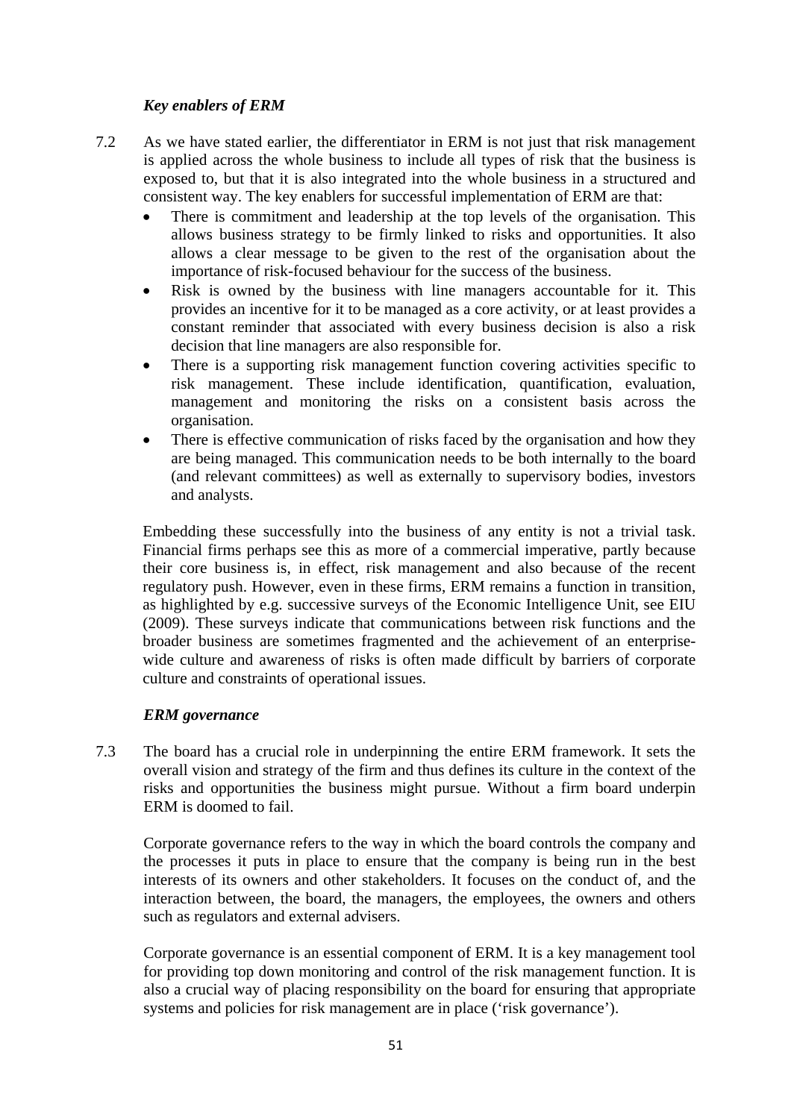# *Key enablers of ERM*

- 7.2 As we have stated earlier, the differentiator in ERM is not just that risk management is applied across the whole business to include all types of risk that the business is exposed to, but that it is also integrated into the whole business in a structured and consistent way. The key enablers for successful implementation of ERM are that:
	- There is commitment and leadership at the top levels of the organisation. This allows business strategy to be firmly linked to risks and opportunities. It also allows a clear message to be given to the rest of the organisation about the importance of risk-focused behaviour for the success of the business.
	- Risk is owned by the business with line managers accountable for it. This provides an incentive for it to be managed as a core activity, or at least provides a constant reminder that associated with every business decision is also a risk decision that line managers are also responsible for.
	- There is a supporting risk management function covering activities specific to risk management. These include identification, quantification, evaluation, management and monitoring the risks on a consistent basis across the organisation.
	- There is effective communication of risks faced by the organisation and how they are being managed. This communication needs to be both internally to the board (and relevant committees) as well as externally to supervisory bodies, investors and analysts.

Embedding these successfully into the business of any entity is not a trivial task. Financial firms perhaps see this as more of a commercial imperative, partly because their core business is, in effect, risk management and also because of the recent regulatory push. However, even in these firms, ERM remains a function in transition, as highlighted by e.g. successive surveys of the Economic Intelligence Unit, see EIU (2009). These surveys indicate that communications between risk functions and the broader business are sometimes fragmented and the achievement of an enterprisewide culture and awareness of risks is often made difficult by barriers of corporate culture and constraints of operational issues.

### *ERM governance*

7.3 The board has a crucial role in underpinning the entire ERM framework. It sets the overall vision and strategy of the firm and thus defines its culture in the context of the risks and opportunities the business might pursue. Without a firm board underpin ERM is doomed to fail.

Corporate governance refers to the way in which the board controls the company and the processes it puts in place to ensure that the company is being run in the best interests of its owners and other stakeholders. It focuses on the conduct of, and the interaction between, the board, the managers, the employees, the owners and others such as regulators and external advisers.

Corporate governance is an essential component of ERM. It is a key management tool for providing top down monitoring and control of the risk management function. It is also a crucial way of placing responsibility on the board for ensuring that appropriate systems and policies for risk management are in place ('risk governance').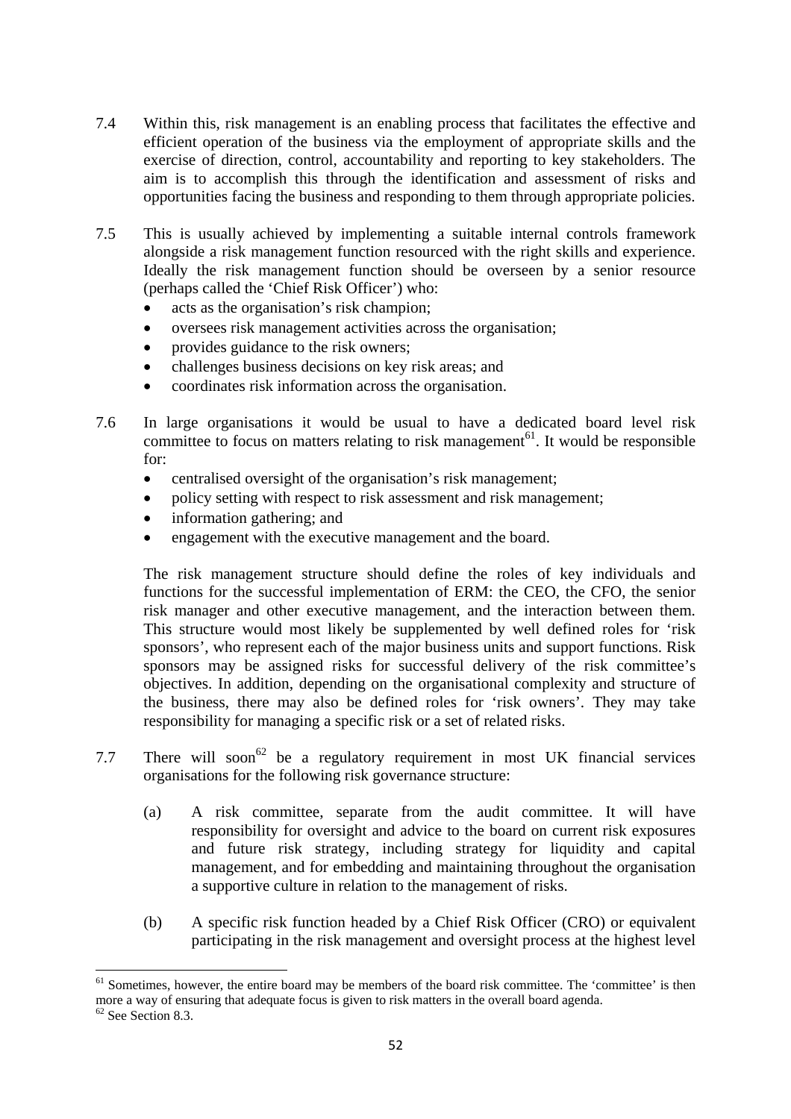- 7.4 Within this, risk management is an enabling process that facilitates the effective and efficient operation of the business via the employment of appropriate skills and the exercise of direction, control, accountability and reporting to key stakeholders. The aim is to accomplish this through the identification and assessment of risks and opportunities facing the business and responding to them through appropriate policies.
- 7.5 This is usually achieved by implementing a suitable internal controls framework alongside a risk management function resourced with the right skills and experience. Ideally the risk management function should be overseen by a senior resource (perhaps called the 'Chief Risk Officer') who:
	- acts as the organisation's risk champion;
	- oversees risk management activities across the organisation;
	- provides guidance to the risk owners;
	- challenges business decisions on key risk areas; and
	- coordinates risk information across the organisation.
- 7.6 In large organisations it would be usual to have a dedicated board level risk committee to focus on matters relating to risk management<sup>61</sup>. It would be responsible for:
	- centralised oversight of the organisation's risk management;
	- policy setting with respect to risk assessment and risk management;
	- information gathering; and
	- engagement with the executive management and the board.

The risk management structure should define the roles of key individuals and functions for the successful implementation of ERM: the CEO, the CFO, the senior risk manager and other executive management, and the interaction between them. This structure would most likely be supplemented by well defined roles for 'risk sponsors', who represent each of the major business units and support functions. Risk sponsors may be assigned risks for successful delivery of the risk committee's objectives. In addition, depending on the organisational complexity and structure of the business, there may also be defined roles for 'risk owners'. They may take responsibility for managing a specific risk or a set of related risks.

- 7.7 There will soon<sup>62</sup> be a regulatory requirement in most UK financial services organisations for the following risk governance structure:
	- (a) A risk committee, separate from the audit committee. It will have responsibility for oversight and advice to the board on current risk exposures and future risk strategy, including strategy for liquidity and capital management, and for embedding and maintaining throughout the organisation a supportive culture in relation to the management of risks.
	- (b) A specific risk function headed by a Chief Risk Officer (CRO) or equivalent participating in the risk management and oversight process at the highest level

<sup>&</sup>lt;sup>61</sup> Sometimes, however, the entire board may be members of the board risk committee. The 'committee' is then more a way of ensuring that adequate focus is given to risk matters in the overall board agenda.

<sup>&</sup>lt;sup>62</sup> See Section 8.3.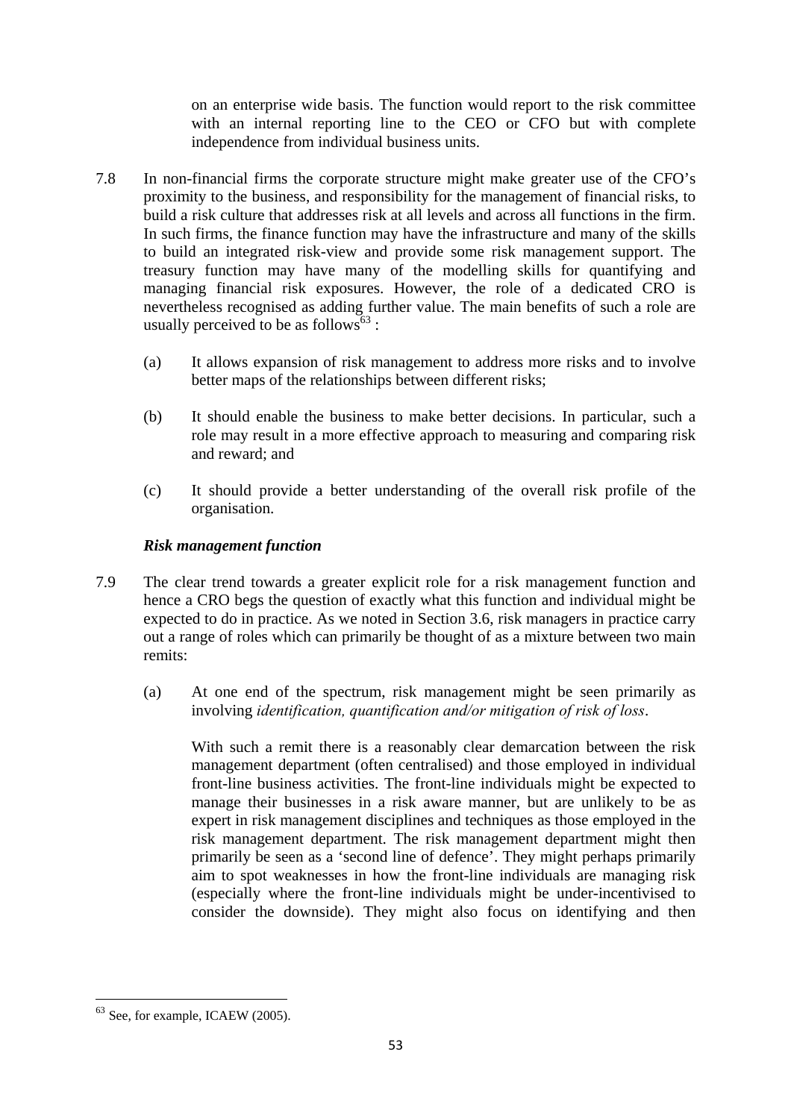on an enterprise wide basis. The function would report to the risk committee with an internal reporting line to the CEO or CFO but with complete independence from individual business units.

- 7.8 In non-financial firms the corporate structure might make greater use of the CFO's proximity to the business, and responsibility for the management of financial risks, to build a risk culture that addresses risk at all levels and across all functions in the firm. In such firms, the finance function may have the infrastructure and many of the skills to build an integrated risk-view and provide some risk management support. The treasury function may have many of the modelling skills for quantifying and managing financial risk exposures. However, the role of a dedicated CRO is nevertheless recognised as adding further value. The main benefits of such a role are usually perceived to be as follows<sup>63</sup> :
	- (a) It allows expansion of risk management to address more risks and to involve better maps of the relationships between different risks;
	- (b) It should enable the business to make better decisions. In particular, such a role may result in a more effective approach to measuring and comparing risk and reward; and
	- (c) It should provide a better understanding of the overall risk profile of the organisation.

# *Risk management function*

- 7.9 The clear trend towards a greater explicit role for a risk management function and hence a CRO begs the question of exactly what this function and individual might be expected to do in practice. As we noted in Section 3.6, risk managers in practice carry out a range of roles which can primarily be thought of as a mixture between two main remits:
	- (a) At one end of the spectrum, risk management might be seen primarily as involving *identification, quantification and/or mitigation of risk of loss*.

With such a remit there is a reasonably clear demarcation between the risk management department (often centralised) and those employed in individual front-line business activities. The front-line individuals might be expected to manage their businesses in a risk aware manner, but are unlikely to be as expert in risk management disciplines and techniques as those employed in the risk management department. The risk management department might then primarily be seen as a 'second line of defence'. They might perhaps primarily aim to spot weaknesses in how the front-line individuals are managing risk (especially where the front-line individuals might be under-incentivised to consider the downside). They might also focus on identifying and then

  $63$  See, for example, ICAEW (2005).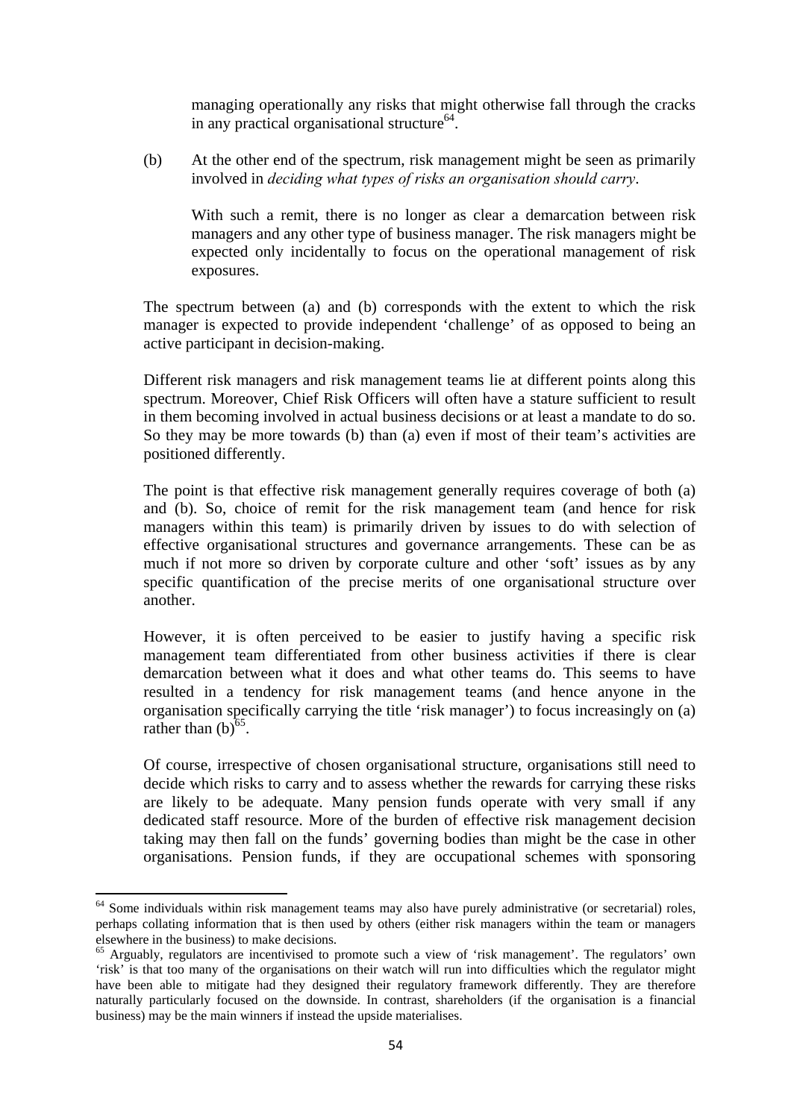managing operationally any risks that might otherwise fall through the cracks in any practical organisational structure<sup>64</sup>.

(b) At the other end of the spectrum, risk management might be seen as primarily involved in *deciding what types of risks an organisation should carry*.

With such a remit, there is no longer as clear a demarcation between risk managers and any other type of business manager. The risk managers might be expected only incidentally to focus on the operational management of risk exposures.

The spectrum between (a) and (b) corresponds with the extent to which the risk manager is expected to provide independent 'challenge' of as opposed to being an active participant in decision-making.

Different risk managers and risk management teams lie at different points along this spectrum. Moreover, Chief Risk Officers will often have a stature sufficient to result in them becoming involved in actual business decisions or at least a mandate to do so. So they may be more towards (b) than (a) even if most of their team's activities are positioned differently.

The point is that effective risk management generally requires coverage of both (a) and (b). So, choice of remit for the risk management team (and hence for risk managers within this team) is primarily driven by issues to do with selection of effective organisational structures and governance arrangements. These can be as much if not more so driven by corporate culture and other 'soft' issues as by any specific quantification of the precise merits of one organisational structure over another.

However, it is often perceived to be easier to justify having a specific risk management team differentiated from other business activities if there is clear demarcation between what it does and what other teams do. This seems to have resulted in a tendency for risk management teams (and hence anyone in the organisation specifically carrying the title 'risk manager') to focus increasingly on (a) rather than  $(b)^{65}$ .

Of course, irrespective of chosen organisational structure, organisations still need to decide which risks to carry and to assess whether the rewards for carrying these risks are likely to be adequate. Many pension funds operate with very small if any dedicated staff resource. More of the burden of effective risk management decision taking may then fall on the funds' governing bodies than might be the case in other organisations. Pension funds, if they are occupational schemes with sponsoring

 <sup>64</sup> Some individuals within risk management teams may also have purely administrative (or secretarial) roles, perhaps collating information that is then used by others (either risk managers within the team or managers elsewhere in the business) to make decisions.

<sup>&</sup>lt;sup>65</sup> Arguably, regulators are incentivised to promote such a view of 'risk management'. The regulators' own 'risk' is that too many of the organisations on their watch will run into difficulties which the regulator might have been able to mitigate had they designed their regulatory framework differently. They are therefore naturally particularly focused on the downside. In contrast, shareholders (if the organisation is a financial business) may be the main winners if instead the upside materialises.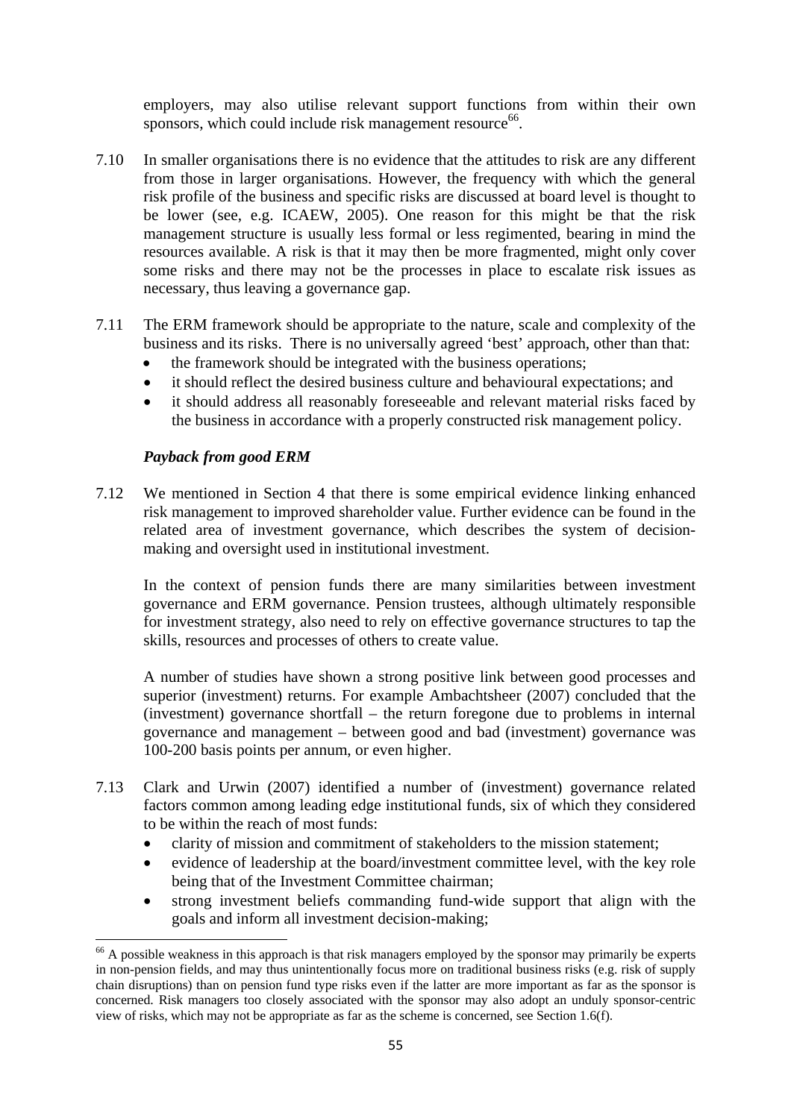employers, may also utilise relevant support functions from within their own sponsors, which could include risk management resource<sup>66</sup>.

- 7.10 In smaller organisations there is no evidence that the attitudes to risk are any different from those in larger organisations. However, the frequency with which the general risk profile of the business and specific risks are discussed at board level is thought to be lower (see, e.g. ICAEW, 2005). One reason for this might be that the risk management structure is usually less formal or less regimented, bearing in mind the resources available. A risk is that it may then be more fragmented, might only cover some risks and there may not be the processes in place to escalate risk issues as necessary, thus leaving a governance gap.
- 7.11 The ERM framework should be appropriate to the nature, scale and complexity of the business and its risks. There is no universally agreed 'best' approach, other than that:
	- the framework should be integrated with the business operations;
	- it should reflect the desired business culture and behavioural expectations; and
	- it should address all reasonably foreseeable and relevant material risks faced by the business in accordance with a properly constructed risk management policy.

### *Payback from good ERM*

7.12 We mentioned in Section 4 that there is some empirical evidence linking enhanced risk management to improved shareholder value. Further evidence can be found in the related area of investment governance, which describes the system of decisionmaking and oversight used in institutional investment.

In the context of pension funds there are many similarities between investment governance and ERM governance. Pension trustees, although ultimately responsible for investment strategy, also need to rely on effective governance structures to tap the skills, resources and processes of others to create value.

A number of studies have shown a strong positive link between good processes and superior (investment) returns. For example Ambachtsheer (2007) concluded that the (investment) governance shortfall – the return foregone due to problems in internal governance and management – between good and bad (investment) governance was 100-200 basis points per annum, or even higher.

- 7.13 Clark and Urwin (2007) identified a number of (investment) governance related factors common among leading edge institutional funds, six of which they considered to be within the reach of most funds:
	- clarity of mission and commitment of stakeholders to the mission statement;
	- evidence of leadership at the board/investment committee level, with the key role being that of the Investment Committee chairman;
	- strong investment beliefs commanding fund-wide support that align with the goals and inform all investment decision-making;

 $66$  A possible weakness in this approach is that risk managers employed by the sponsor may primarily be experts in non-pension fields, and may thus unintentionally focus more on traditional business risks (e.g. risk of supply chain disruptions) than on pension fund type risks even if the latter are more important as far as the sponsor is concerned. Risk managers too closely associated with the sponsor may also adopt an unduly sponsor-centric view of risks, which may not be appropriate as far as the scheme is concerned, see Section 1.6(f).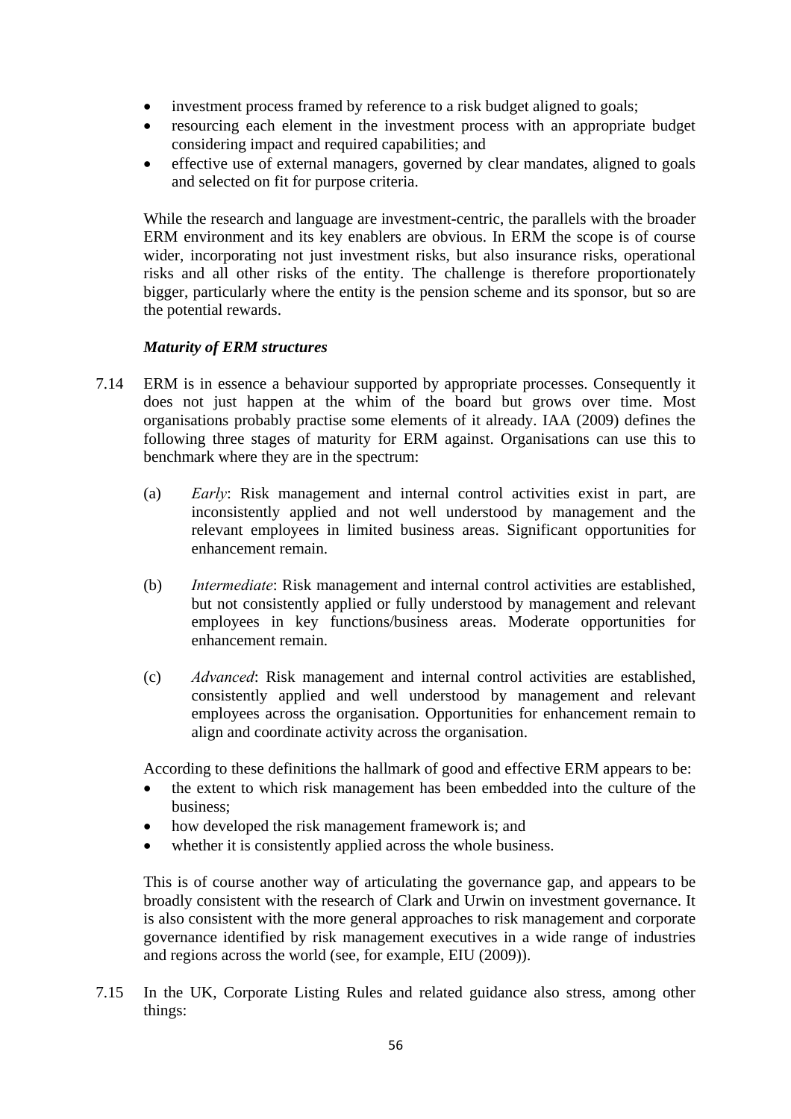- investment process framed by reference to a risk budget aligned to goals;
- resourcing each element in the investment process with an appropriate budget considering impact and required capabilities; and
- effective use of external managers, governed by clear mandates, aligned to goals and selected on fit for purpose criteria.

While the research and language are investment-centric, the parallels with the broader ERM environment and its key enablers are obvious. In ERM the scope is of course wider, incorporating not just investment risks, but also insurance risks, operational risks and all other risks of the entity. The challenge is therefore proportionately bigger, particularly where the entity is the pension scheme and its sponsor, but so are the potential rewards.

## *Maturity of ERM structures*

- 7.14 ERM is in essence a behaviour supported by appropriate processes. Consequently it does not just happen at the whim of the board but grows over time. Most organisations probably practise some elements of it already. IAA (2009) defines the following three stages of maturity for ERM against. Organisations can use this to benchmark where they are in the spectrum:
	- (a) *Early*: Risk management and internal control activities exist in part, are inconsistently applied and not well understood by management and the relevant employees in limited business areas. Significant opportunities for enhancement remain.
	- (b) *Intermediate*: Risk management and internal control activities are established, but not consistently applied or fully understood by management and relevant employees in key functions/business areas. Moderate opportunities for enhancement remain.
	- (c) *Advanced*: Risk management and internal control activities are established, consistently applied and well understood by management and relevant employees across the organisation. Opportunities for enhancement remain to align and coordinate activity across the organisation.

According to these definitions the hallmark of good and effective ERM appears to be:

- the extent to which risk management has been embedded into the culture of the business;
- how developed the risk management framework is; and
- whether it is consistently applied across the whole business.

This is of course another way of articulating the governance gap, and appears to be broadly consistent with the research of Clark and Urwin on investment governance. It is also consistent with the more general approaches to risk management and corporate governance identified by risk management executives in a wide range of industries and regions across the world (see, for example, EIU (2009)).

7.15 In the UK, Corporate Listing Rules and related guidance also stress, among other things: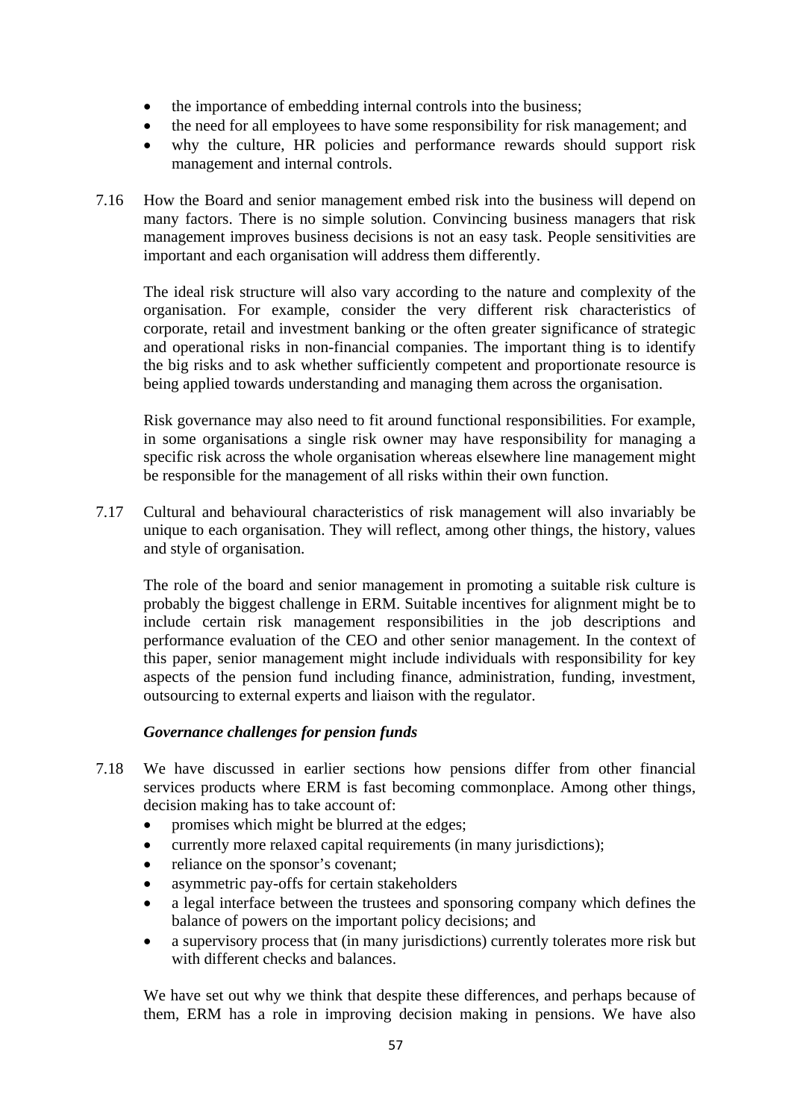- the importance of embedding internal controls into the business;
- the need for all employees to have some responsibility for risk management; and
- why the culture, HR policies and performance rewards should support risk management and internal controls.
- 7.16 How the Board and senior management embed risk into the business will depend on many factors. There is no simple solution. Convincing business managers that risk management improves business decisions is not an easy task. People sensitivities are important and each organisation will address them differently.

The ideal risk structure will also vary according to the nature and complexity of the organisation. For example, consider the very different risk characteristics of corporate, retail and investment banking or the often greater significance of strategic and operational risks in non-financial companies. The important thing is to identify the big risks and to ask whether sufficiently competent and proportionate resource is being applied towards understanding and managing them across the organisation.

Risk governance may also need to fit around functional responsibilities. For example, in some organisations a single risk owner may have responsibility for managing a specific risk across the whole organisation whereas elsewhere line management might be responsible for the management of all risks within their own function.

7.17 Cultural and behavioural characteristics of risk management will also invariably be unique to each organisation. They will reflect, among other things, the history, values and style of organisation.

The role of the board and senior management in promoting a suitable risk culture is probably the biggest challenge in ERM. Suitable incentives for alignment might be to include certain risk management responsibilities in the job descriptions and performance evaluation of the CEO and other senior management. In the context of this paper, senior management might include individuals with responsibility for key aspects of the pension fund including finance, administration, funding, investment, outsourcing to external experts and liaison with the regulator.

# *Governance challenges for pension funds*

- 7.18 We have discussed in earlier sections how pensions differ from other financial services products where ERM is fast becoming commonplace. Among other things, decision making has to take account of:
	- promises which might be blurred at the edges;
	- currently more relaxed capital requirements (in many jurisdictions);
	- reliance on the sponsor's covenant;
	- asymmetric pay-offs for certain stakeholders
	- a legal interface between the trustees and sponsoring company which defines the balance of powers on the important policy decisions; and
	- a supervisory process that (in many jurisdictions) currently tolerates more risk but with different checks and balances.

We have set out why we think that despite these differences, and perhaps because of them, ERM has a role in improving decision making in pensions. We have also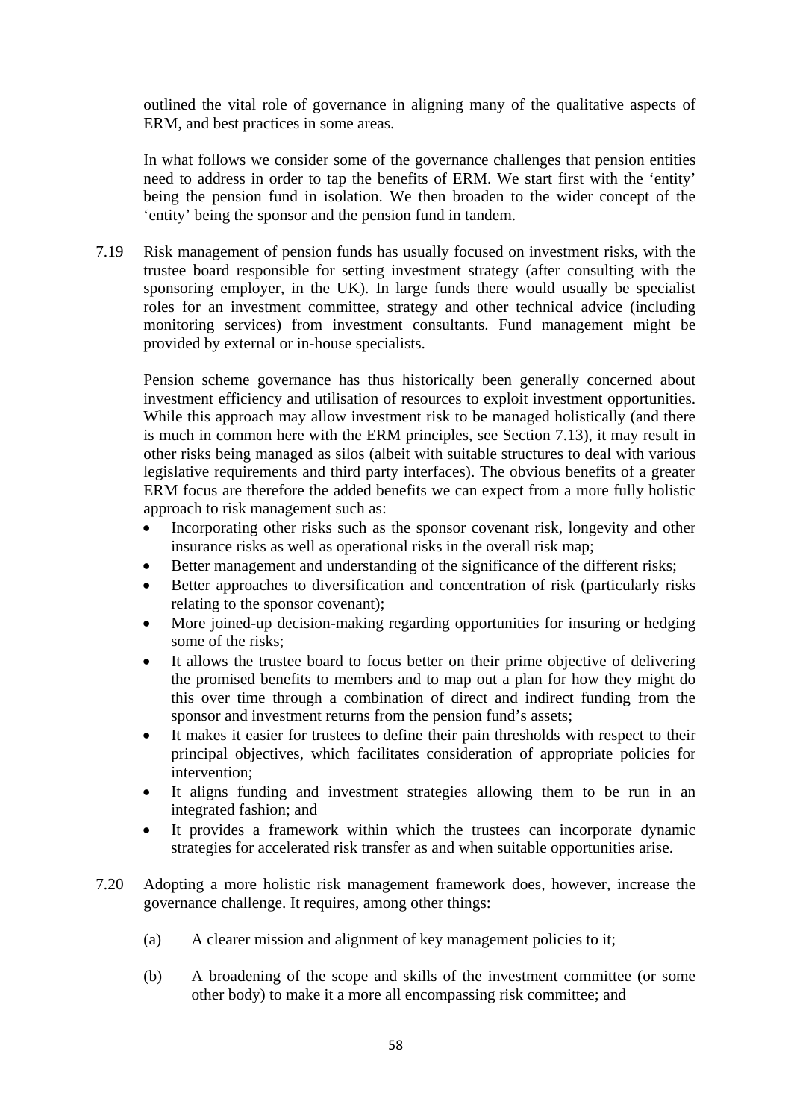outlined the vital role of governance in aligning many of the qualitative aspects of ERM, and best practices in some areas.

In what follows we consider some of the governance challenges that pension entities need to address in order to tap the benefits of ERM. We start first with the 'entity' being the pension fund in isolation. We then broaden to the wider concept of the 'entity' being the sponsor and the pension fund in tandem.

7.19 Risk management of pension funds has usually focused on investment risks, with the trustee board responsible for setting investment strategy (after consulting with the sponsoring employer, in the UK). In large funds there would usually be specialist roles for an investment committee, strategy and other technical advice (including monitoring services) from investment consultants. Fund management might be provided by external or in-house specialists.

Pension scheme governance has thus historically been generally concerned about investment efficiency and utilisation of resources to exploit investment opportunities. While this approach may allow investment risk to be managed holistically (and there is much in common here with the ERM principles, see Section 7.13), it may result in other risks being managed as silos (albeit with suitable structures to deal with various legislative requirements and third party interfaces). The obvious benefits of a greater ERM focus are therefore the added benefits we can expect from a more fully holistic approach to risk management such as:

- Incorporating other risks such as the sponsor covenant risk, longevity and other insurance risks as well as operational risks in the overall risk map;
- Better management and understanding of the significance of the different risks;
- Better approaches to diversification and concentration of risk (particularly risks relating to the sponsor covenant);
- More joined-up decision-making regarding opportunities for insuring or hedging some of the risks;
- It allows the trustee board to focus better on their prime objective of delivering the promised benefits to members and to map out a plan for how they might do this over time through a combination of direct and indirect funding from the sponsor and investment returns from the pension fund's assets;
- It makes it easier for trustees to define their pain thresholds with respect to their principal objectives, which facilitates consideration of appropriate policies for intervention;
- It aligns funding and investment strategies allowing them to be run in an integrated fashion; and
- It provides a framework within which the trustees can incorporate dynamic strategies for accelerated risk transfer as and when suitable opportunities arise.
- 7.20 Adopting a more holistic risk management framework does, however, increase the governance challenge. It requires, among other things:
	- (a) A clearer mission and alignment of key management policies to it;
	- (b) A broadening of the scope and skills of the investment committee (or some other body) to make it a more all encompassing risk committee; and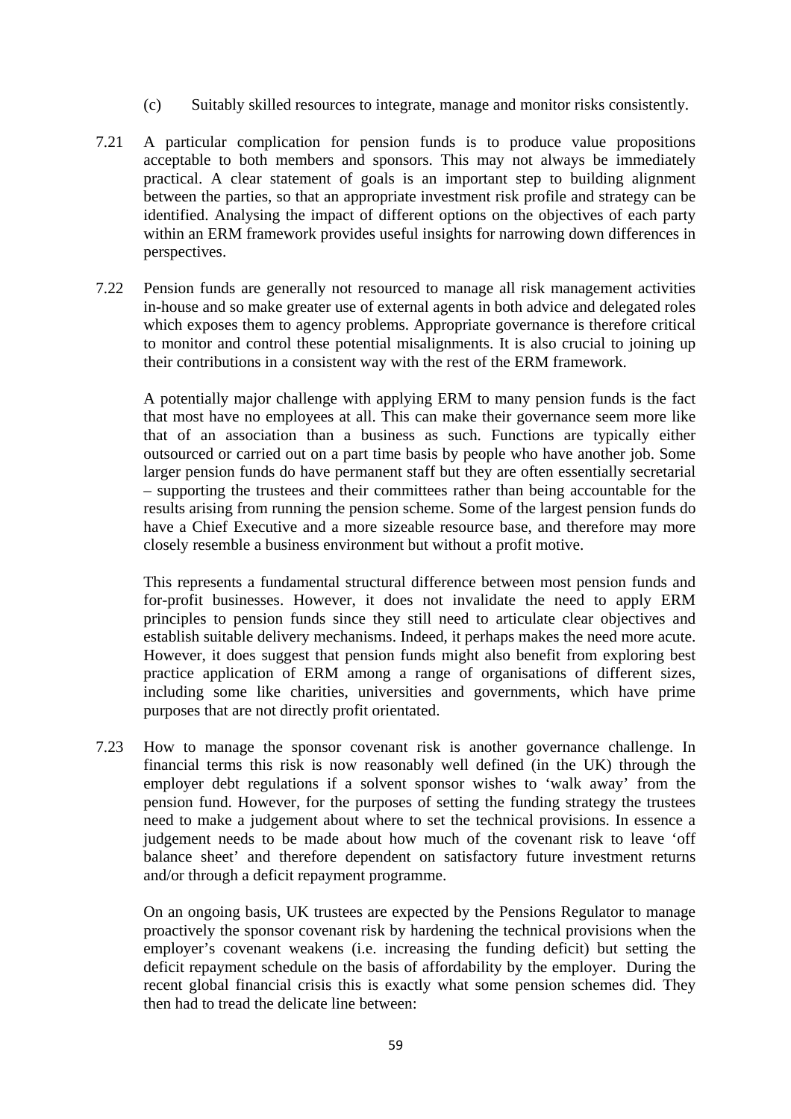- (c) Suitably skilled resources to integrate, manage and monitor risks consistently.
- 7.21 A particular complication for pension funds is to produce value propositions acceptable to both members and sponsors. This may not always be immediately practical. A clear statement of goals is an important step to building alignment between the parties, so that an appropriate investment risk profile and strategy can be identified. Analysing the impact of different options on the objectives of each party within an ERM framework provides useful insights for narrowing down differences in perspectives.
- 7.22 Pension funds are generally not resourced to manage all risk management activities in-house and so make greater use of external agents in both advice and delegated roles which exposes them to agency problems. Appropriate governance is therefore critical to monitor and control these potential misalignments. It is also crucial to joining up their contributions in a consistent way with the rest of the ERM framework.

A potentially major challenge with applying ERM to many pension funds is the fact that most have no employees at all. This can make their governance seem more like that of an association than a business as such. Functions are typically either outsourced or carried out on a part time basis by people who have another job. Some larger pension funds do have permanent staff but they are often essentially secretarial – supporting the trustees and their committees rather than being accountable for the results arising from running the pension scheme. Some of the largest pension funds do have a Chief Executive and a more sizeable resource base, and therefore may more closely resemble a business environment but without a profit motive.

This represents a fundamental structural difference between most pension funds and for-profit businesses. However, it does not invalidate the need to apply ERM principles to pension funds since they still need to articulate clear objectives and establish suitable delivery mechanisms. Indeed, it perhaps makes the need more acute. However, it does suggest that pension funds might also benefit from exploring best practice application of ERM among a range of organisations of different sizes, including some like charities, universities and governments, which have prime purposes that are not directly profit orientated.

7.23 How to manage the sponsor covenant risk is another governance challenge. In financial terms this risk is now reasonably well defined (in the UK) through the employer debt regulations if a solvent sponsor wishes to 'walk away' from the pension fund. However, for the purposes of setting the funding strategy the trustees need to make a judgement about where to set the technical provisions. In essence a judgement needs to be made about how much of the covenant risk to leave 'off balance sheet' and therefore dependent on satisfactory future investment returns and/or through a deficit repayment programme.

On an ongoing basis, UK trustees are expected by the Pensions Regulator to manage proactively the sponsor covenant risk by hardening the technical provisions when the employer's covenant weakens (i.e. increasing the funding deficit) but setting the deficit repayment schedule on the basis of affordability by the employer. During the recent global financial crisis this is exactly what some pension schemes did. They then had to tread the delicate line between: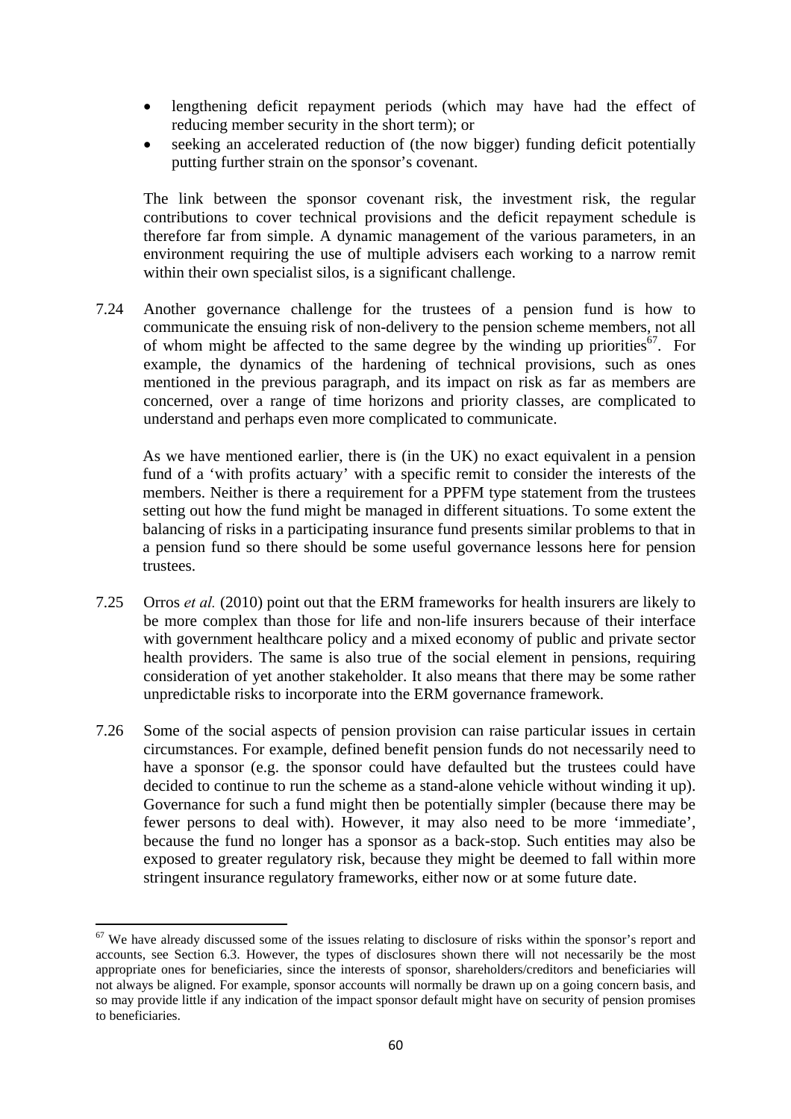- lengthening deficit repayment periods (which may have had the effect of reducing member security in the short term); or
- seeking an accelerated reduction of (the now bigger) funding deficit potentially putting further strain on the sponsor's covenant.

The link between the sponsor covenant risk, the investment risk, the regular contributions to cover technical provisions and the deficit repayment schedule is therefore far from simple. A dynamic management of the various parameters, in an environment requiring the use of multiple advisers each working to a narrow remit within their own specialist silos, is a significant challenge.

7.24 Another governance challenge for the trustees of a pension fund is how to communicate the ensuing risk of non-delivery to the pension scheme members, not all of whom might be affected to the same degree by the winding up priorities<sup>67</sup>. For example, the dynamics of the hardening of technical provisions, such as ones mentioned in the previous paragraph, and its impact on risk as far as members are concerned, over a range of time horizons and priority classes, are complicated to understand and perhaps even more complicated to communicate.

As we have mentioned earlier, there is (in the UK) no exact equivalent in a pension fund of a 'with profits actuary' with a specific remit to consider the interests of the members. Neither is there a requirement for a PPFM type statement from the trustees setting out how the fund might be managed in different situations. To some extent the balancing of risks in a participating insurance fund presents similar problems to that in a pension fund so there should be some useful governance lessons here for pension trustees.

- 7.25 Orros *et al.* (2010) point out that the ERM frameworks for health insurers are likely to be more complex than those for life and non-life insurers because of their interface with government healthcare policy and a mixed economy of public and private sector health providers. The same is also true of the social element in pensions, requiring consideration of yet another stakeholder. It also means that there may be some rather unpredictable risks to incorporate into the ERM governance framework.
- 7.26 Some of the social aspects of pension provision can raise particular issues in certain circumstances. For example, defined benefit pension funds do not necessarily need to have a sponsor (e.g. the sponsor could have defaulted but the trustees could have decided to continue to run the scheme as a stand-alone vehicle without winding it up). Governance for such a fund might then be potentially simpler (because there may be fewer persons to deal with). However, it may also need to be more 'immediate', because the fund no longer has a sponsor as a back-stop. Such entities may also be exposed to greater regulatory risk, because they might be deemed to fall within more stringent insurance regulatory frameworks, either now or at some future date.

  $67$  We have already discussed some of the issues relating to disclosure of risks within the sponsor's report and accounts, see Section 6.3. However, the types of disclosures shown there will not necessarily be the most appropriate ones for beneficiaries, since the interests of sponsor, shareholders/creditors and beneficiaries will not always be aligned. For example, sponsor accounts will normally be drawn up on a going concern basis, and so may provide little if any indication of the impact sponsor default might have on security of pension promises to beneficiaries.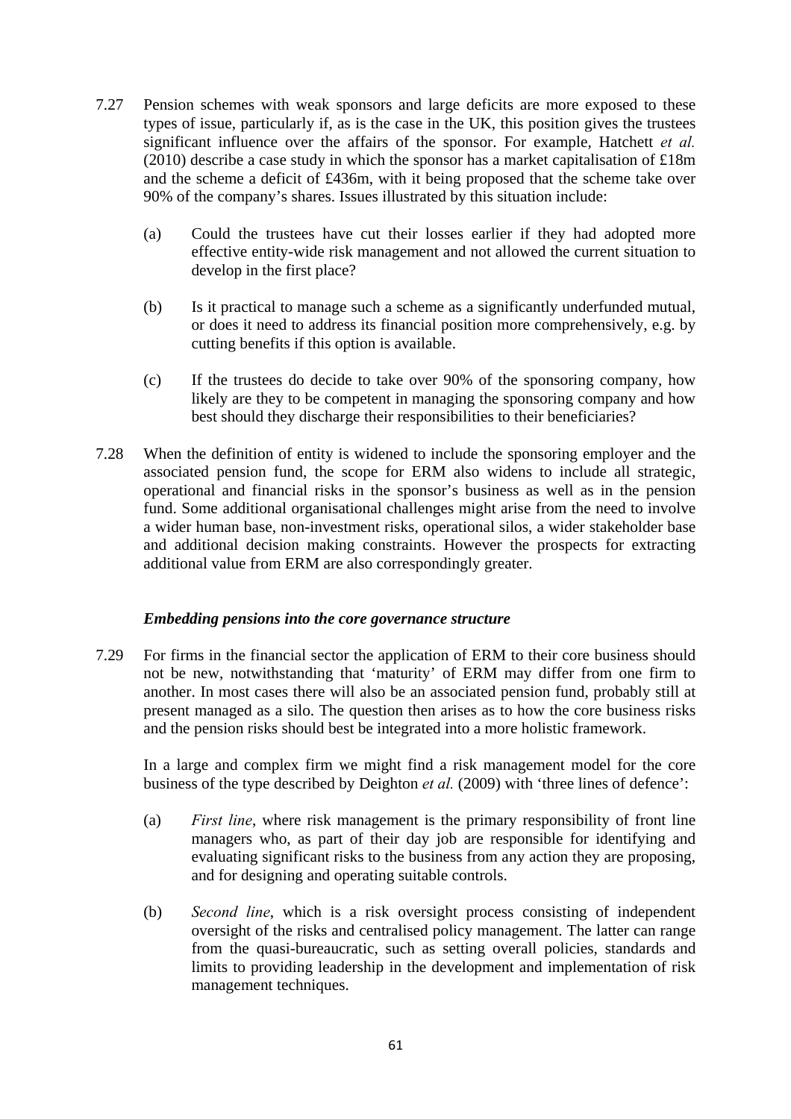- 7.27 Pension schemes with weak sponsors and large deficits are more exposed to these types of issue, particularly if, as is the case in the UK, this position gives the trustees significant influence over the affairs of the sponsor. For example, Hatchett *et al.* (2010) describe a case study in which the sponsor has a market capitalisation of £18m and the scheme a deficit of £436m, with it being proposed that the scheme take over 90% of the company's shares. Issues illustrated by this situation include:
	- (a) Could the trustees have cut their losses earlier if they had adopted more effective entity-wide risk management and not allowed the current situation to develop in the first place?
	- (b) Is it practical to manage such a scheme as a significantly underfunded mutual, or does it need to address its financial position more comprehensively, e.g. by cutting benefits if this option is available.
	- (c) If the trustees do decide to take over 90% of the sponsoring company, how likely are they to be competent in managing the sponsoring company and how best should they discharge their responsibilities to their beneficiaries?
- 7.28 When the definition of entity is widened to include the sponsoring employer and the associated pension fund, the scope for ERM also widens to include all strategic, operational and financial risks in the sponsor's business as well as in the pension fund. Some additional organisational challenges might arise from the need to involve a wider human base, non-investment risks, operational silos, a wider stakeholder base and additional decision making constraints. However the prospects for extracting additional value from ERM are also correspondingly greater.

### *Embedding pensions into the core governance structure*

7.29 For firms in the financial sector the application of ERM to their core business should not be new, notwithstanding that 'maturity' of ERM may differ from one firm to another. In most cases there will also be an associated pension fund, probably still at present managed as a silo. The question then arises as to how the core business risks and the pension risks should best be integrated into a more holistic framework.

In a large and complex firm we might find a risk management model for the core business of the type described by Deighton *et al.* (2009) with 'three lines of defence':

- (a) *First line*, where risk management is the primary responsibility of front line managers who, as part of their day job are responsible for identifying and evaluating significant risks to the business from any action they are proposing, and for designing and operating suitable controls.
- (b) *Second line*, which is a risk oversight process consisting of independent oversight of the risks and centralised policy management. The latter can range from the quasi-bureaucratic, such as setting overall policies, standards and limits to providing leadership in the development and implementation of risk management techniques.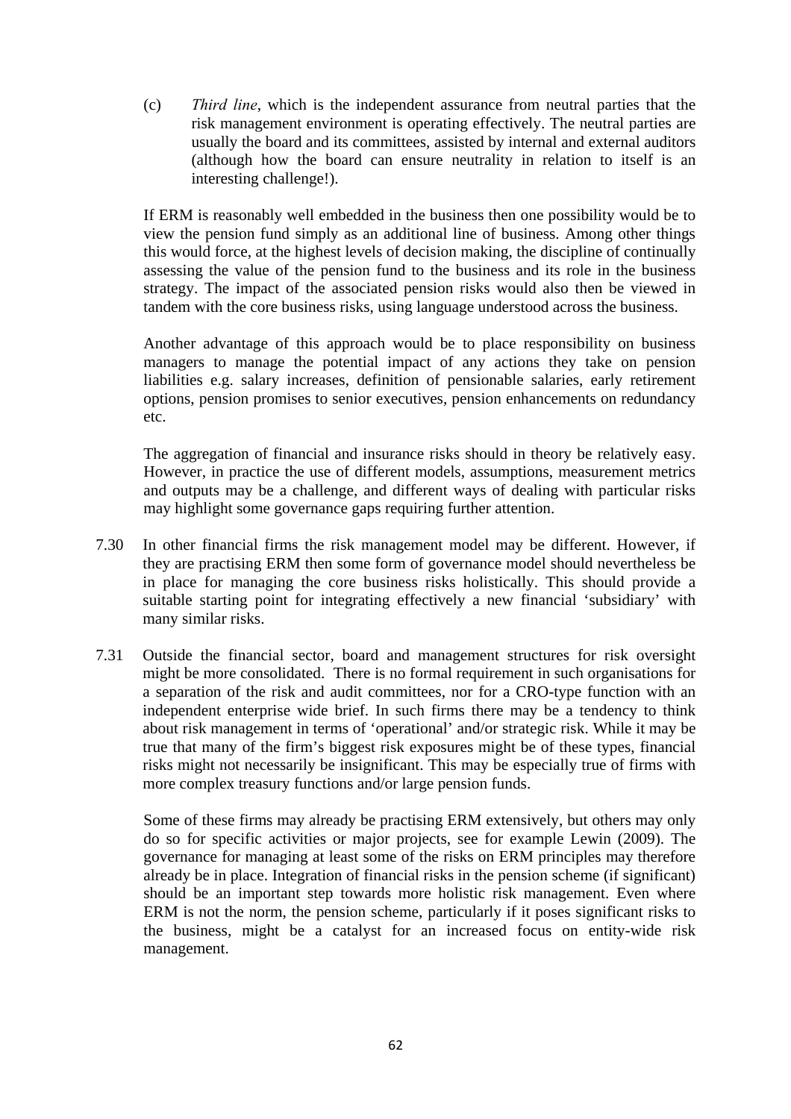(c) *Third line*, which is the independent assurance from neutral parties that the risk management environment is operating effectively. The neutral parties are usually the board and its committees, assisted by internal and external auditors (although how the board can ensure neutrality in relation to itself is an interesting challenge!).

If ERM is reasonably well embedded in the business then one possibility would be to view the pension fund simply as an additional line of business. Among other things this would force, at the highest levels of decision making, the discipline of continually assessing the value of the pension fund to the business and its role in the business strategy. The impact of the associated pension risks would also then be viewed in tandem with the core business risks, using language understood across the business.

Another advantage of this approach would be to place responsibility on business managers to manage the potential impact of any actions they take on pension liabilities e.g. salary increases, definition of pensionable salaries, early retirement options, pension promises to senior executives, pension enhancements on redundancy etc.

The aggregation of financial and insurance risks should in theory be relatively easy. However, in practice the use of different models, assumptions, measurement metrics and outputs may be a challenge, and different ways of dealing with particular risks may highlight some governance gaps requiring further attention.

- 7.30 In other financial firms the risk management model may be different. However, if they are practising ERM then some form of governance model should nevertheless be in place for managing the core business risks holistically. This should provide a suitable starting point for integrating effectively a new financial 'subsidiary' with many similar risks.
- 7.31 Outside the financial sector, board and management structures for risk oversight might be more consolidated. There is no formal requirement in such organisations for a separation of the risk and audit committees, nor for a CRO-type function with an independent enterprise wide brief. In such firms there may be a tendency to think about risk management in terms of 'operational' and/or strategic risk. While it may be true that many of the firm's biggest risk exposures might be of these types, financial risks might not necessarily be insignificant. This may be especially true of firms with more complex treasury functions and/or large pension funds.

Some of these firms may already be practising ERM extensively, but others may only do so for specific activities or major projects, see for example Lewin (2009). The governance for managing at least some of the risks on ERM principles may therefore already be in place. Integration of financial risks in the pension scheme (if significant) should be an important step towards more holistic risk management. Even where ERM is not the norm, the pension scheme, particularly if it poses significant risks to the business, might be a catalyst for an increased focus on entity-wide risk management.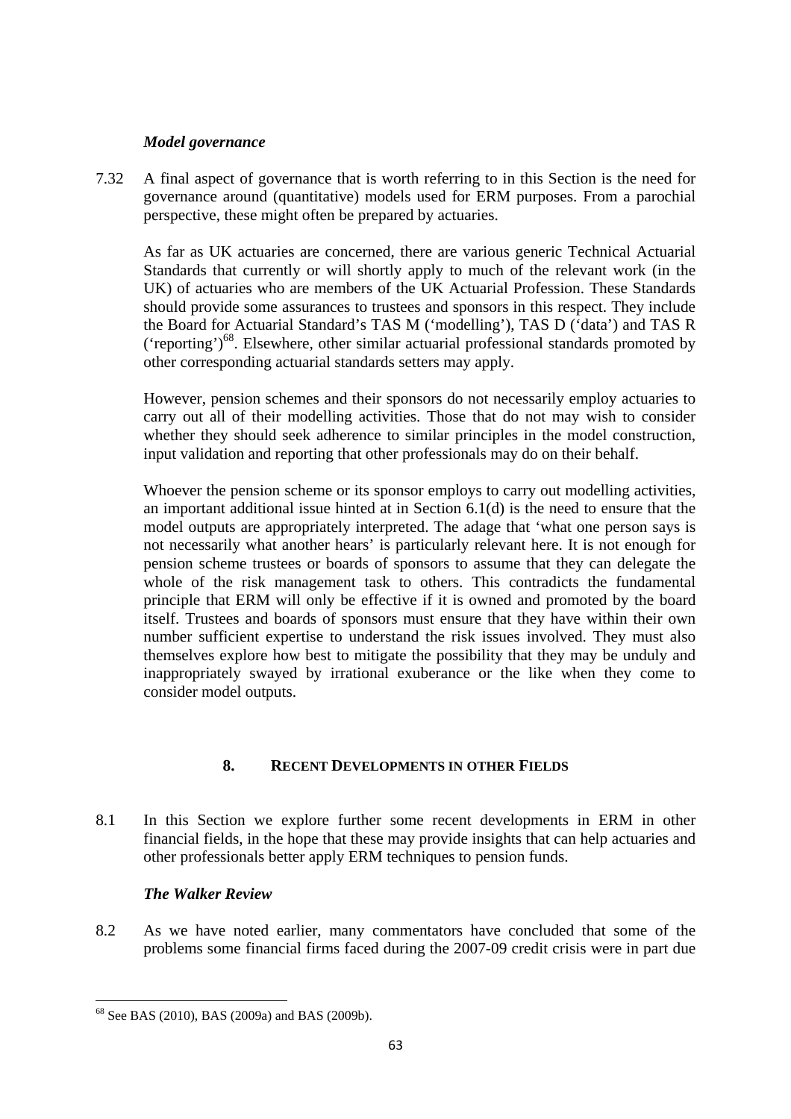### *Model governance*

7.32 A final aspect of governance that is worth referring to in this Section is the need for governance around (quantitative) models used for ERM purposes. From a parochial perspective, these might often be prepared by actuaries.

As far as UK actuaries are concerned, there are various generic Technical Actuarial Standards that currently or will shortly apply to much of the relevant work (in the UK) of actuaries who are members of the UK Actuarial Profession. These Standards should provide some assurances to trustees and sponsors in this respect. They include the Board for Actuarial Standard's TAS M ('modelling'), TAS D ('data') and TAS R ('reporting') $^{68}$ . Elsewhere, other similar actuarial professional standards promoted by other corresponding actuarial standards setters may apply.

However, pension schemes and their sponsors do not necessarily employ actuaries to carry out all of their modelling activities. Those that do not may wish to consider whether they should seek adherence to similar principles in the model construction, input validation and reporting that other professionals may do on their behalf.

 Whoever the pension scheme or its sponsor employs to carry out modelling activities, an important additional issue hinted at in Section 6.1(d) is the need to ensure that the model outputs are appropriately interpreted. The adage that 'what one person says is not necessarily what another hears' is particularly relevant here. It is not enough for pension scheme trustees or boards of sponsors to assume that they can delegate the whole of the risk management task to others. This contradicts the fundamental principle that ERM will only be effective if it is owned and promoted by the board itself. Trustees and boards of sponsors must ensure that they have within their own number sufficient expertise to understand the risk issues involved. They must also themselves explore how best to mitigate the possibility that they may be unduly and inappropriately swayed by irrational exuberance or the like when they come to consider model outputs.

# **8. RECENT DEVELOPMENTS IN OTHER FIELDS**

8.1 In this Section we explore further some recent developments in ERM in other financial fields, in the hope that these may provide insights that can help actuaries and other professionals better apply ERM techniques to pension funds.

# *The Walker Review*

8.2 As we have noted earlier, many commentators have concluded that some of the problems some financial firms faced during the 2007-09 credit crisis were in part due

 68 See BAS (2010), BAS (2009a) and BAS (2009b).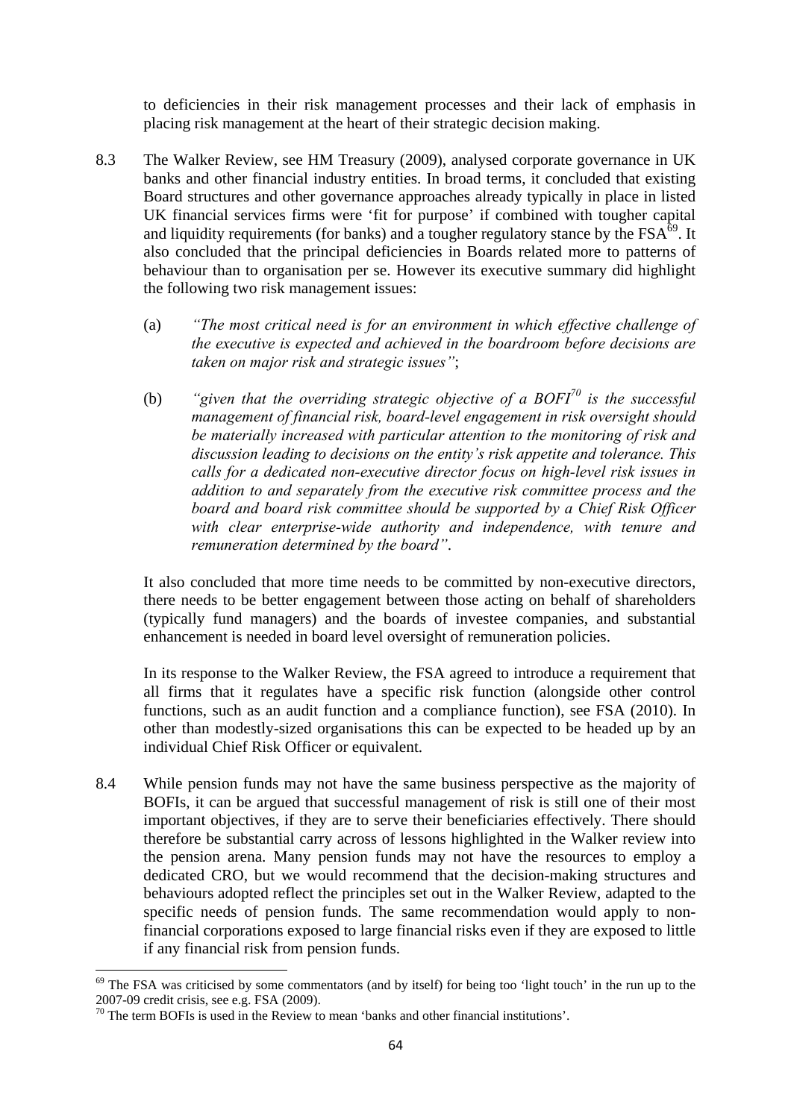to deficiencies in their risk management processes and their lack of emphasis in placing risk management at the heart of their strategic decision making.

- 8.3 The Walker Review, see HM Treasury (2009), analysed corporate governance in UK banks and other financial industry entities. In broad terms, it concluded that existing Board structures and other governance approaches already typically in place in listed UK financial services firms were 'fit for purpose' if combined with tougher capital and liquidity requirements (for banks) and a tougher regulatory stance by the  $FSA^{69}$ . It also concluded that the principal deficiencies in Boards related more to patterns of behaviour than to organisation per se. However its executive summary did highlight the following two risk management issues:
	- (a) *"The most critical need is for an environment in which effective challenge of the executive is expected and achieved in the boardroom before decisions are taken on major risk and strategic issues"*;
	- (b) *"given that the overriding strategic objective of a BOFI70 is the successful management of financial risk, board-level engagement in risk oversight should be materially increased with particular attention to the monitoring of risk and discussion leading to decisions on the entity's risk appetite and tolerance. This calls for a dedicated non-executive director focus on high-level risk issues in addition to and separately from the executive risk committee process and the board and board risk committee should be supported by a Chief Risk Officer with clear enterprise-wide authority and independence, with tenure and remuneration determined by the board"*.

It also concluded that more time needs to be committed by non-executive directors, there needs to be better engagement between those acting on behalf of shareholders (typically fund managers) and the boards of investee companies, and substantial enhancement is needed in board level oversight of remuneration policies.

In its response to the Walker Review, the FSA agreed to introduce a requirement that all firms that it regulates have a specific risk function (alongside other control functions, such as an audit function and a compliance function), see FSA (2010). In other than modestly-sized organisations this can be expected to be headed up by an individual Chief Risk Officer or equivalent.

8.4 While pension funds may not have the same business perspective as the majority of BOFIs, it can be argued that successful management of risk is still one of their most important objectives, if they are to serve their beneficiaries effectively. There should therefore be substantial carry across of lessons highlighted in the Walker review into the pension arena. Many pension funds may not have the resources to employ a dedicated CRO, but we would recommend that the decision-making structures and behaviours adopted reflect the principles set out in the Walker Review, adapted to the specific needs of pension funds. The same recommendation would apply to nonfinancial corporations exposed to large financial risks even if they are exposed to little if any financial risk from pension funds.

 $69$  The FSA was criticised by some commentators (and by itself) for being too 'light touch' in the run up to the 2007-09 credit crisis, see e.g. FSA (2009).

<sup>&</sup>lt;sup>70</sup> The term BOFIs is used in the Review to mean 'banks and other financial institutions'.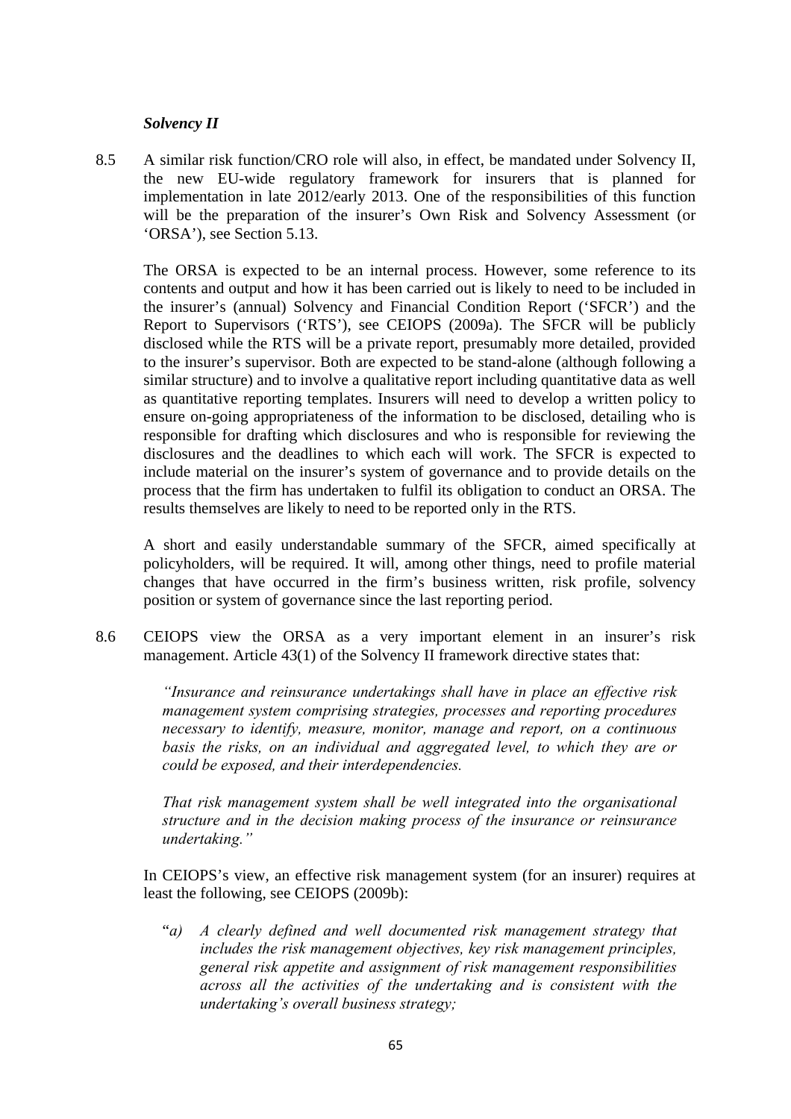### *Solvency II*

8.5 A similar risk function/CRO role will also, in effect, be mandated under Solvency II, the new EU-wide regulatory framework for insurers that is planned for implementation in late 2012/early 2013. One of the responsibilities of this function will be the preparation of the insurer's Own Risk and Solvency Assessment (or 'ORSA'), see Section 5.13.

The ORSA is expected to be an internal process. However, some reference to its contents and output and how it has been carried out is likely to need to be included in the insurer's (annual) Solvency and Financial Condition Report ('SFCR') and the Report to Supervisors ('RTS'), see CEIOPS (2009a). The SFCR will be publicly disclosed while the RTS will be a private report, presumably more detailed, provided to the insurer's supervisor. Both are expected to be stand-alone (although following a similar structure) and to involve a qualitative report including quantitative data as well as quantitative reporting templates. Insurers will need to develop a written policy to ensure on-going appropriateness of the information to be disclosed, detailing who is responsible for drafting which disclosures and who is responsible for reviewing the disclosures and the deadlines to which each will work. The SFCR is expected to include material on the insurer's system of governance and to provide details on the process that the firm has undertaken to fulfil its obligation to conduct an ORSA. The results themselves are likely to need to be reported only in the RTS.

A short and easily understandable summary of the SFCR, aimed specifically at policyholders, will be required. It will, among other things, need to profile material changes that have occurred in the firm's business written, risk profile, solvency position or system of governance since the last reporting period.

8.6 CEIOPS view the ORSA as a very important element in an insurer's risk management. Article 43(1) of the Solvency II framework directive states that:

> *"Insurance and reinsurance undertakings shall have in place an effective risk management system comprising strategies, processes and reporting procedures necessary to identify, measure, monitor, manage and report, on a continuous basis the risks, on an individual and aggregated level, to which they are or could be exposed, and their interdependencies.*

> *That risk management system shall be well integrated into the organisational structure and in the decision making process of the insurance or reinsurance undertaking."*

In CEIOPS's view, an effective risk management system (for an insurer) requires at least the following, see CEIOPS (2009b):

"*a) A clearly defined and well documented risk management strategy that includes the risk management objectives, key risk management principles, general risk appetite and assignment of risk management responsibilities across all the activities of the undertaking and is consistent with the undertaking's overall business strategy;*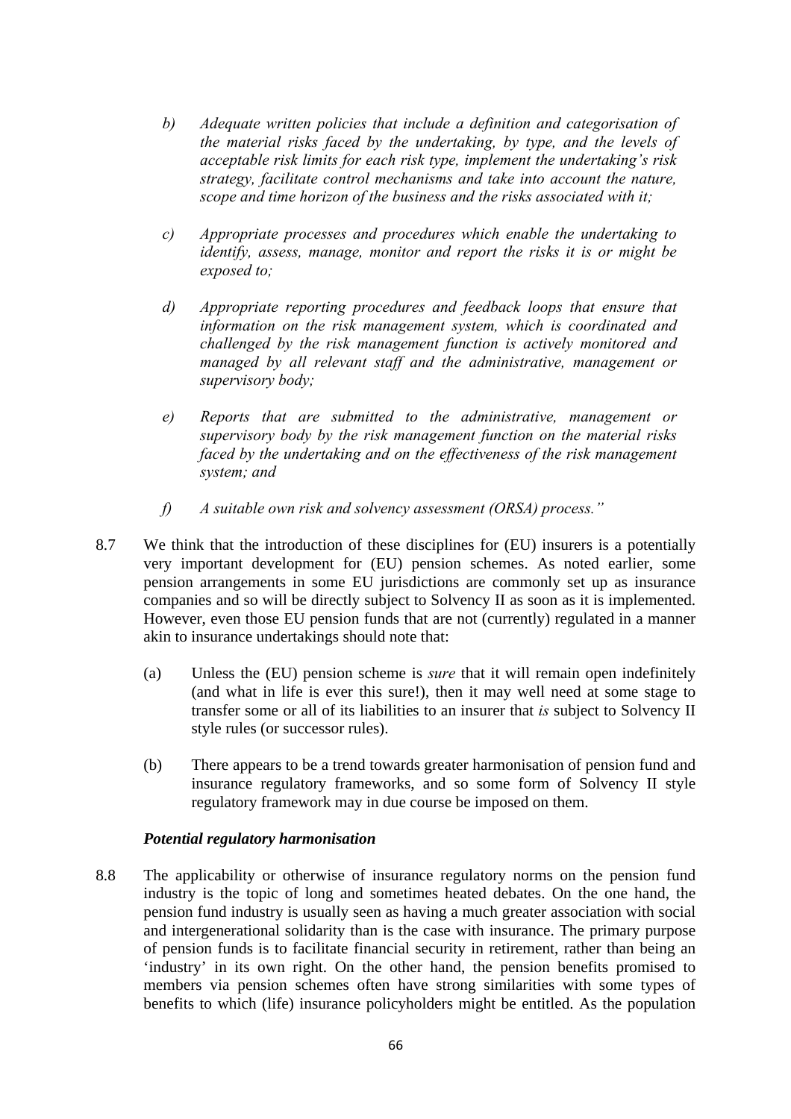- *b) Adequate written policies that include a definition and categorisation of the material risks faced by the undertaking, by type, and the levels of acceptable risk limits for each risk type, implement the undertaking's risk strategy, facilitate control mechanisms and take into account the nature, scope and time horizon of the business and the risks associated with it;*
- *c) Appropriate processes and procedures which enable the undertaking to identify, assess, manage, monitor and report the risks it is or might be exposed to;*
- *d) Appropriate reporting procedures and feedback loops that ensure that information on the risk management system, which is coordinated and challenged by the risk management function is actively monitored and managed by all relevant staff and the administrative, management or supervisory body;*
- *e) Reports that are submitted to the administrative, management or supervisory body by the risk management function on the material risks faced by the undertaking and on the effectiveness of the risk management system; and*
- *f) A suitable own risk and solvency assessment (ORSA) process."*
- 8.7 We think that the introduction of these disciplines for (EU) insurers is a potentially very important development for (EU) pension schemes. As noted earlier, some pension arrangements in some EU jurisdictions are commonly set up as insurance companies and so will be directly subject to Solvency II as soon as it is implemented. However, even those EU pension funds that are not (currently) regulated in a manner akin to insurance undertakings should note that:
	- (a) Unless the (EU) pension scheme is *sure* that it will remain open indefinitely (and what in life is ever this sure!), then it may well need at some stage to transfer some or all of its liabilities to an insurer that *is* subject to Solvency II style rules (or successor rules).
	- (b) There appears to be a trend towards greater harmonisation of pension fund and insurance regulatory frameworks, and so some form of Solvency II style regulatory framework may in due course be imposed on them.

### *Potential regulatory harmonisation*

8.8 The applicability or otherwise of insurance regulatory norms on the pension fund industry is the topic of long and sometimes heated debates. On the one hand, the pension fund industry is usually seen as having a much greater association with social and intergenerational solidarity than is the case with insurance. The primary purpose of pension funds is to facilitate financial security in retirement, rather than being an 'industry' in its own right. On the other hand, the pension benefits promised to members via pension schemes often have strong similarities with some types of benefits to which (life) insurance policyholders might be entitled. As the population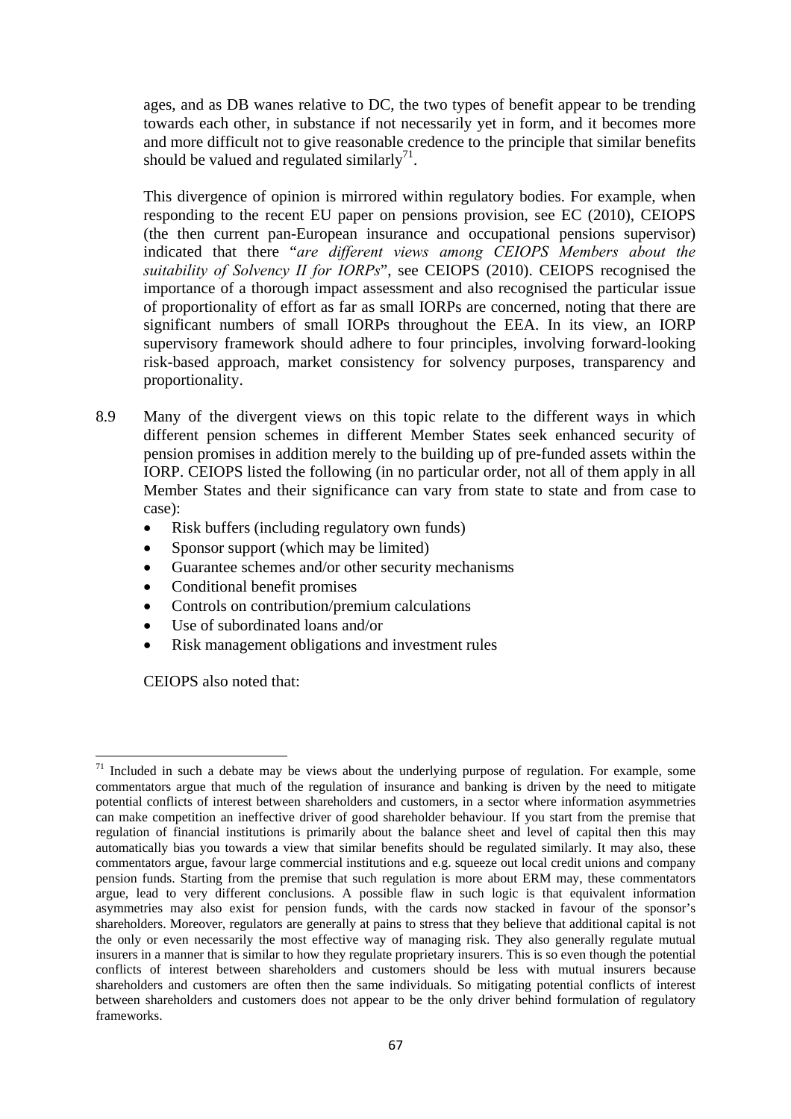ages, and as DB wanes relative to DC, the two types of benefit appear to be trending towards each other, in substance if not necessarily yet in form, and it becomes more and more difficult not to give reasonable credence to the principle that similar benefits should be valued and regulated similarly<sup>71</sup>.

This divergence of opinion is mirrored within regulatory bodies. For example, when responding to the recent EU paper on pensions provision, see EC (2010), CEIOPS (the then current pan-European insurance and occupational pensions supervisor) indicated that there "*are different views among CEIOPS Members about the suitability of Solvency II for IORPs*", see CEIOPS (2010). CEIOPS recognised the importance of a thorough impact assessment and also recognised the particular issue of proportionality of effort as far as small IORPs are concerned, noting that there are significant numbers of small IORPs throughout the EEA. In its view, an IORP supervisory framework should adhere to four principles, involving forward-looking risk-based approach, market consistency for solvency purposes, transparency and proportionality.

- 8.9 Many of the divergent views on this topic relate to the different ways in which different pension schemes in different Member States seek enhanced security of pension promises in addition merely to the building up of pre-funded assets within the IORP. CEIOPS listed the following (in no particular order, not all of them apply in all Member States and their significance can vary from state to state and from case to case):
	- Risk buffers (including regulatory own funds)
	- Sponsor support (which may be limited)
	- Guarantee schemes and/or other security mechanisms
	- Conditional benefit promises
	- Controls on contribution/premium calculations
	- Use of subordinated loans and/or
	- Risk management obligations and investment rules

CEIOPS also noted that:

  $71$  Included in such a debate may be views about the underlying purpose of regulation. For example, some commentators argue that much of the regulation of insurance and banking is driven by the need to mitigate potential conflicts of interest between shareholders and customers, in a sector where information asymmetries can make competition an ineffective driver of good shareholder behaviour. If you start from the premise that regulation of financial institutions is primarily about the balance sheet and level of capital then this may automatically bias you towards a view that similar benefits should be regulated similarly. It may also, these commentators argue, favour large commercial institutions and e.g. squeeze out local credit unions and company pension funds. Starting from the premise that such regulation is more about ERM may, these commentators argue, lead to very different conclusions. A possible flaw in such logic is that equivalent information asymmetries may also exist for pension funds, with the cards now stacked in favour of the sponsor's shareholders. Moreover, regulators are generally at pains to stress that they believe that additional capital is not the only or even necessarily the most effective way of managing risk. They also generally regulate mutual insurers in a manner that is similar to how they regulate proprietary insurers. This is so even though the potential conflicts of interest between shareholders and customers should be less with mutual insurers because shareholders and customers are often then the same individuals. So mitigating potential conflicts of interest between shareholders and customers does not appear to be the only driver behind formulation of regulatory frameworks.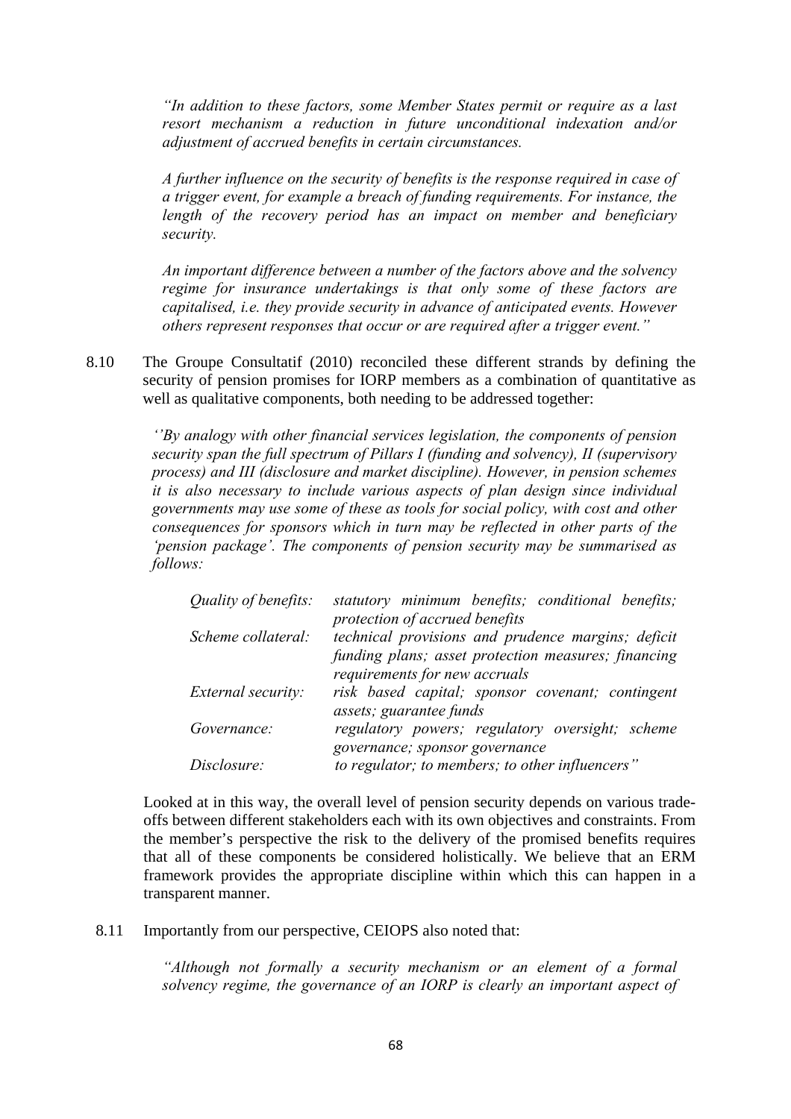*"In addition to these factors, some Member States permit or require as a last resort mechanism a reduction in future unconditional indexation and/or adjustment of accrued benefits in certain circumstances.* 

*A further influence on the security of benefits is the response required in case of a trigger event, for example a breach of funding requirements. For instance, the length of the recovery period has an impact on member and beneficiary security.* 

*An important difference between a number of the factors above and the solvency regime for insurance undertakings is that only some of these factors are capitalised, i.e. they provide security in advance of anticipated events. However others represent responses that occur or are required after a trigger event."* 

8.10 The Groupe Consultatif (2010) reconciled these different strands by defining the security of pension promises for IORP members as a combination of quantitative as well as qualitative components, both needing to be addressed together:

> *''By analogy with other financial services legislation, the components of pension security span the full spectrum of Pillars I (funding and solvency), II (supervisory process) and III (disclosure and market discipline). However, in pension schemes it is also necessary to include various aspects of plan design since individual governments may use some of these as tools for social policy, with cost and other consequences for sponsors which in turn may be reflected in other parts of the 'pension package'. The components of pension security may be summarised as follows:*

| Quality of benefits: | statutory minimum benefits; conditional benefits;   |
|----------------------|-----------------------------------------------------|
|                      | protection of accrued benefits                      |
| Scheme collateral:   | technical provisions and prudence margins; deficit  |
|                      | funding plans; asset protection measures; financing |
|                      | requirements for new accruals                       |
| External security:   | risk based capital; sponsor covenant; contingent    |
|                      | assets; guarantee funds                             |
| Governance:          | regulatory powers; regulatory oversight; scheme     |
|                      | governance; sponsor governance                      |
| Disclosure:          | to regulator; to members; to other influencers"     |

 Looked at in this way, the overall level of pension security depends on various tradeoffs between different stakeholders each with its own objectives and constraints. From the member's perspective the risk to the delivery of the promised benefits requires that all of these components be considered holistically. We believe that an ERM framework provides the appropriate discipline within which this can happen in a transparent manner.

8.11 Importantly from our perspective, CEIOPS also noted that:

*"Although not formally a security mechanism or an element of a formal solvency regime, the governance of an IORP is clearly an important aspect of*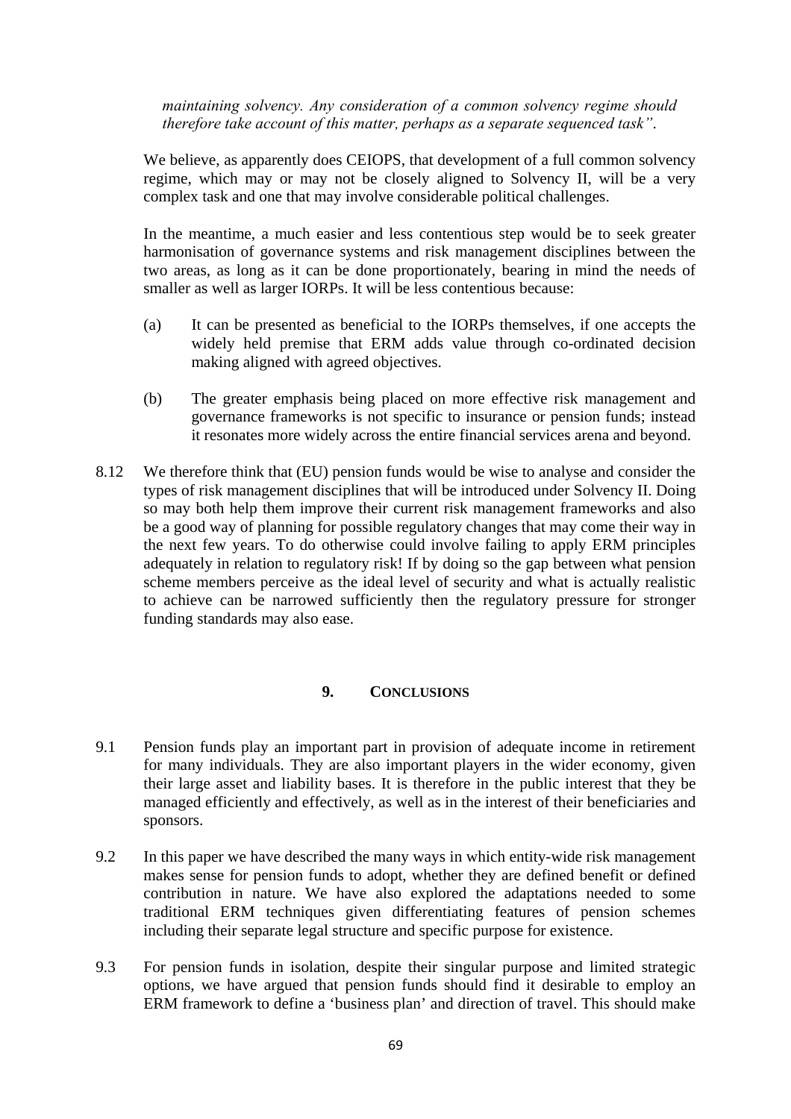*maintaining solvency. Any consideration of a common solvency regime should therefore take account of this matter, perhaps as a separate sequenced task"*.

We believe, as apparently does CEIOPS, that development of a full common solvency regime, which may or may not be closely aligned to Solvency II, will be a very complex task and one that may involve considerable political challenges.

In the meantime, a much easier and less contentious step would be to seek greater harmonisation of governance systems and risk management disciplines between the two areas, as long as it can be done proportionately, bearing in mind the needs of smaller as well as larger IORPs. It will be less contentious because:

- (a) It can be presented as beneficial to the IORPs themselves, if one accepts the widely held premise that ERM adds value through co-ordinated decision making aligned with agreed objectives.
- (b) The greater emphasis being placed on more effective risk management and governance frameworks is not specific to insurance or pension funds; instead it resonates more widely across the entire financial services arena and beyond.
- 8.12 We therefore think that (EU) pension funds would be wise to analyse and consider the types of risk management disciplines that will be introduced under Solvency II. Doing so may both help them improve their current risk management frameworks and also be a good way of planning for possible regulatory changes that may come their way in the next few years. To do otherwise could involve failing to apply ERM principles adequately in relation to regulatory risk! If by doing so the gap between what pension scheme members perceive as the ideal level of security and what is actually realistic to achieve can be narrowed sufficiently then the regulatory pressure for stronger funding standards may also ease.

## **9. CONCLUSIONS**

- 9.1 Pension funds play an important part in provision of adequate income in retirement for many individuals. They are also important players in the wider economy, given their large asset and liability bases. It is therefore in the public interest that they be managed efficiently and effectively, as well as in the interest of their beneficiaries and sponsors.
- 9.2 In this paper we have described the many ways in which entity-wide risk management makes sense for pension funds to adopt, whether they are defined benefit or defined contribution in nature. We have also explored the adaptations needed to some traditional ERM techniques given differentiating features of pension schemes including their separate legal structure and specific purpose for existence.
- 9.3 For pension funds in isolation, despite their singular purpose and limited strategic options, we have argued that pension funds should find it desirable to employ an ERM framework to define a 'business plan' and direction of travel. This should make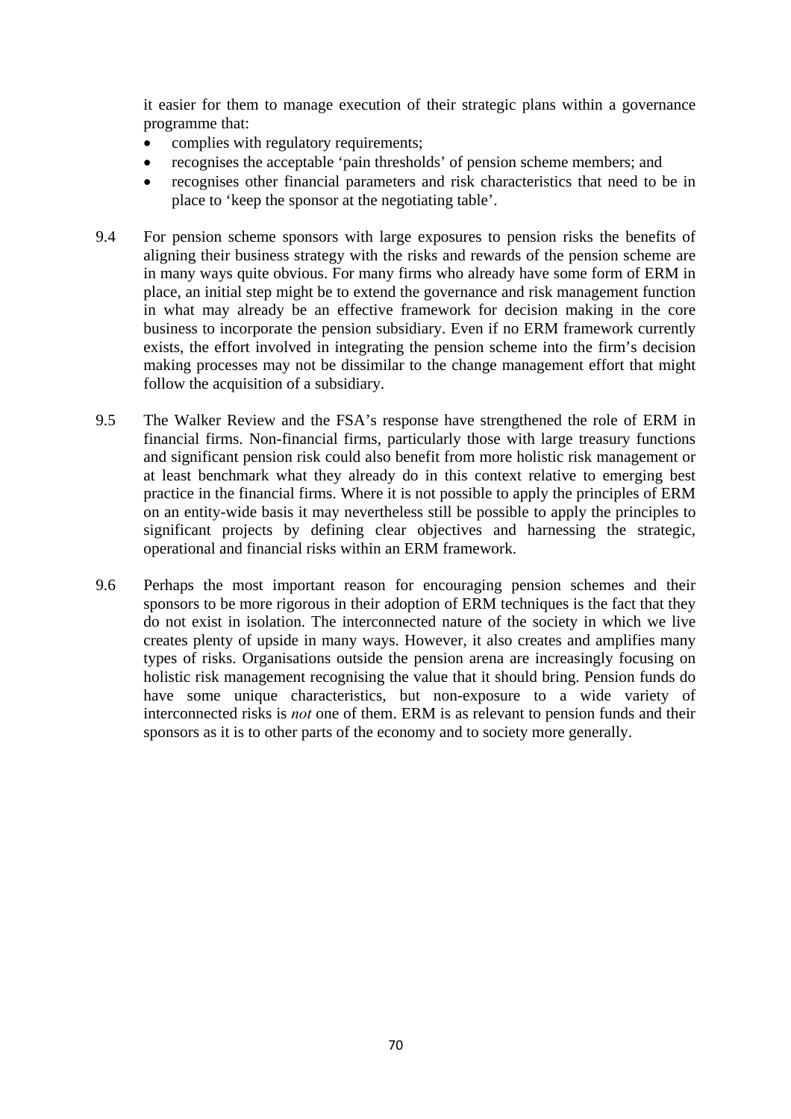it easier for them to manage execution of their strategic plans within a governance programme that:

- complies with regulatory requirements;
- recognises the acceptable 'pain thresholds' of pension scheme members; and
- recognises other financial parameters and risk characteristics that need to be in place to 'keep the sponsor at the negotiating table'.
- 9.4 For pension scheme sponsors with large exposures to pension risks the benefits of aligning their business strategy with the risks and rewards of the pension scheme are in many ways quite obvious. For many firms who already have some form of ERM in place, an initial step might be to extend the governance and risk management function in what may already be an effective framework for decision making in the core business to incorporate the pension subsidiary. Even if no ERM framework currently exists, the effort involved in integrating the pension scheme into the firm's decision making processes may not be dissimilar to the change management effort that might follow the acquisition of a subsidiary.
- 9.5 The Walker Review and the FSA's response have strengthened the role of ERM in financial firms. Non-financial firms, particularly those with large treasury functions and significant pension risk could also benefit from more holistic risk management or at least benchmark what they already do in this context relative to emerging best practice in the financial firms. Where it is not possible to apply the principles of ERM on an entity-wide basis it may nevertheless still be possible to apply the principles to significant projects by defining clear objectives and harnessing the strategic, operational and financial risks within an ERM framework.
- 9.6 Perhaps the most important reason for encouraging pension schemes and their sponsors to be more rigorous in their adoption of ERM techniques is the fact that they do not exist in isolation. The interconnected nature of the society in which we live creates plenty of upside in many ways. However, it also creates and amplifies many types of risks. Organisations outside the pension arena are increasingly focusing on holistic risk management recognising the value that it should bring. Pension funds do have some unique characteristics, but non-exposure to a wide variety of interconnected risks is *not* one of them. ERM is as relevant to pension funds and their sponsors as it is to other parts of the economy and to society more generally.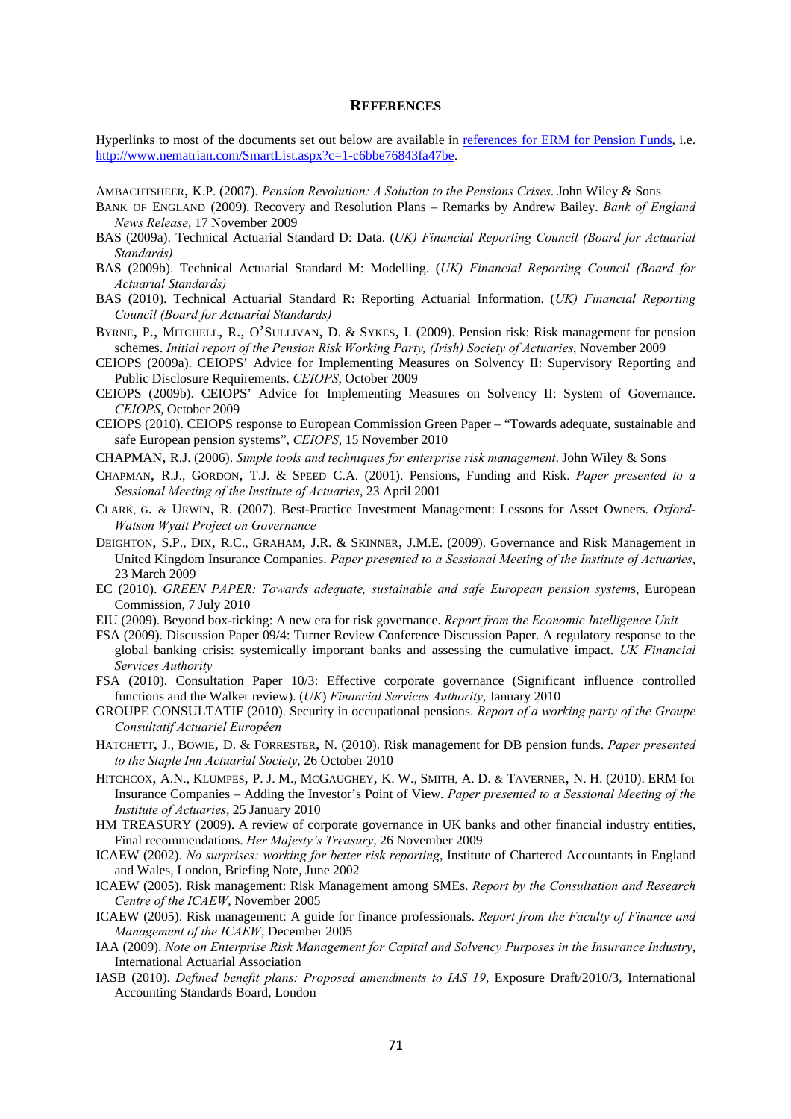### **REFERENCES**

Hyperlinks to most of the documents set out below are available in references for ERM for Pension Funds, i.e. http://www.nematrian.com/SmartList.aspx?c=1-c6bbe76843fa47be.

AMBACHTSHEER, K.P. (2007). *Pension Revolution: A Solution to the Pensions Crises*. John Wiley & Sons

- BANK OF ENGLAND (2009). Recovery and Resolution Plans Remarks by Andrew Bailey. *Bank of England News Release*, 17 November 2009
- BAS (2009a). Technical Actuarial Standard D: Data. (*UK) Financial Reporting Council (Board for Actuarial Standards)*
- BAS (2009b). Technical Actuarial Standard M: Modelling. (*UK) Financial Reporting Council (Board for Actuarial Standards)*
- BAS (2010). Technical Actuarial Standard R: Reporting Actuarial Information. (*UK) Financial Reporting Council (Board for Actuarial Standards)*
- BYRNE, P., MITCHELL, R., O'SULLIVAN, D. & SYKES, I. (2009). Pension risk: Risk management for pension schemes. *Initial report of the Pension Risk Working Party, (Irish) Society of Actuaries*, November 2009
- CEIOPS (2009a). CEIOPS' Advice for Implementing Measures on Solvency II: Supervisory Reporting and Public Disclosure Requirements. *CEIOPS*, October 2009
- CEIOPS (2009b). CEIOPS' Advice for Implementing Measures on Solvency II: System of Governance. *CEIOPS*, October 2009
- CEIOPS (2010). CEIOPS response to European Commission Green Paper "Towards adequate, sustainable and safe European pension systems", *CEIOPS*, 15 November 2010
- CHAPMAN, R.J. (2006). *Simple tools and techniques for enterprise risk management*. John Wiley & Sons
- CHAPMAN, R.J., GORDON, T.J. & SPEED C.A. (2001). Pensions, Funding and Risk. *Paper presented to a Sessional Meeting of the Institute of Actuaries*, 23 April 2001
- CLARK, G. & URWIN, R. (2007). Best-Practice Investment Management: Lessons for Asset Owners. *Oxford-Watson Wyatt Project on Governance*
- DEIGHTON, S.P., DIX, R.C., GRAHAM, J.R. & SKINNER, J.M.E. (2009). Governance and Risk Management in United Kingdom Insurance Companies. *Paper presented to a Sessional Meeting of the Institute of Actuaries*, 23 March 2009
- EC (2010). *GREEN PAPER: Towards adequate, sustainable and safe European pension system*s, European Commission, 7 July 2010
- EIU (2009). Beyond box-ticking: A new era for risk governance. *Report from the Economic Intelligence Unit*
- FSA (2009). Discussion Paper 09/4: Turner Review Conference Discussion Paper. A regulatory response to the global banking crisis: systemically important banks and assessing the cumulative impact. *UK Financial Services Authority*
- FSA (2010). Consultation Paper 10/3: Effective corporate governance (Significant influence controlled functions and the Walker review). (*UK*) *Financial Services Authority*, January 2010
- GROUPE CONSULTATIF (2010). Security in occupational pensions. *Report of a working party of the Groupe Consultatif Actuariel Européen*
- HATCHETT, J., BOWIE, D. & FORRESTER, N. (2010). Risk management for DB pension funds. *Paper presented to the Staple Inn Actuarial Society*, 26 October 2010
- HITCHCOX, A.N., KLUMPES, P. J. M., MCGAUGHEY, K. W., SMITH, A. D. & TAVERNER, N. H. (2010). ERM for Insurance Companies – Adding the Investor's Point of View. *Paper presented to a Sessional Meeting of the Institute of Actuaries*, 25 January 2010
- HM TREASURY (2009). A review of corporate governance in UK banks and other financial industry entities, Final recommendations. *Her Majesty's Treasury*, 26 November 2009
- ICAEW (2002). *No surprises: working for better risk reporting*, Institute of Chartered Accountants in England and Wales, London, Briefing Note, June 2002
- ICAEW (2005). Risk management: Risk Management among SMEs. *Report by the Consultation and Research Centre of the ICAEW*, November 2005
- ICAEW (2005). Risk management: A guide for finance professionals. *Report from the Faculty of Finance and Management of the ICAEW*, December 2005
- IAA (2009). *Note on Enterprise Risk Management for Capital and Solvency Purposes in the Insurance Industry*, International Actuarial Association
- IASB (2010). *Defined benefit plans: Proposed amendments to IAS 19*, Exposure Draft/2010/3, International Accounting Standards Board, London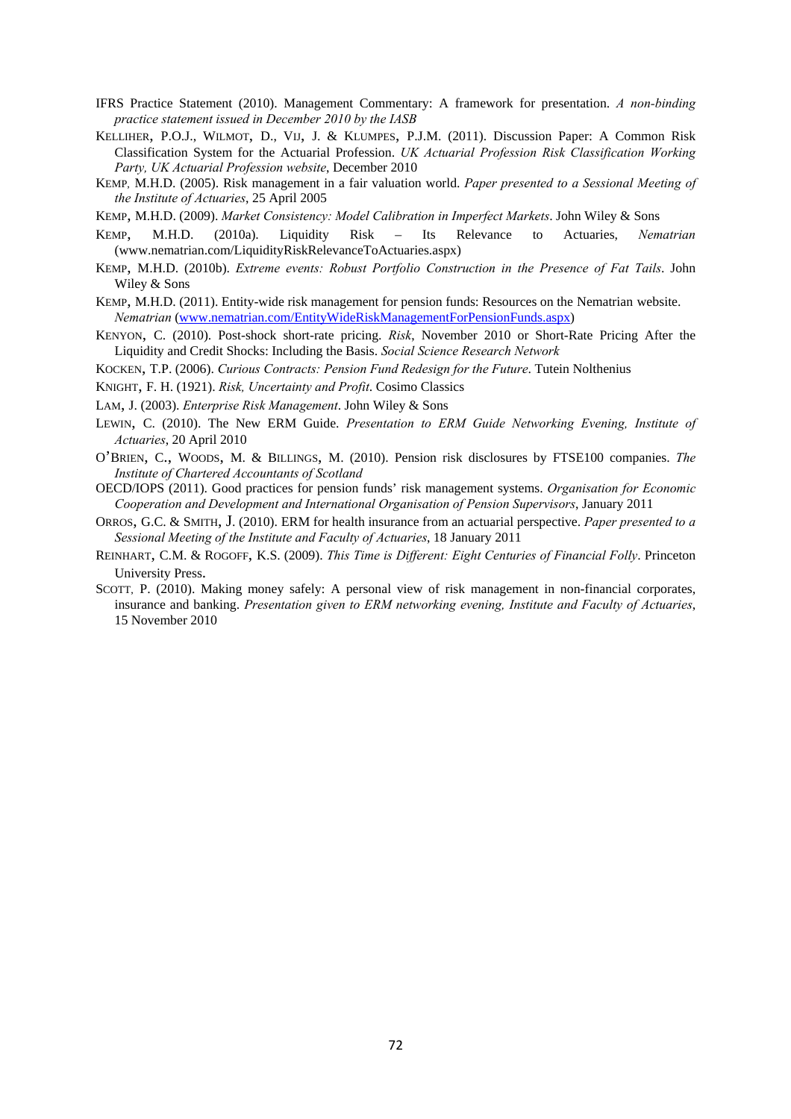- IFRS Practice Statement (2010). Management Commentary: A framework for presentation. *A non-binding practice statement issued in December 2010 by the IASB*
- KELLIHER, P.O.J., WILMOT, D., VIJ, J. & KLUMPES, P.J.M. (2011). Discussion Paper: A Common Risk Classification System for the Actuarial Profession. *UK Actuarial Profession Risk Classification Working Party, UK Actuarial Profession website*, December 2010
- KEMP, M.H.D. (2005). Risk management in a fair valuation world. *Paper presented to a Sessional Meeting of the Institute of Actuaries*, 25 April 2005

KEMP, M.H.D. (2009). *Market Consistency: Model Calibration in Imperfect Markets*. John Wiley & Sons

- KEMP, M.H.D. (2010a). Liquidity Risk Its Relevance to Actuaries, *Nematrian* (www.nematrian.com/LiquidityRiskRelevanceToActuaries.aspx)
- KEMP, M.H.D. (2010b). *Extreme events: Robust Portfolio Construction in the Presence of Fat Tails*. John Wiley & Sons
- KEMP, M.H.D. (2011). Entity-wide risk management for pension funds: Resources on the Nematrian website. *Nematrian* (www.nematrian.com/EntityWideRiskManagementForPensionFunds.aspx)
- KENYON, C. (2010). Post-shock short-rate pricing. *Risk*, November 2010 or Short-Rate Pricing After the Liquidity and Credit Shocks: Including the Basis. *Social Science Research Network*
- KOCKEN, T.P. (2006). *Curious Contracts: Pension Fund Redesign for the Future*. Tutein Nolthenius
- KNIGHT, F. H. (1921). *Risk, Uncertainty and Profit*. Cosimo Classics
- LAM, J. (2003). *Enterprise Risk Management*. John Wiley & Sons
- LEWIN, C. (2010). The New ERM Guide. *Presentation to ERM Guide Networking Evening, Institute of Actuaries*, 20 April 2010
- O'BRIEN, C., WOODS, M. & BILLINGS, M. (2010). Pension risk disclosures by FTSE100 companies. *The Institute of Chartered Accountants of Scotland*
- OECD/IOPS (2011). Good practices for pension funds' risk management systems. *Organisation for Economic Cooperation and Development and International Organisation of Pension Supervisors*, January 2011
- ORROS, G.C. & SMITH, J. (2010). ERM for health insurance from an actuarial perspective. *Paper presented to a Sessional Meeting of the Institute and Faculty of Actuaries*, 18 January 2011
- REINHART, C.M. & ROGOFF, K.S. (2009). *This Time is Different: Eight Centuries of Financial Folly*. Princeton University Press.<br>SCOTT, P. (2010). Making money safely: A personal view of risk management in non-financial corporates,
- insurance and banking. *Presentation given to ERM networking evening, Institute and Faculty of Actuaries*, 15 November 2010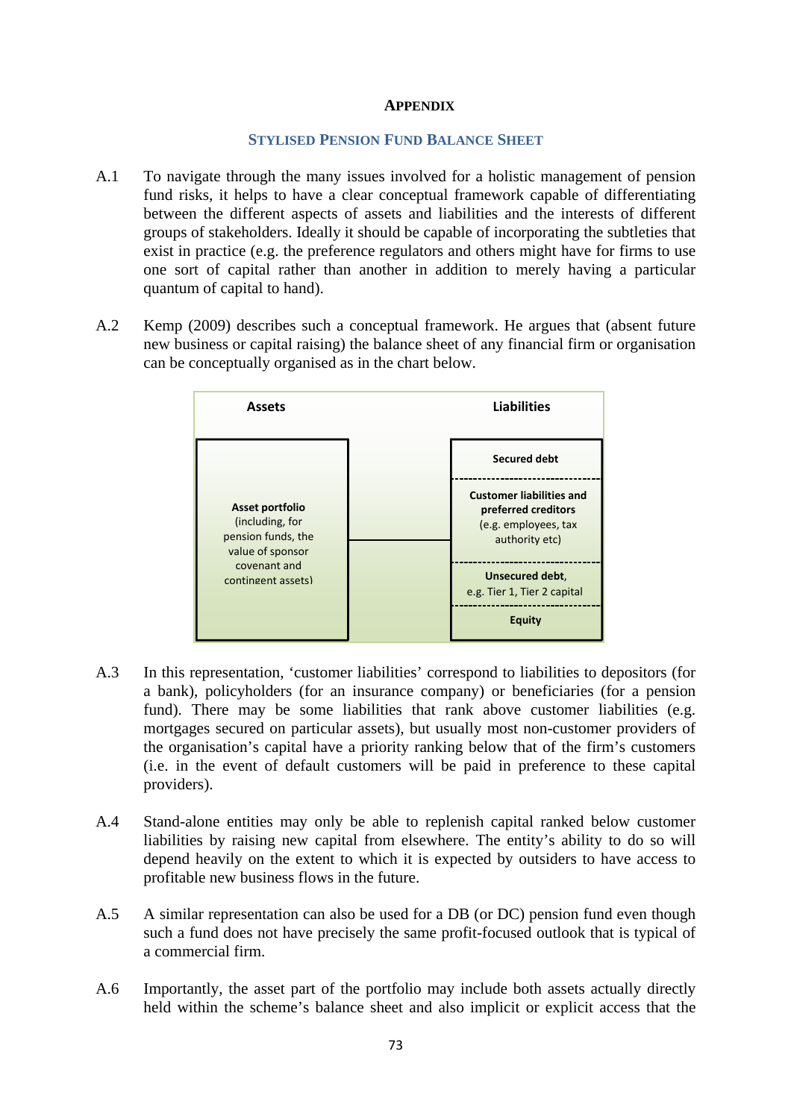# **APPENDIX**

# **STYLISED PENSION FUND BALANCE SHEET**

- A.1 To navigate through the many issues involved for a holistic management of pension fund risks, it helps to have a clear conceptual framework capable of differentiating between the different aspects of assets and liabilities and the interests of different groups of stakeholders. Ideally it should be capable of incorporating the subtleties that exist in practice (e.g. the preference regulators and others might have for firms to use one sort of capital rather than another in addition to merely having a particular quantum of capital to hand).
- A.2 Kemp (2009) describes such a conceptual framework. He argues that (absent future new business or capital raising) the balance sheet of any financial firm or organisation can be conceptually organised as in the chart below.

| <b>Assets</b>                                                                                                      | <b>Liabilities</b>                                                                               |
|--------------------------------------------------------------------------------------------------------------------|--------------------------------------------------------------------------------------------------|
|                                                                                                                    | <b>Secured debt</b>                                                                              |
| Asset portfolio<br>(including, for<br>pension funds, the<br>value of sponsor<br>covenant and<br>contingent assets) | <b>Customer liabilities and</b><br>preferred creditors<br>(e.g. employees, tax<br>authority etc) |
|                                                                                                                    | Unsecured debt,<br>e.g. Tier 1, Tier 2 capital                                                   |
|                                                                                                                    | <b>Equity</b>                                                                                    |

- A.3 In this representation, 'customer liabilities' correspond to liabilities to depositors (for a bank), policyholders (for an insurance company) or beneficiaries (for a pension fund). There may be some liabilities that rank above customer liabilities (e.g. mortgages secured on particular assets), but usually most non-customer providers of the organisation's capital have a priority ranking below that of the firm's customers (i.e. in the event of default customers will be paid in preference to these capital providers).
- A.4 Stand-alone entities may only be able to replenish capital ranked below customer liabilities by raising new capital from elsewhere. The entity's ability to do so will depend heavily on the extent to which it is expected by outsiders to have access to profitable new business flows in the future.
- A.5 A similar representation can also be used for a DB (or DC) pension fund even though such a fund does not have precisely the same profit-focused outlook that is typical of a commercial firm.
- A.6 Importantly, the asset part of the portfolio may include both assets actually directly held within the scheme's balance sheet and also implicit or explicit access that the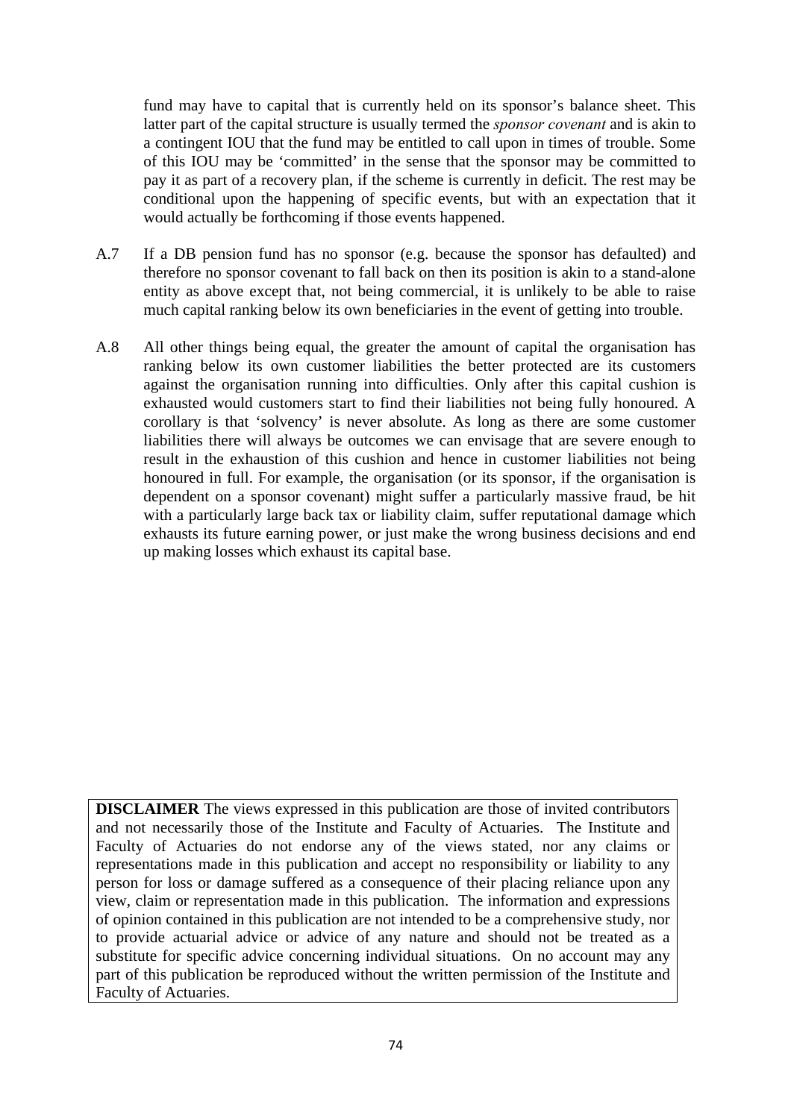fund may have to capital that is currently held on its sponsor's balance sheet. This latter part of the capital structure is usually termed the *sponsor covenant* and is akin to a contingent IOU that the fund may be entitled to call upon in times of trouble. Some of this IOU may be 'committed' in the sense that the sponsor may be committed to pay it as part of a recovery plan, if the scheme is currently in deficit. The rest may be conditional upon the happening of specific events, but with an expectation that it would actually be forthcoming if those events happened.

- A.7 If a DB pension fund has no sponsor (e.g. because the sponsor has defaulted) and therefore no sponsor covenant to fall back on then its position is akin to a stand-alone entity as above except that, not being commercial, it is unlikely to be able to raise much capital ranking below its own beneficiaries in the event of getting into trouble.
- A.8 All other things being equal, the greater the amount of capital the organisation has ranking below its own customer liabilities the better protected are its customers against the organisation running into difficulties. Only after this capital cushion is exhausted would customers start to find their liabilities not being fully honoured. A corollary is that 'solvency' is never absolute. As long as there are some customer liabilities there will always be outcomes we can envisage that are severe enough to result in the exhaustion of this cushion and hence in customer liabilities not being honoured in full. For example, the organisation (or its sponsor, if the organisation is dependent on a sponsor covenant) might suffer a particularly massive fraud, be hit with a particularly large back tax or liability claim, suffer reputational damage which exhausts its future earning power, or just make the wrong business decisions and end up making losses which exhaust its capital base.

**DISCLAIMER** The views expressed in this publication are those of invited contributors and not necessarily those of the Institute and Faculty of Actuaries. The Institute and Faculty of Actuaries do not endorse any of the views stated, nor any claims or representations made in this publication and accept no responsibility or liability to any person for loss or damage suffered as a consequence of their placing reliance upon any view, claim or representation made in this publication. The information and expressions of opinion contained in this publication are not intended to be a comprehensive study, nor to provide actuarial advice or advice of any nature and should not be treated as a substitute for specific advice concerning individual situations. On no account may any part of this publication be reproduced without the written permission of the Institute and Faculty of Actuaries.